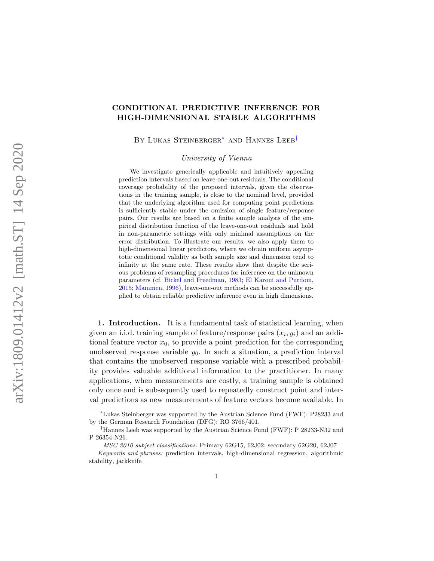# CONDITIONAL PREDICTIVE INFERENCE FOR HIGH-DIMENSIONAL STABLE ALGORITHMS

BY LUKAS STEINBERGER<sup>\*</sup> AND HANNES LEEB<sup>[†](#page-0-1)</sup>

University of Vienna

We investigate generically applicable and intuitively appealing prediction intervals based on leave-one-out residuals. The conditional coverage probability of the proposed intervals, given the observations in the training sample, is close to the nominal level, provided that the underlying algorithm used for computing point predictions is sufficiently stable under the omission of single feature/response pairs. Our results are based on a finite sample analysis of the empirical distribution function of the leave-one-out residuals and hold in non-parametric settings with only minimal assumptions on the error distribution. To illustrate our results, we also apply them to high-dimensional linear predictors, where we obtain uniform asymptotic conditional validity as both sample size and dimension tend to infinity at the same rate. These results show that despite the serious problems of resampling procedures for inference on the unknown parameters (cf. [Bickel and Freedman,](#page-30-0) [1983;](#page-30-0) [El Karoui and Purdom,](#page-31-0) [2015;](#page-31-0) [Mammen,](#page-32-0) [1996\)](#page-32-0), leave-one-out methods can be successfully applied to obtain reliable predictive inference even in high dimensions.

1. Introduction. It is a fundamental task of statistical learning, when given an i.i.d. training sample of feature/response pairs  $(x_i, y_i)$  and an additional feature vector  $x_0$ , to provide a point prediction for the corresponding unobserved response variable  $y_0$ . In such a situation, a prediction interval that contains the unobserved response variable with a prescribed probability provides valuable additional information to the practitioner. In many applications, when measurements are costly, a training sample is obtained only once and is subsequently used to repeatedly construct point and interval predictions as new measurements of feature vectors become available. In

<span id="page-0-0"></span><sup>∗</sup>Lukas Steinberger was supported by the Austrian Science Fund (FWF): P28233 and by the German Research Foundation (DFG): RO 3766/401.

<span id="page-0-1"></span><sup>†</sup>Hannes Leeb was supported by the Austrian Science Fund (FWF): P 28233-N32 and P 26354-N26.

MSC 2010 subject classifications: Primary 62G15, 62J02; secondary 62G20, 62J07

Keywords and phrases: prediction intervals, high-dimensional regression, algorithmic stability, jackknife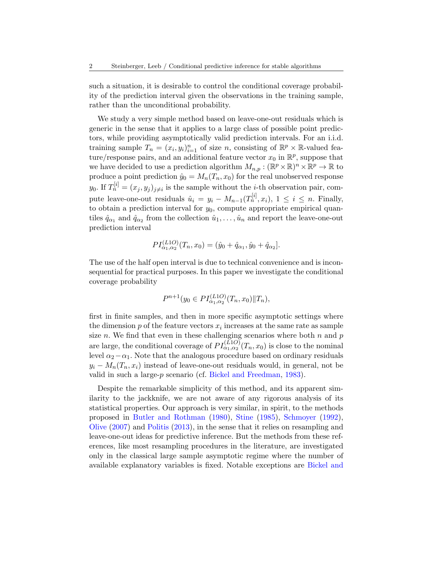such a situation, it is desirable to control the conditional coverage probability of the prediction interval given the observations in the training sample, rather than the unconditional probability.

We study a very simple method based on leave-one-out residuals which is generic in the sense that it applies to a large class of possible point predictors, while providing asymptotically valid prediction intervals. For an i.i.d. training sample  $T_n = (x_i, y_i)_{i=1}^n$  of size n, consisting of  $\mathbb{R}^p \times \mathbb{R}$ -valued feature/response pairs, and an additional feature vector  $x_0$  in  $\mathbb{R}^p$ , suppose that we have decided to use a prediction algorithm  $M_{n,p}: (\mathbb{R}^p \times \mathbb{R})^n \times \mathbb{R}^p \to \mathbb{R}$  to produce a point prediction  $\hat{y}_0 = M_n(T_n, x_0)$  for the real unobserved response  $y_0$ . If  $T_n^{[i]} = (x_j, y_j)_{j \neq i}$  is the sample without the *i*-th observation pair, compute leave-one-out residuals  $\hat{u}_i = y_i - M_{n-1}(T_n^{[i]}, x_i), 1 \le i \le n$ . Finally, to obtain a prediction interval for  $y_0$ , compute appropriate empirical quantiles  $\hat{q}_{\alpha_1}$  and  $\hat{q}_{\alpha_2}$  from the collection  $\hat{u}_1, \dots, \hat{u}_n$  and report the leave-one-out prediction interval

$$
PI_{\alpha_1,\alpha_2}^{(L1O)}(T_n,x_0) = (\hat{y}_0 + \hat{q}_{\alpha_1}, \hat{y}_0 + \hat{q}_{\alpha_2}).
$$

The use of the half open interval is due to technical convenience and is inconsequential for practical purposes. In this paper we investigate the conditional coverage probability

$$
P^{n+1}(y_0 \in PI_{\alpha_1,\alpha_2}^{(L1O)}(T_n, x_0) \| T_n),
$$

first in finite samples, and then in more specific asymptotic settings where the dimension  $p$  of the feature vectors  $x_i$  increases at the same rate as sample size n. We find that even in these challenging scenarios where both  $n$  and  $p$ are large, the conditional coverage of  $PI_{\alpha_1,\alpha_2}^{(L1O)}(T_n,x_0)$  is close to the nominal level  $\alpha_2-\alpha_1$ . Note that the analogous procedure based on ordinary residuals  $y_i - M_n(T_n, x_i)$  instead of leave-one-out residuals would, in general, not be valid in such a large-p scenario (cf. [Bickel and Freedman,](#page-30-0) [1983\)](#page-30-0).

Despite the remarkable simplicity of this method, and its apparent similarity to the jackknife, we are not aware of any rigorous analysis of its statistical properties. Our approach is very similar, in spirit, to the methods proposed in [Butler and Rothman](#page-31-1) [\(1980\)](#page-31-1), [Stine](#page-32-1) [\(1985\)](#page-32-1), [Schmoyer](#page-32-2) [\(1992\)](#page-32-2), [Olive](#page-32-3) [\(2007\)](#page-32-3) and [Politis](#page-32-4) [\(2013\)](#page-32-4), in the sense that it relies on resampling and leave-one-out ideas for predictive inference. But the methods from these references, like most resampling procedures in the literature, are investigated only in the classical large sample asymptotic regime where the number of available explanatory variables is fixed. Notable exceptions are [Bickel and](#page-30-0)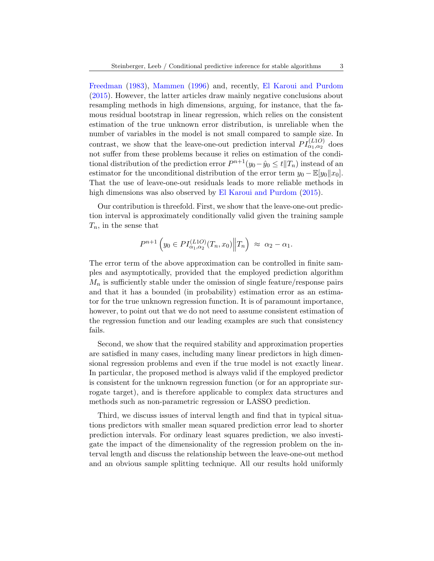[Freedman](#page-30-0) [\(1983\)](#page-30-0), [Mammen](#page-32-0) [\(1996\)](#page-32-0) and, recently, [El Karoui and Purdom](#page-31-0) [\(2015\)](#page-31-0). However, the latter articles draw mainly negative conclusions about resampling methods in high dimensions, arguing, for instance, that the famous residual bootstrap in linear regression, which relies on the consistent estimation of the true unknown error distribution, is unreliable when the number of variables in the model is not small compared to sample size. In contrast, we show that the leave-one-out prediction interval  $PI_{\alpha_1,\alpha_2}^{(L1O)}$  does not suffer from these problems because it relies on estimation of the conditional distribution of the prediction error  $P^{n+1}(y_0 - \hat{y}_0 \le t | T_n)$  instead of an estimator for the unconditional distribution of the error term  $y_0 - \mathbb{E}[y_0||x_0]$ . That the use of leave-one-out residuals leads to more reliable methods in high dimensions was also observed by [El Karoui and Purdom](#page-31-0) [\(2015\)](#page-31-0).

Our contribution is threefold. First, we show that the leave-one-out prediction interval is approximately conditionally valid given the training sample  $T_n$ , in the sense that

$$
P^{n+1}\left(y_0 \in PI_{\alpha_1,\alpha_2}^{(L1O)}(T_n, x_0)\middle\|T_n\right) \approx \alpha_2 - \alpha_1.
$$

The error term of the above approximation can be controlled in finite samples and asymptotically, provided that the employed prediction algorithm  $M_n$  is sufficiently stable under the omission of single feature/response pairs and that it has a bounded (in probability) estimation error as an estimator for the true unknown regression function. It is of paramount importance, however, to point out that we do not need to assume consistent estimation of the regression function and our leading examples are such that consistency fails.

Second, we show that the required stability and approximation properties are satisfied in many cases, including many linear predictors in high dimensional regression problems and even if the true model is not exactly linear. In particular, the proposed method is always valid if the employed predictor is consistent for the unknown regression function (or for an appropriate surrogate target), and is therefore applicable to complex data structures and methods such as non-parametric regression or LASSO prediction.

Third, we discuss issues of interval length and find that in typical situations predictors with smaller mean squared prediction error lead to shorter prediction intervals. For ordinary least squares prediction, we also investigate the impact of the dimensionality of the regression problem on the interval length and discuss the relationship between the leave-one-out method and an obvious sample splitting technique. All our results hold uniformly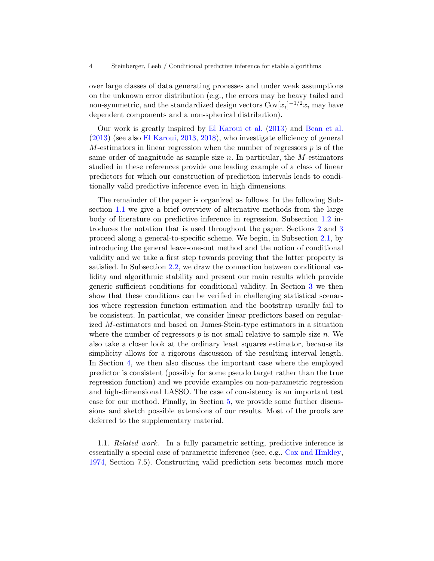over large classes of data generating processes and under weak assumptions on the unknown error distribution (e.g., the errors may be heavy tailed and non-symmetric, and the standardized design vectors  $Cov[x_i]^{-1/2}x_i$  may have dependent components and a non-spherical distribution).

Our work is greatly inspired by [El Karoui et al.](#page-31-2) [\(2013\)](#page-31-2) and [Bean et al.](#page-30-1) [\(2013\)](#page-30-1) (see also [El Karoui,](#page-31-3) [2013,](#page-31-3) [2018\)](#page-31-4), who investigate efficiency of general  $M$ -estimators in linear regression when the number of regressors  $p$  is of the same order of magnitude as sample size  $n$ . In particular, the M-estimators studied in these references provide one leading example of a class of linear predictors for which our construction of prediction intervals leads to conditionally valid predictive inference even in high dimensions.

The remainder of the paper is organized as follows. In the following Subsection [1.1](#page-3-0) we give a brief overview of alternative methods from the large body of literature on predictive inference in regression. Subsection [1.2](#page-6-0) introduces the notation that is used throughout the paper. Sections [2](#page-7-0) and [3](#page-13-0) proceed along a general-to-specific scheme. We begin, in Subsection [2.1,](#page-7-1) by introducing the general leave-one-out method and the notion of conditional validity and we take a first step towards proving that the latter property is satisfied. In Subsection [2.2,](#page-10-0) we draw the connection between conditional validity and algorithmic stability and present our main results which provide generic sufficient conditions for conditional validity. In Section [3](#page-13-0) we then show that these conditions can be verified in challenging statistical scenarios where regression function estimation and the bootstrap usually fail to be consistent. In particular, we consider linear predictors based on regularized M-estimators and based on James-Stein-type estimators in a situation where the number of regressors  $p$  is not small relative to sample size  $n$ . We also take a closer look at the ordinary least squares estimator, because its simplicity allows for a rigorous discussion of the resulting interval length. In Section [4,](#page-22-0) we then also discuss the important case where the employed predictor is consistent (possibly for some pseudo target rather than the true regression function) and we provide examples on non-parametric regression and high-dimensional LASSO. The case of consistency is an important test case for our method. Finally, in Section [5,](#page-25-0) we provide some further discussions and sketch possible extensions of our results. Most of the proofs are deferred to the supplementary material.

<span id="page-3-0"></span>1.1. Related work. In a fully parametric setting, predictive inference is essentially a special case of parametric inference (see, e.g., [Cox and Hinkley,](#page-31-5) [1974,](#page-31-5) Section 7.5). Constructing valid prediction sets becomes much more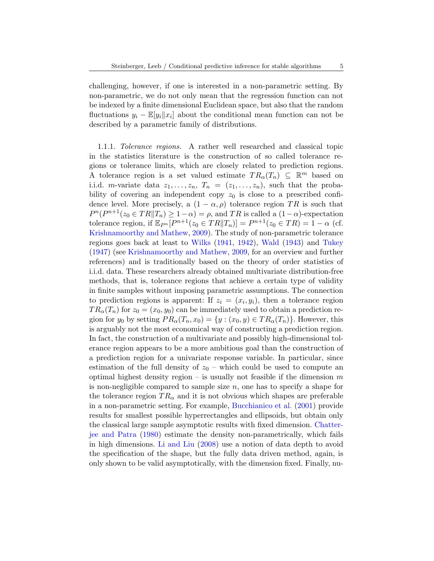challenging, however, if one is interested in a non-parametric setting. By non-parametric, we do not only mean that the regression function can not be indexed by a finite dimensional Euclidean space, but also that the random fluctuations  $y_i - \mathbb{E}[y_i || x_i]$  about the conditional mean function can not be described by a parametric family of distributions.

1.1.1. Tolerance regions. A rather well researched and classical topic in the statistics literature is the construction of so called tolerance regions or tolerance limits, which are closely related to prediction regions. A tolerance region is a set valued estimate  $TR_{\alpha}(T_n) \subseteq \mathbb{R}^m$  based on i.i.d. m-variate data  $z_1, \ldots, z_n$ ,  $T_n = (z_1, \ldots, z_n)$ , such that the probability of covering an independent copy  $z_0$  is close to a prescribed confidence level. More precisely, a  $(1 - \alpha, \rho)$  tolerance region TR is such that  $P^{n}(P^{n+1}(z_0 \in TR \| T_n) \geq 1-\alpha) = \rho$ , and TR is called a  $(1-\alpha)$ -expectation tolerance region, if  $\mathbb{E}_{P^n}[P^{n+1}(z_0 \in TR \| T_n)] = P^{n+1}(z_0 \in TR) = 1 - \alpha$  (cf. [Krishnamoorthy and Mathew,](#page-31-6) [2009\)](#page-31-6). The study of non-parametric tolerance regions goes back at least to [Wilks](#page-32-5) [\(1941,](#page-32-5) [1942\)](#page-32-6), [Wald](#page-32-7) [\(1943\)](#page-32-7) and [Tukey](#page-32-8) [\(1947\)](#page-32-8) (see [Krishnamoorthy and Mathew,](#page-31-6) [2009,](#page-31-6) for an overview and further references) and is traditionally based on the theory of order statistics of i.i.d. data. These researchers already obtained multivariate distribution-free methods, that is, tolerance regions that achieve a certain type of validity in finite samples without imposing parametric assumptions. The connection to prediction regions is apparent: If  $z_i = (x_i, y_i)$ , then a tolerance region  $TR_{\alpha}(T_n)$  for  $z_0 = (x_0, y_0)$  can be immediately used to obtain a prediction region for  $y_0$  by setting  $PR_{\alpha}(T_n, x_0) = \{y : (x_0, y) \in TR_{\alpha}(T_n)\}\.$  However, this is arguably not the most economical way of constructing a prediction region. In fact, the construction of a multivariate and possibly high-dimensional tolerance region appears to be a more ambitious goal than the construction of a prediction region for a univariate response variable. In particular, since estimation of the full density of  $z_0$  – which could be used to compute an optimal highest density region – is usually not feasible if the dimension  $m$ is non-negligible compared to sample size  $n$ , one has to specify a shape for the tolerance region  $TR_{\alpha}$  and it is not obvious which shapes are preferable in a non-parametric setting. For example, [Bucchianico et al.](#page-31-7) [\(2001\)](#page-31-7) provide results for smallest possible hyperrectangles and ellipsoids, but obtain only the classical large sample asymptotic results with fixed dimension. [Chatter](#page-31-8)[jee and Patra](#page-31-8) [\(1980\)](#page-31-8) estimate the density non-parametrically, which fails in high dimensions. [Li and Liu](#page-32-9) [\(2008\)](#page-32-9) use a notion of data depth to avoid the specification of the shape, but the fully data driven method, again, is only shown to be valid asymptotically, with the dimension fixed. Finally, nu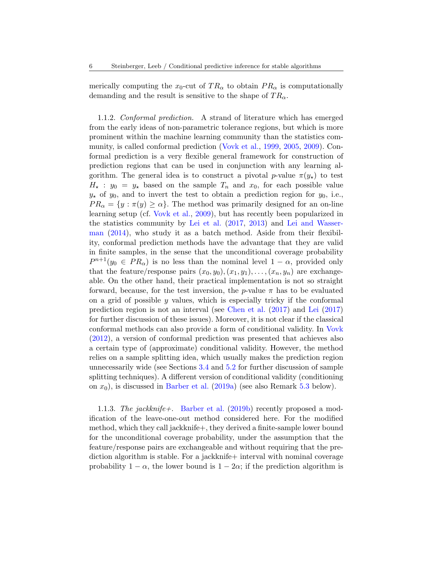merically computing the  $x_0$ -cut of  $TR_\alpha$  to obtain  $PR_\alpha$  is computationally demanding and the result is sensitive to the shape of  $TR_{\alpha}$ .

1.1.2. Conformal prediction. A strand of literature which has emerged from the early ideas of non-parametric tolerance regions, but which is more prominent within the machine learning community than the statistics community, is called conformal prediction [\(Vovk et al.,](#page-32-10) [1999,](#page-32-10) [2005,](#page-32-11) [2009\)](#page-32-12). Conformal prediction is a very flexible general framework for construction of prediction regions that can be used in conjunction with any learning algorithm. The general idea is to construct a pivotal p-value  $\pi(y_\star)$  to test  $H_{\star}$ :  $y_0 = y_{\star}$  based on the sample  $T_n$  and  $x_0$ , for each possible value  $y_{\star}$  of  $y_0$ , and to invert the test to obtain a prediction region for  $y_0$ , i.e.,  $PR_{\alpha} = \{y : \pi(y) \geq \alpha\}.$  The method was primarily designed for an on-line learning setup (cf. [Vovk et al.,](#page-32-12) [2009\)](#page-32-12), but has recently been popularized in the statistics community by [Lei et al.](#page-31-9) [\(2017,](#page-31-9) [2013\)](#page-31-10) and [Lei and Wasser](#page-31-11)[man](#page-31-11) [\(2014\)](#page-31-11), who study it as a batch method. Aside from their flexibility, conformal prediction methods have the advantage that they are valid in finite samples, in the sense that the unconditional coverage probability  $P^{n+1}(y_0 \in PR_\alpha)$  is no less than the nominal level  $1-\alpha$ , provided only that the feature/response pairs  $(x_0, y_0), (x_1, y_1), \ldots, (x_n, y_n)$  are exchangeable. On the other hand, their practical implementation is not so straight forward, because, for the test inversion, the p-value  $\pi$  has to be evaluated on a grid of possible  $y$  values, which is especially tricky if the conformal prediction region is not an interval (see [Chen et al.](#page-31-12) [\(2017\)](#page-31-12) and [Lei](#page-31-13) [\(2017\)](#page-31-13) for further discussion of these issues). Moreover, it is not clear if the classical conformal methods can also provide a form of conditional validity. In [Vovk](#page-32-13) [\(2012\)](#page-32-13), a version of conformal prediction was presented that achieves also a certain type of (approximate) conditional validity. However, the method relies on a sample splitting idea, which usually makes the prediction region unnecessarily wide (see Sections [3.4](#page-20-0) and [5.2](#page-26-0) for further discussion of sample splitting techniques). A different version of conditional validity (conditioning on  $x_0$ ), is discussed in [Barber et al.](#page-30-2) [\(2019a\)](#page-30-2) (see also Remark [5.3](#page-29-0) below).

1.1.3. The jackknife  $+$ . [Barber et al.](#page-30-3) [\(2019b\)](#page-30-3) recently proposed a modification of the leave-one-out method considered here. For the modified method, which they call jackknife+, they derived a finite-sample lower bound for the unconditional coverage probability, under the assumption that the feature/response pairs are exchangeable and without requiring that the prediction algorithm is stable. For a jackknife + interval with nominal coverage probability  $1 - \alpha$ , the lower bound is  $1 - 2\alpha$ ; if the prediction algorithm is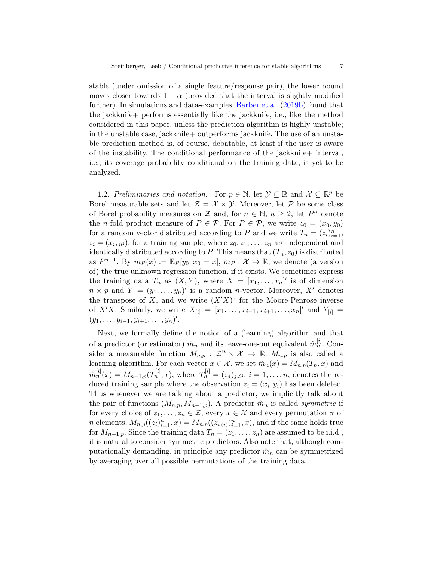stable (under omission of a single feature/response pair), the lower bound moves closer towards  $1 - \alpha$  (provided that the interval is slightly modified further). In simulations and data-examples, [Barber et al.](#page-30-3) [\(2019b\)](#page-30-3) found that the jackknife+ performs essentially like the jackknife, i.e., like the method considered in this paper, unless the prediction algorithm is highly unstable; in the unstable case, jackknife+ outperforms jackknife. The use of an unstable prediction method is, of course, debatable, at least if the user is aware of the instability. The conditional performance of the jackknife+ interval, i.e., its coverage probability conditional on the training data, is yet to be analyzed.

<span id="page-6-0"></span>1.2. Preliminaries and notation. For  $p \in \mathbb{N}$ , let  $\mathcal{Y} \subseteq \mathbb{R}$  and  $\mathcal{X} \subseteq \mathbb{R}^p$  be Borel measurable sets and let  $\mathcal{Z} = \mathcal{X} \times \mathcal{Y}$ . Moreover, let  $\mathcal{P}$  be some class of Borel probability measures on  $\mathcal Z$  and, for  $n \in \mathbb N$ ,  $n \geq 2$ , let  $P^n$  denote the *n*-fold product measure of  $P \in \mathcal{P}$ . For  $P \in \mathcal{P}$ , we write  $z_0 = (x_0, y_0)$ for a random vector distributed according to P and we write  $T_n = (z_i)_{i=1}^n$ ,  $z_i = (x_i, y_i)$ , for a training sample, where  $z_0, z_1, \ldots, z_n$  are independent and identically distributed according to P. This means that  $(T_n, z_0)$  is distributed as  $P^{n+1}$ . By  $m_P(x) := \mathbb{E}_P[y_0||x_0 = x]$ ,  $m_P : \mathcal{X} \to \mathbb{R}$ , we denote (a version of) the true unknown regression function, if it exists. We sometimes express the training data  $T_n$  as  $(X, Y)$ , where  $X = [x_1, \ldots, x_n]'$  is of dimension  $n \times p$  and  $Y = (y_1, \ldots, y_n)'$  is a random *n*-vector. Moreover, X' denotes the transpose of X, and we write  $(X'X)^{\dagger}$  for the Moore-Penrose inverse of X'X. Similarly, we write  $X_{[i]} = [x_1, \ldots, x_{i-1}, x_{i+1}, \ldots, x_n]'$  and  $Y_{[i]} =$  $(y_1, \ldots, y_{i-1}, y_{i+1}, \ldots, y_n)'$ .

Next, we formally define the notion of a (learning) algorithm and that of a predictor (or estimator)  $\hat{m}_n$  and its leave-one-out equivalent  $\hat{m}_n^{[i]}$ . Consider a measurable function  $M_{n,p} : \mathcal{Z}^n \times \mathcal{X} \to \mathbb{R}$ .  $M_{n,p}$  is also called a learning algorithm. For each vector  $x \in \mathcal{X}$ , we set  $\hat{m}_n(x) = M_{n,p}(T_n, x)$  and  $\hat{m}_n^{[i]}(x) = M_{n-1,p}(T_n^{[i]},x)$ , where  $T_n^{[i]} = (z_j)_{j \neq i}, i = 1, ..., n$ , denotes the reduced training sample where the observation  $z_i = (x_i, y_i)$  has been deleted. Thus whenever we are talking about a predictor, we implicitly talk about the pair of functions  $(M_{n,p}, M_{n-1,p})$ . A predictor  $\hat{m}_n$  is called *symmetric* if for every choice of  $z_1, \ldots, z_n \in \mathcal{Z}$ , every  $x \in \mathcal{X}$  and every permutation  $\pi$  of *n* elements,  $M_{n,p}((z_i)_{i=1}^n, x) = M_{n,p}((z_{\pi(i)})_{i=1}^n, x)$ , and if the same holds true for  $M_{n-1,p}$ . Since the training data  $T_n = (z_1, \ldots, z_n)$  are assumed to be i.i.d., it is natural to consider symmetric predictors. Also note that, although computationally demanding, in principle any predictor  $\hat{m}_n$  can be symmetrized by averaging over all possible permutations of the training data.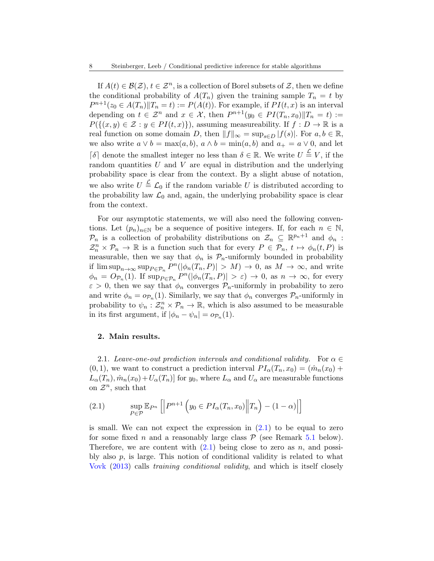If  $A(t) \in \mathcal{B}(\mathcal{Z}), t \in \mathcal{Z}^n$ , is a collection of Borel subsets of  $\mathcal{Z}$ , then we define the conditional probability of  $A(T_n)$  given the training sample  $T_n = t$  by  $P^{n+1}(z_0 \in A(T_n) || T_n = t) := P(A(t))$ . For example, if  $PI(t, x)$  is an interval depending on  $t \in \mathcal{Z}^n$  and  $x \in \mathcal{X}$ , then  $P^{n+1}(y_0 \in PI(T_n, x_0)||T_n = t) :=$  $P(\{(x,y)\in\mathcal{Z}:y\in PI(t,x)\})$ , assuming measureability. If  $f:D\to\mathbb{R}$  is a real function on some domain D, then  $||f||_{\infty} = \sup_{s \in D} |f(s)|$ . For  $a, b \in \mathbb{R}$ , we also write  $a \vee b = \max(a, b)$ ,  $a \wedge b = \min(a, b)$  and  $a_+ = a \vee 0$ , and let  $\lceil \delta \rceil$  denote the smallest integer no less than  $\delta \in \mathbb{R}$ . We write  $U \stackrel{\mathcal{L}}{=} V$ , if the random quantities  $U$  and  $V$  are equal in distribution and the underlying probability space is clear from the context. By a slight abuse of notation, we also write  $U \stackrel{\mathcal{L}}{=} \mathcal{L}_0$  if the random variable U is distributed according to the probability law  $\mathcal{L}_0$  and, again, the underlying probability space is clear from the context.

For our asymptotic statements, we will also need the following conventions. Let  $(p_n)_{n\in\mathbb{N}}$  be a sequence of positive integers. If, for each  $n \in \mathbb{N}$ ,  $\mathcal{P}_n$  is a collection of probability distributions on  $\mathcal{Z}_n \subseteq \mathbb{R}^{p_n+1}$  and  $\phi_n$ :  $\mathcal{Z}_n^n \times \mathcal{P}_n \to \mathbb{R}$  is a function such that for every  $P \in \mathcal{P}_n$ ,  $t \mapsto \phi_n(t, P)$  is measurable, then we say that  $\phi_n$  is  $\mathcal{P}_n$ -uniformly bounded in probability if  $\limsup_{n\to\infty} \sup_{P\in\mathcal{P}_n} P^{n}(|\phi_n(T_n, P)| > M) \to 0$ , as  $M \to \infty$ , and write  $\phi_n = O_{\mathcal{P}_n}(1)$ . If  $\sup_{P \in \mathcal{P}_n} P^n(|\phi_n(T_n, P)| > \varepsilon) \to 0$ , as  $n \to \infty$ , for every  $\varepsilon > 0$ , then we say that  $\phi_n$  converges  $\mathcal{P}_n$ -uniformly in probability to zero and write  $\phi_n = o_{\mathcal{P}_n}(1)$ . Similarly, we say that  $\phi_n$  converges  $\mathcal{P}_n$ -uniformly in probability to  $\psi_n : \mathcal{Z}_n^n \times \mathcal{P}_n \to \mathbb{R}$ , which is also assumed to be measurable in its first argument, if  $|\phi_n - \psi_n| = o_{\mathcal{P}_n}(1)$ .

## <span id="page-7-0"></span>2. Main results.

<span id="page-7-1"></span>2.1. Leave-one-out prediction intervals and conditional validity. For  $\alpha \in$  $(0, 1)$ , we want to construct a prediction interval  $PI_\alpha(T_n, x_0) = (\hat{m}_n(x_0) +$  $L_{\alpha}(T_n)$ ,  $\hat{m}_n(x_0) + U_{\alpha}(T_n)$  for  $y_0$ , where  $L_{\alpha}$  and  $U_{\alpha}$  are measurable functions on  $\mathcal{Z}^n$ , such that

<span id="page-7-2"></span>(2.1) 
$$
\sup_{P \in \mathcal{P}} \mathbb{E}_{P^n} \left[ \left| P^{n+1} \left( y_0 \in P I_\alpha(T_n, x_0) \middle| T_n \right) - (1 - \alpha) \right| \right]
$$

is small. We can not expect the expression in  $(2.1)$  to be equal to zero for some fixed n and a reasonably large class  $P$  (see Remark [5.1](#page-28-0) below). Therefore, we are content with  $(2.1)$  being close to zero as n, and possibly also  $p$ , is large. This notion of conditional validity is related to what [Vovk](#page-32-14) [\(2013\)](#page-32-14) calls training conditional validity, and which is itself closely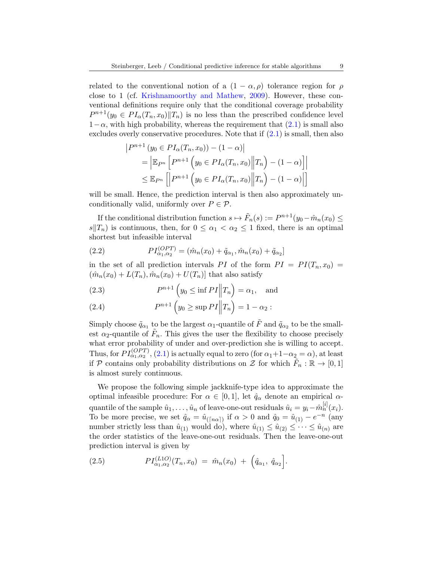related to the conventional notion of a  $(1 - \alpha, \rho)$  tolerance region for  $\rho$ close to 1 (cf. [Krishnamoorthy and Mathew,](#page-31-6) [2009\)](#page-31-6). However, these conventional definitions require only that the conditional coverage probability  $P^{n+1}(y_0 \in PI_\alpha(T_n, x_0) \| T_n)$  is no less than the prescribed confidence level  $1-\alpha$ , with high probability, whereas the requirement that  $(2.1)$  is small also excludes overly conservative procedures. Note that if  $(2.1)$  is small, then also

$$
|P^{n+1}(y_0 \in PI_{\alpha}(T_n, x_0)) - (1 - \alpha)|
$$
  
= 
$$
|\mathbb{E}_{P^n} [P^{n+1}(y_0 \in PI_{\alpha}(T_n, x_0)||T_n) - (1 - \alpha)]|
$$
  

$$
\leq \mathbb{E}_{P^n} [P^{n+1}(y_0 \in PI_{\alpha}(T_n, x_0)||T_n) - (1 - \alpha)]
$$

will be small. Hence, the prediction interval is then also approximately unconditionally valid, uniformly over  $P \in \mathcal{P}$ .

If the conditional distribution function  $s \mapsto \tilde{F}_n(s) := P^{n+1}(y_0 - \hat{m}_n(x_0)) \le$  $s||T_n$  is continuous, then, for  $0 \leq \alpha_1 < \alpha_2 \leq 1$  fixed, there is an optimal shortest but infeasible interval

<span id="page-8-1"></span>(2.2) 
$$
PI_{\alpha_1,\alpha_2}^{(OPT)} = (\hat{m}_n(x_0) + \tilde{q}_{\alpha_1}, \hat{m}_n(x_0) + \tilde{q}_{\alpha_2})
$$

in the set of all prediction intervals PI of the form  $PI = PI(T_n, x_0)$  $(\hat{m}_n(x_0) + L(T_n), \hat{m}_n(x_0) + U(T_n))$  that also satisfy

<span id="page-8-2"></span>(2.3) 
$$
P^{n+1}\left(y_0 \le \inf PI \middle\| T_n\right) = \alpha_1, \text{ and}
$$

<span id="page-8-3"></span>(2.4) 
$$
P^{n+1} (y_0 \ge \sup P I || T_n) = 1 - \alpha_2 :
$$

Simply choose  $\tilde{q}_{\alpha_1}$  to be the largest  $\alpha_1$ -quantile of  $\tilde{F}$  and  $\tilde{q}_{\alpha_2}$  to be the smallest  $\alpha_2$ -quantile of  $\tilde{F}_n$ . This gives the user the flexibility to choose precisely what error probability of under and over-prediction she is willing to accept. Thus, for  $PI_{\alpha_1,\alpha_2}^{(OPT)}$ , [\(2.1\)](#page-7-2) is actually equal to zero (for  $\alpha_1+1-\alpha_2=\alpha$ ), at least if P contains only probability distributions on  $\mathcal{Z}$  for which  $\tilde{F}_n : \mathbb{R} \to [0,1]$ is almost surely continuous.

We propose the following simple jackknife-type idea to approximate the optimal infeasible procedure: For  $\alpha \in [0,1]$ , let  $\hat{q}_{\alpha}$  denote an empirical  $\alpha$ quantile of the sample  $\hat{u}_1, \ldots, \hat{u}_n$  of leave-one-out residuals  $\hat{u}_i = y_i - \hat{m}_n^{[i]}(x_i)$ . To be more precise, we set  $\hat{q}_{\alpha} = \hat{u}_{(\lceil n\alpha \rceil)}$  if  $\alpha > 0$  and  $\hat{q}_0 = \hat{u}_{(1)} - e^{-n}$  (any number strictly less than  $\hat{u}_{(1)}$  would do), where  $\hat{u}_{(1)} \leq \hat{u}_{(2)} \leq \cdots \leq \hat{u}_{(n)}$  are the order statistics of the leave-one-out residuals. Then the leave-one-out prediction interval is given by

<span id="page-8-0"></span>(2.5) 
$$
PI_{\alpha_1,\alpha_2}^{(L1O)}(T_n,x_0) = \hat{m}_n(x_0) + \left(\hat{q}_{\alpha_1}, \hat{q}_{\alpha_2}\right].
$$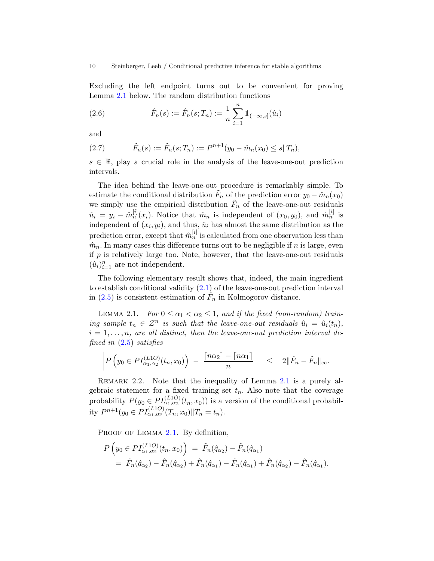Excluding the left endpoint turns out to be convenient for proving Lemma [2.1](#page-9-0) below. The random distribution functions

(2.6) 
$$
\hat{F}_n(s) := \hat{F}_n(s; T_n) := \frac{1}{n} \sum_{i=1}^n \mathbb{1}_{(-\infty, s]}(\hat{u}_i)
$$

and

(2.7) 
$$
\tilde{F}_n(s) := \tilde{F}_n(s; T_n) := P^{n+1}(y_0 - \hat{m}_n(x_0) \le s \| T_n),
$$

 $s \in \mathbb{R}$ , play a crucial role in the analysis of the leave-one-out prediction intervals.

The idea behind the leave-one-out procedure is remarkably simple. To estimate the conditional distribution  $\tilde{F}_n$  of the prediction error  $y_0 - \hat{m}_n(x_0)$ we simply use the empirical distribution  $\hat{F}_n$  of the leave-one-out residuals  $\hat{u}_i = y_i - \hat{m}_n^{[i]}(x_i)$ . Notice that  $\hat{m}_n$  is independent of  $(x_0, y_0)$ , and  $\hat{m}_n^{[i]}$  is independent of  $(x_i, y_i)$ , and thus,  $\hat{u}_i$  has almost the same distribution as the prediction error, except that  $\hat{m}_n^{[i]}$  is calculated from one observation less than  $\hat{m}_n$ . In many cases this difference turns out to be negligible if n is large, even if  $p$  is relatively large too. Note, however, that the leave-one-out residuals  $(\hat{u}_i)_{i=1}^n$  are not independent.

The following elementary result shows that, indeed, the main ingredient to establish conditional validity  $(2.1)$  of the leave-one-out prediction interval in [\(2.5\)](#page-8-0) is consistent estimation of  $\tilde{F}_n$  in Kolmogorov distance.

<span id="page-9-0"></span>LEMMA 2.1. For  $0 \leq \alpha_1 < \alpha_2 \leq 1$ , and if the fixed (non-random) training sample  $t_n \in \mathcal{Z}^n$  is such that the leave-one-out residuals  $\hat{u}_i = \hat{u}_i(t_n)$ ,  $i = 1, \ldots, n$ , are all distinct, then the leave-one-out prediction interval defined in [\(2.5\)](#page-8-0) satisfies

$$
\left| P\left(y_0 \in PI_{\alpha_1,\alpha_2}^{(L1O)}(t_n,x_0)\right) - \frac{\lceil n\alpha_2 \rceil - \lceil n\alpha_1 \rceil}{n} \right| \leq 2\|\hat{F}_n - \tilde{F}_n\|_{\infty}.
$$

REMARK 2.2. Note that the inequality of Lemma [2.1](#page-9-0) is a purely algebraic statement for a fixed training set  $t_n$ . Also note that the coverage probability  $P(y_0 \in PI_{\alpha_1,\alpha_2}^{(L1O)}(t_n,x_0))$  is a version of the conditional probability  $P^{n+1}(y_0 \in PI_{\alpha_1,\alpha_2}^{(L1O)}(T_n, x_0) \| T_n = t_n).$ 

PROOF OF LEMMA [2.1.](#page-9-0) By definition,

$$
P\left(y_0 \in PI_{\alpha_1,\alpha_2}^{(L1O)}(t_n, x_0)\right) = \tilde{F}_n(\hat{q}_{\alpha_2}) - \tilde{F}_n(\hat{q}_{\alpha_1})
$$
  
=  $\tilde{F}_n(\hat{q}_{\alpha_2}) - \hat{F}_n(\hat{q}_{\alpha_2}) + \hat{F}_n(\hat{q}_{\alpha_1}) - \tilde{F}_n(\hat{q}_{\alpha_1}) + \hat{F}_n(\hat{q}_{\alpha_2}) - \hat{F}_n(\hat{q}_{\alpha_1}).$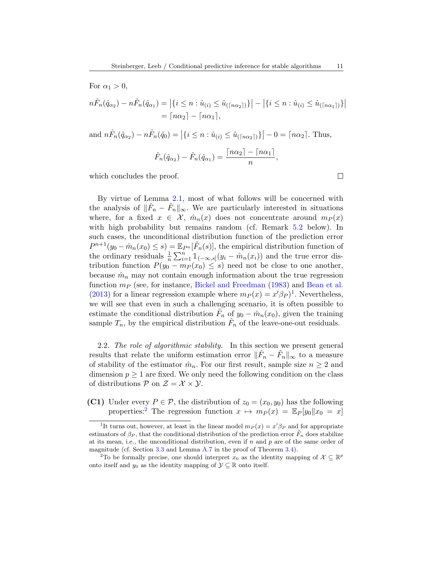$$
n\hat{F}_n(\hat{q}_{\alpha_2}) - n\hat{F}_n(\hat{q}_{\alpha_1}) = |\{i \le n : \hat{u}_{(i)} \le \hat{u}_{(\lceil n\alpha_2 \rceil)}\}| - |\{i \le n : \hat{u}_{(i)} \le \hat{u}_{(\lceil n\alpha_1 \rceil)}\}|
$$
  
=  $\lceil n\alpha_2 \rceil - \lceil n\alpha_1 \rceil$ ,

and  $n\hat{F}_n(\hat{q}_{\alpha_2}) - n\hat{F}_n(\hat{q}_0) = |\{i \leq n : \hat{u}_{(i)} \leq \hat{u}_{(\lceil n\alpha_2 \rceil)}\}| - 0 = \lceil n\alpha_2 \rceil$ . Thus,  $\hat{F}_n(\hat{q}_{\alpha_2}) - \hat{F}_n(\hat{q}_{\alpha_1}) = \frac{\lceil n \alpha_2 \rceil - \lceil n \alpha_1 \rceil}{n},$ 

which concludes the proof.

For  $\alpha_1 > 0$ ,

By virtue of Lemma [2.1,](#page-9-0) most of what follows will be concerned with the analysis of  $\|\hat{F}_n - \tilde{F}_n\|_{\infty}$ . We are particularly interested in situations where, for a fixed  $x \in \mathcal{X}$ ,  $\hat{m}_n(x)$  does not concentrate around  $m_P(x)$ with high probability but remains random (cf. Remark [5.2](#page-29-1) below). In such cases, the unconditional distribution function of the prediction error  $P^{n+1}(y_0 - \hat{m}_n(x_0) \leq s) = \mathbb{E}_{P^n}[\tilde{F}_n(s)],$  the empirical distribution function of the ordinary residuals  $\frac{1}{n} \sum_{i=1}^{n} \mathbb{1}_{(-\infty, s]}(y_i - \hat{m}_n(x_i))$  and the true error distribution function  $P(y_0 - m_P(x_0) \leq s)$  need not be close to one another, because  $\hat{m}_n$  may not contain enough information about the true regression function  $m_P$  (see, for instance, [Bickel and Freedman](#page-30-0) [\(1983\)](#page-30-0) and [Bean et al.](#page-30-1) [\(2013\)](#page-30-1) for a linear regression example where  $m_P(x) = x'\beta_P$ <sup>[1](#page-10-1)</sup>. Nevertheless, we will see that even in such a challenging scenario, it is often possible to estimate the conditional distribution  $\tilde{F}_n$  of  $y_0 - \hat{m}_n(x_0)$ , given the training sample  $T_n$ , by the empirical distribution  $\hat{F}_n$  of the leave-one-out residuals.

<span id="page-10-0"></span>2.2. The role of algorithmic stability. In this section we present general results that relate the uniform estimation error  $\|\hat{F}_n - \tilde{F}_n\|_{\infty}$  to a measure of stability of the estimator  $\hat{m}_n$ . For our first result, sample size  $n \geq 2$  and dimension  $p \geq 1$  are fixed. We only need the following condition on the class of distributions  $P$  on  $\mathcal{Z} = \mathcal{X} \times \mathcal{Y}$ .

<span id="page-10-3"></span>(C1) Under every  $P \in \mathcal{P}$ , the distribution of  $z_0 = (x_0, y_0)$  has the following properties:<sup>[2](#page-10-2)</sup> The regression function  $x \mapsto m_P(x) = \mathbb{E}_P[y_0||x_0 = x]$ 

 $\Box$ 

<span id="page-10-1"></span><sup>&</sup>lt;sup>1</sup>It turns out, however, at least in the linear model  $m_P(x) = x'\beta_P$  and for appropriate estimators of  $\beta_P$ , that the conditional distribution of the prediction error  $\tilde{F}_n$  does stabilize at its mean, i.e., the unconditional distribution, even if  $n$  and  $p$  are of the same order of magnitude (cf. Section [3.3](#page-17-0) and Lemma [A.7](#page-45-0) in the proof of Theorem [3.4\)](#page-18-0).

<span id="page-10-2"></span><sup>&</sup>lt;sup>2</sup>To be formally precise, one should interpret  $x_0$  as the identity mapping of  $\mathcal{X} \subseteq \mathbb{R}^p$ onto itself and  $y_0$  as the identity mapping of  $\mathcal{Y} \subseteq \mathbb{R}$  onto itself.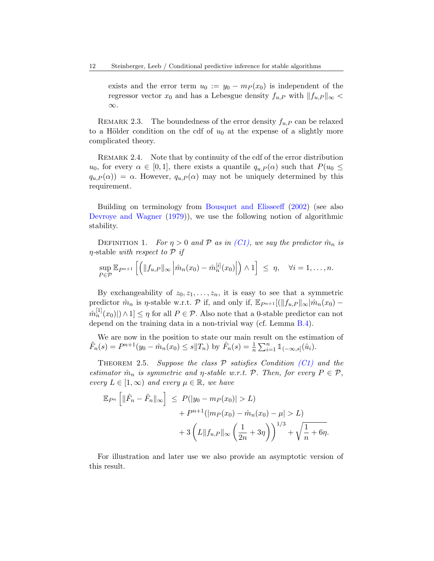exists and the error term  $u_0 := y_0 - m_P(x_0)$  is independent of the regressor vector  $x_0$  and has a Lebesgue density  $f_{u,P}$  with  $||f_{u,P}||_{\infty}$ ∞.

REMARK 2.3. The boundedness of the error density  $f_{u,P}$  can be relaxed to a Hölder condition on the cdf of  $u_0$  at the expense of a slightly more complicated theory.

REMARK 2.4. Note that by continuity of the cdf of the error distribution  $u_0$ , for every  $\alpha \in [0,1]$ , there exists a quantile  $q_{u,P}(\alpha)$  such that  $P(u_0 \leq$  $q_{u,P}(\alpha) = \alpha$ . However,  $q_{u,P}(\alpha)$  may not be uniquely determined by this requirement.

Building on terminology from [Bousquet and Elisseeff](#page-30-4) [\(2002\)](#page-30-4) (see also [Devroye and Wagner](#page-31-14) [\(1979\)](#page-31-14)), we use the following notion of algorithmic stability.

DEFINITION 1. For  $\eta > 0$  and P as in [\(C1\),](#page-10-3) we say the predictor  $\hat{m}_n$  is  $\eta$ -stable with respect to  $\mathcal P$  if

$$
\sup_{P \in \mathcal{P}} \mathbb{E}_{P^{n+1}}\left[\left(\|f_{u,P}\|_{\infty} \left|\hat{m}_n(x_0) - \hat{m}_n^{[i]}(x_0)\right|\right) \wedge 1\right] \leq \eta, \quad \forall i = 1,\ldots,n.
$$

By exchangeability of  $z_0, z_1, \ldots, z_n$ , it is easy to see that a symmetric predictor  $\hat{m}_n$  is  $\eta$ -stable w.r.t. P if, and only if,  $\mathbb{E}_{P^{n+1}}[(||f_{u,P}||_{\infty}|\hat{m}_n(x_0) \hat{m}_n^{[1]}(x_0)|\rangle\wedge 1] \leq \eta$  for all  $P \in \mathcal{P}$ . Also note that a 0-stable predictor can not depend on the training data in a non-trivial way (cf. Lemma [B.4\)](#page-54-0).

We are now in the position to state our main result on the estimation of  $\tilde{F}_n(s) = P^{n+1}(y_0 - \hat{m}_n(x_0) \leq s \|T_n)$  by  $\hat{F}_n(s) = \frac{1}{n} \sum_{i=1}^n \mathbb{1}_{(-\infty, s]}(\hat{u}_i)$ .

<span id="page-11-0"></span>THEOREM 2.5. Suppose the class  $P$  satisfies Condition [\(C1\)](#page-10-3) and the estimator  $\hat{m}_n$  is symmetric and  $\eta$ -stable w.r.t. P. Then, for every  $P \in \mathcal{P}$ , every  $L \in [1,\infty)$  and every  $\mu \in \mathbb{R}$ , we have

$$
\mathbb{E}_{P^n} \left[ \|\hat{F}_n - \tilde{F}_n\|_{\infty} \right] \le P(|y_0 - m_P(x_0)| > L) + P^{n+1}(|m_P(x_0) - \hat{m}_n(x_0) - \mu| > L) + 3\left( L \|f_{u,P}\|_{\infty} \left(\frac{1}{2n} + 3\eta\right) \right)^{1/3} + \sqrt{\frac{1}{n} + 6\eta}.
$$

For illustration and later use we also provide an asymptotic version of this result.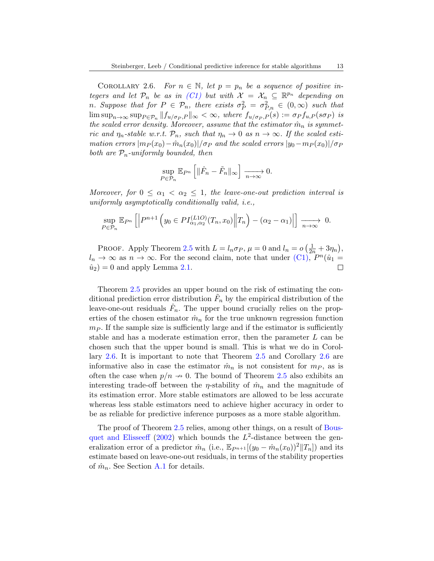<span id="page-12-0"></span>COROLLARY 2.6. For  $n \in \mathbb{N}$ , let  $p = p_n$  be a sequence of positive integers and let  $\mathcal{P}_n$  be as in [\(C1\)](#page-10-3) but with  $\mathcal{X} = \mathcal{X}_n \subseteq \mathbb{R}^{p_n}$  depending on n. Suppose that for  $P \in \mathcal{P}_n$ , there exists  $\sigma_P^2 = \sigma_{P,n}^2 \in (0,\infty)$  such that  $\limsup_{n\to\infty} \sup_{P\in\mathcal{P}_n} ||f_{u/\sigma_P,P}||_{\infty} < \infty$ , where  $f_{u/\sigma_P,P}(s) := \sigma_P f_{u,P}(s\sigma_P)$  is the scaled error density. Moreover, assume that the estimator  $\hat{m}_n$  is symmetric and  $\eta_n$ -stable w.r.t.  $\mathcal{P}_n$ , such that  $\eta_n \to 0$  as  $n \to \infty$ . If the scaled estimation errors  $|m_P(x_0)-m_n(x_0)|/\sigma_P$  and the scaled errors  $|y_0-m_P(x_0)|/\sigma_P$ both are  $P_n$ -uniformly bounded, then

$$
\sup_{P \in \mathcal{P}_n} \mathbb{E}_{P^n} \left[ \|\hat{F}_n - \tilde{F}_n\|_{\infty} \right] \xrightarrow[n \to \infty]{} 0.
$$

Moreover, for  $0 \leq \alpha_1 < \alpha_2 \leq 1$ , the leave-one-out prediction interval is uniformly asymptotically conditionally valid, i.e.,

$$
\sup_{P \in \mathcal{P}_n} \mathbb{E}_{P^n} \left[ \left| P^{n+1} \left( y_0 \in PI_{\alpha_1, \alpha_2}^{(L1O)}(T_n, x_0) \middle\| T_n \right) - (\alpha_2 - \alpha_1) \right| \right] \xrightarrow[n \to \infty]{} 0.
$$

PROOF. Apply Theorem [2.5](#page-11-0) with  $L = l_n \sigma_P$ ,  $\mu = 0$  and  $l_n = o\left(\frac{1}{2n} + 3\eta_n\right)$ ,  $l_n \to \infty$  as  $n \to \infty$ . For the second claim, note that under [\(C1\),](#page-10-3)  $P^n(\hat{u}_1)$  $\hat{u}_2$  = 0 and apply Lemma [2.1.](#page-9-0)  $\Box$ 

Theorem [2.5](#page-11-0) provides an upper bound on the risk of estimating the conditional prediction error distribution  $\tilde{F}_n$  by the empirical distribution of the leave-one-out residuals  $\hat{F}_n$ . The upper bound crucially relies on the properties of the chosen estimator  $\hat{m}_n$  for the true unknown regression function  $m_P$ . If the sample size is sufficiently large and if the estimator is sufficiently stable and has a moderate estimation error, then the parameter L can be chosen such that the upper bound is small. This is what we do in Corollary [2.6.](#page-12-0) It is important to note that Theorem [2.5](#page-11-0) and Corollary [2.6](#page-12-0) are informative also in case the estimator  $\hat{m}_n$  is not consistent for  $m_P$ , as is often the case when  $p/n \to 0$ . The bound of Theorem [2.5](#page-11-0) also exhibits an interesting trade-off between the *η*-stability of  $\hat{m}_n$  and the magnitude of its estimation error. More stable estimators are allowed to be less accurate whereas less stable estimators need to achieve higher accuracy in order to be as reliable for predictive inference purposes as a more stable algorithm.

The proof of Theorem [2.5](#page-11-0) relies, among other things, on a result of [Bous](#page-30-4)[quet and Elisseeff](#page-30-4) [\(2002\)](#page-30-4) which bounds the  $L^2$ -distance between the generalization error of a predictor  $\hat{m}_n$  (i.e.,  $\mathbb{E}_{P^{n+1}}[(y_0 - \hat{m}_n(x_0))^2||T_n]$ ) and its estimate based on leave-one-out residuals, in terms of the stability properties of  $\hat{m}_n$ . See Section [A.1](#page-33-0) for details.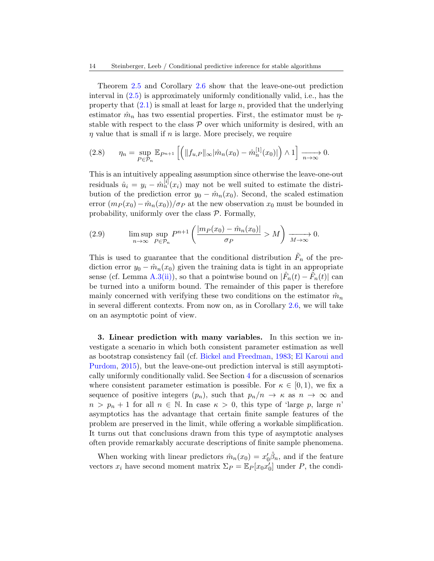Theorem [2.5](#page-11-0) and Corollary [2.6](#page-12-0) show that the leave-one-out prediction interval in [\(2.5\)](#page-8-0) is approximately uniformly conditionally valid, i.e., has the property that  $(2.1)$  is small at least for large n, provided that the underlying estimator  $\hat{m}_n$  has two essential properties. First, the estimator must be  $\eta$ stable with respect to the class  $P$  over which uniformity is desired, with an  $\eta$  value that is small if n is large. More precisely, we require

<span id="page-13-1"></span>
$$
(2.8) \qquad \eta_n = \sup_{P \in \mathcal{P}_n} \mathbb{E}_{P^{n+1}} \left[ \left( \|f_{u,P}\|_{\infty} |\hat{m}_n(x_0) - \hat{m}_n^{[1]}(x_0)| \right) \wedge 1 \right] \xrightarrow[n \to \infty]{} 0.
$$

This is an intuitively appealing assumption since otherwise the leave-one-out residuals  $\hat{u}_i = y_i - \hat{m}_n^{[i]}(x_i)$  may not be well suited to estimate the distribution of the prediction error  $y_0 - \hat{m}_n(x_0)$ . Second, the scaled estimation error  $(m_P(x_0)-\hat{m}_n(x_0))/\sigma_P$  at the new observation  $x_0$  must be bounded in probability, uniformly over the class  $P$ . Formally,

<span id="page-13-2"></span>(2.9) 
$$
\limsup_{n \to \infty} \sup_{P \in \mathcal{P}_n} P^{n+1} \left( \frac{|m_P(x_0) - \hat{m}_n(x_0)|}{\sigma_P} > M \right) \xrightarrow[M \to \infty]{} 0.
$$

This is used to guarantee that the conditional distribution  $\tilde{F}_n$  of the prediction error  $y_0 - \hat{m}_n(x_0)$  given the training data is tight in an appropriate sense (cf. Lemma [A.3](#page-34-0)[\(ii\)\)](#page-34-1), so that a pointwise bound on  $|\hat{F}_n(t) - \tilde{F}_n(t)|$  can be turned into a uniform bound. The remainder of this paper is therefore mainly concerned with verifying these two conditions on the estimator  $\hat{m}_n$ in several different contexts. From now on, as in Corollary [2.6,](#page-12-0) we will take on an asymptotic point of view.

<span id="page-13-0"></span>3. Linear prediction with many variables. In this section we investigate a scenario in which both consistent parameter estimation as well as bootstrap consistency fail (cf. [Bickel and Freedman,](#page-30-0) [1983;](#page-30-0) [El Karoui and](#page-31-0) [Purdom,](#page-31-0) [2015\)](#page-31-0), but the leave-one-out prediction interval is still asymptotically uniformly conditionally valid. See Section [4](#page-22-0) for a discussion of scenarios where consistent parameter estimation is possible. For  $\kappa \in [0,1)$ , we fix a sequence of positive integers  $(p_n)$ , such that  $p_n/n \to \kappa$  as  $n \to \infty$  and  $n > p_n + 1$  for all  $n \in \mathbb{N}$ . In case  $\kappa > 0$ , this type of 'large p, large n' asymptotics has the advantage that certain finite sample features of the problem are preserved in the limit, while offering a workable simplification. It turns out that conclusions drawn from this type of asymptotic analyses often provide remarkably accurate descriptions of finite sample phenomena.

When working with linear predictors  $\hat{m}_n(x_0) = x'_0 \hat{\beta}_n$ , and if the feature vectors  $x_i$  have second moment matrix  $\Sigma_P = \mathbb{E}_P[x_0 x_0']$  under P, the condi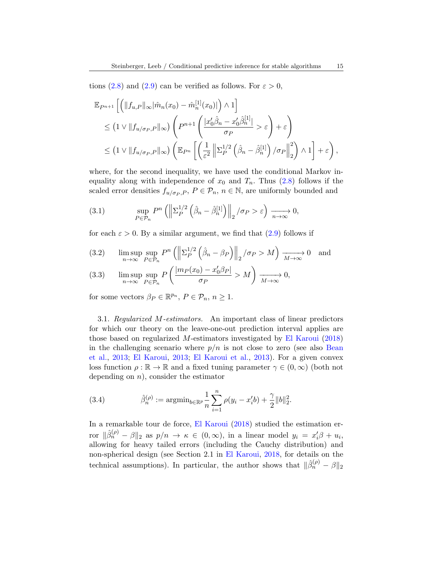tions [\(2.8\)](#page-13-1) and [\(2.9\)](#page-13-2) can be verified as follows. For  $\varepsilon > 0$ ,

$$
\mathbb{E}_{P^{n+1}}\left[\left(\|f_{u,P}\|_{\infty}|\hat{m}_n(x_0)-\hat{m}_n^{[1]}(x_0)|\right)\wedge 1\right] \n\leq \left(1 \vee \|f_{u/\sigma_P,P}\|_{\infty}\right)\left(P^{n+1}\left(\frac{|x'_0\hat{\beta}_n-x'_0\hat{\beta}_n^{[1]}|}{\sigma_P} > \varepsilon\right)+\varepsilon\right) \n\leq \left(1 \vee \|f_{u/\sigma_P,P}\|_{\infty}\right)\left(\mathbb{E}_{P^n}\left[\left(\frac{1}{\varepsilon^2}\left\|\Sigma_P^{1/2}\left(\hat{\beta}_n-\hat{\beta}_n^{[1]}\right)/\sigma_P\right\|_2^2\right)\wedge 1\right]+\varepsilon\right),
$$

where, for the second inequality, we have used the conditional Markov inequality along with independence of  $x_0$  and  $T_n$ . Thus  $(2.8)$  follows if the scaled error densities  $f_{u/\sigma_P, P}, P \in \mathcal{P}_n, n \in \mathbb{N}$ , are uniformly bounded and

<span id="page-14-0"></span>(3.1) 
$$
\sup_{P \in \mathcal{P}_n} P^n \left( \left\| \Sigma_P^{1/2} \left( \hat{\beta}_n - \hat{\beta}_n^{[1]} \right) \right\|_2 / \sigma_P > \varepsilon \right) \xrightarrow[n \to \infty]{} 0,
$$

for each  $\varepsilon > 0$ . By a similar argument, we find that  $(2.9)$  follows if

<span id="page-14-1"></span>(3.2) 
$$
\limsup_{n \to \infty} \sup_{P \in \mathcal{P}_n} P^n \left( \left\| \Sigma_P^{1/2} \left( \hat{\beta}_n - \beta_P \right) \right\|_2 / \sigma_P > M \right) \xrightarrow[M \to \infty]{} 0 \text{ and}
$$

<span id="page-14-2"></span>(3.3) 
$$
\limsup_{n \to \infty} \sup_{P \in \mathcal{P}_n} P\left(\frac{|m_P(x_0) - x'_0 \beta_P|}{\sigma_P} > M\right) \xrightarrow[M \to \infty]{} 0,
$$

for some vectors  $\beta_P \in \mathbb{R}^{p_n}$ ,  $P \in \mathcal{P}_n$ ,  $n \ge 1$ .

<span id="page-14-3"></span>3.1. Regularized M-estimators. An important class of linear predictors for which our theory on the leave-one-out prediction interval applies are those based on regularized M-estimators investigated by [El Karoui](#page-31-4) [\(2018\)](#page-31-4) in the challenging scenario where  $p/n$  is not close to zero (see also [Bean](#page-30-1) [et al.,](#page-30-1) [2013;](#page-30-1) [El Karoui,](#page-31-3) [2013;](#page-31-3) [El Karoui et al.,](#page-31-2) [2013\)](#page-31-2). For a given convex loss function  $\rho : \mathbb{R} \to \mathbb{R}$  and a fixed tuning parameter  $\gamma \in (0, \infty)$  (both not depending on  $n$ , consider the estimator

(3.4) 
$$
\hat{\beta}_n^{(\rho)} := \operatorname{argmin}_{b \in \mathbb{R}^p} \frac{1}{n} \sum_{i=1}^n \rho(y_i - x_i' b) + \frac{\gamma}{2} ||b||_2^2.
$$

In a remarkable tour de force, [El Karoui](#page-31-4) [\(2018\)](#page-31-4) studied the estimation error  $\|\hat{\beta}_n^{(\rho)} - \beta\|_2$  as  $p/n \to \kappa \in (0, \infty)$ , in a linear model  $y_i = x'_i \beta + u_i$ , allowing for heavy tailed errors (including the Cauchy distribution) and non-spherical design (see Section 2.1 in [El Karoui,](#page-31-4) [2018,](#page-31-4) for details on the technical assumptions). In particular, the author shows that  $\|\hat{\beta}_n^{(\rho)} - \beta\|_2$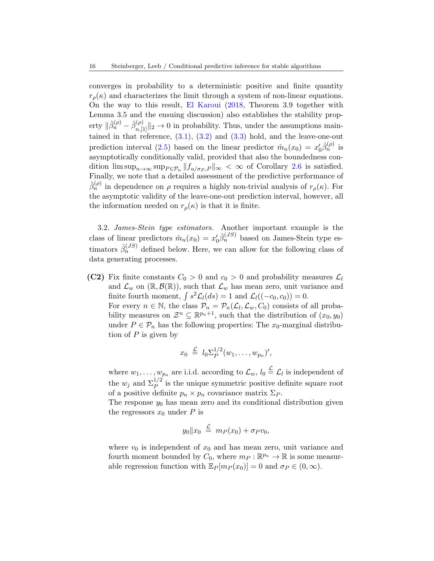converges in probability to a deterministic positive and finite quantity  $r_{\rho}(\kappa)$  and characterizes the limit through a system of non-linear equations. On the way to this result, [El Karoui](#page-31-4) [\(2018,](#page-31-4) Theorem 3.9 together with Lemma 3.5 and the ensuing discussion) also establishes the stability property  $\|\hat{\beta}_n^{(\rho)} - \hat{\beta}_{n,[1]}^{(\rho)}\|_2 \to 0$  in probability. Thus, under the assumptions maintained in that reference,  $(3.1)$ ,  $(3.2)$  and  $(3.3)$  hold, and the leave-one-out prediction interval [\(2.5\)](#page-8-0) based on the linear predictor  $\hat{m}_n(x_0) = x'_0 \hat{\beta}_n^{(\rho)}$  is asymptotically conditionally valid, provided that also the boundedness condition  $\limsup_{n\to\infty} \sup_{P\in\mathcal{P}_n} ||f_{u/\sigma_P,P}||_{\infty} < \infty$  of Corollary [2.6](#page-12-0) is satisfied. Finally, we note that a detailed assessment of the predictive performance of  $\hat{\beta}_n^{(\rho)}$  in dependence on  $\rho$  requires a highly non-trivial analysis of  $r_\rho(\kappa)$ . For the asymptotic validity of the leave-one-out prediction interval, however, all the information needed on  $r_{\rho}(\kappa)$  is that it is finite.

3.2. James-Stein type estimators. Another important example is the class of linear predictors  $\hat{m}_n(x_0) = x'_0 \hat{\beta}_n^{(JS)}$  based on James-Stein type estimators  $\hat{\beta}_n^{(JS)}$  defined below. Here, we can allow for the following class of data generating processes.

<span id="page-15-0"></span>(C2) Fix finite constants  $C_0 > 0$  and  $c_0 > 0$  and probability measures  $\mathcal{L}_l$ and  $\mathcal{L}_w$  on  $(\mathbb{R}, \mathcal{B}(\mathbb{R}))$ , such that  $\mathcal{L}_w$  has mean zero, unit variance and finite fourth moment,  $\int s^2 \mathcal{L}_l(ds) = 1$  and  $\mathcal{L}_l((-c_0, c_0)) = 0$ . For every  $n \in \mathbb{N}$ , the class  $\mathcal{P}_n = \mathcal{P}_n(\mathcal{L}_l, \mathcal{L}_w, C_0)$  consists of all probability measures on  $\mathcal{Z}^n \subseteq \mathbb{R}^{p_n+1}$ , such that the distribution of  $(x_0, y_0)$ under  $P \in \mathcal{P}_n$  has the following properties: The  $x_0$ -marginal distribu-

tion of  $P$  is given by

$$
x_0 \stackrel{\mathcal{L}}{=} l_0 \Sigma_P^{1/2} (w_1, \ldots, w_{p_n})',
$$

where  $w_1, \ldots, w_{p_n}$  are i.i.d. according to  $\mathcal{L}_w$ ,  $l_0 \stackrel{\mathcal{L}}{=} \mathcal{L}_l$  is independent of the  $w_j$  and  $\Sigma_P^{1/2}$  is the unique symmetric positive definite square root of a positive definite  $p_n \times p_n$  covariance matrix  $\Sigma_P$ .

The response  $y_0$  has mean zero and its conditional distribution given the regressors  $x_0$  under P is

$$
y_0\|x_0\ \stackrel{\mathcal{L}}{=} \ m_P(x_0)+\sigma_Pv_0,
$$

where  $v_0$  is independent of  $x_0$  and has mean zero, unit variance and fourth moment bounded by  $C_0$ , where  $m_P : \mathbb{R}^{p_n} \to \mathbb{R}$  is some measurable regression function with  $\mathbb{E}_P[m_P(x_0)] = 0$  and  $\sigma_P \in (0, \infty)$ .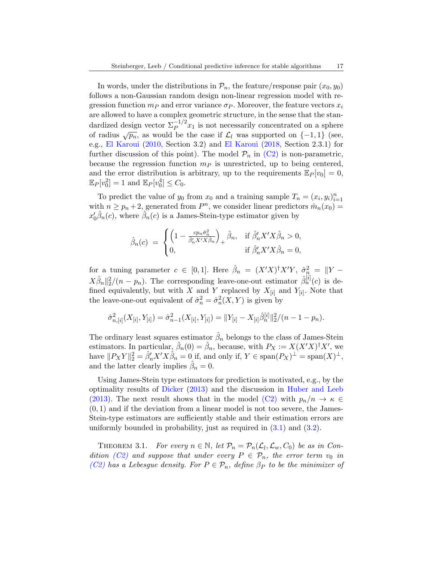In words, under the distributions in  $\mathcal{P}_n$ , the feature/response pair  $(x_0, y_0)$ follows a non-Gaussian random design non-linear regression model with regression function  $m_P$  and error variance  $\sigma_P$ . Moreover, the feature vectors  $x_i$ are allowed to have a complex geometric structure, in the sense that the standardized design vector  $\sum_{P} 1/2} x_1$  is not necessarily concentrated on a sphere of radius  $\sqrt{p_n}$ , as would be the case if  $\mathcal{L}_l$  was supported on  $\{-1,1\}$  (see, e.g., [El Karoui](#page-31-15) [\(2010,](#page-31-15) Section 3.2) and [El Karoui](#page-31-4) [\(2018,](#page-31-4) Section 2.3.1) for further discussion of this point). The model  $\mathcal{P}_n$  in [\(C2\)](#page-15-0) is non-parametric, because the regression function  $m_P$  is unrestricted, up to being centered, and the error distribution is arbitrary, up to the requirements  $\mathbb{E}_P[v_0] = 0$ ,  $\mathbb{E}_P[v_0^2] = 1$  and  $\mathbb{E}_P[v_0^4] \leq C_0$ .

To predict the value of  $y_0$  from  $x_0$  and a training sample  $T_n = (x_i, y_i)_{i=1}^n$ with  $n \geq p_n + 2$ , generated from  $P^n$ , we consider linear predictors  $\hat{m}_n(x_0)$  =  $x_0'\hat{\beta}_n(c)$ , where  $\hat{\beta}_n(c)$  is a James-Stein-type estimator given by

$$
\hat{\beta}_n(c) = \begin{cases} \left(1 - \frac{cp_n\hat{\sigma}_n^2}{\hat{\beta}_n'X'X\hat{\beta}_n}\right)_+ \hat{\beta}_n, & \text{if } \hat{\beta}_n'X'X\hat{\beta}_n > 0, \\ 0, & \text{if } \hat{\beta}_n'X'X\hat{\beta}_n = 0, \end{cases}
$$

for a tuning parameter  $c \in [0,1]$ . Here  $\hat{\beta}_n = (X'X)^{\dagger}X'Y$ ,  $\hat{\sigma}_n^2 = ||Y - \hat{\sigma}_n||^2$  $X\hat{\beta}_n||_2^2/(n-p_n)$ . The corresponding leave-one-out estimator  $\hat{\beta}_n^{[i]}(c)$  is defined equivalently, but with X and Y replaced by  $X_{[i]}$  and  $Y_{[i]}$ . Note that the leave-one-out equivalent of  $\hat{\sigma}_n^2 = \hat{\sigma}_n^2(X, Y)$  is given by

$$
\hat{\sigma}_{n,[i]}^2(X_{[i]},Y_{[i]}) = \hat{\sigma}_{n-1}^2(X_{[i]},Y_{[i]}) = ||Y_{[i]} - X_{[i]}\hat{\beta}_n^{[i]}||_2^2/(n-1-p_n).
$$

The ordinary least squares estimator  $\hat{\beta}_n$  belongs to the class of James-Stein estimators. In particular,  $\hat{\beta}_n(0) = \hat{\beta}_n$ , because, with  $P_X := X(X'X)^{\dagger}X'$ , we have  $||P_XY||_2^2 = \hat{\beta}'_n X'X\hat{\beta}_n = 0$  if, and only if,  $Y \in \text{span}(P_X)^{\perp} = \text{span}(X)^{\perp}$ , and the latter clearly implies  $\hat{\beta}_n = 0$ .

Using James-Stein type estimators for prediction is motivated, e.g., by the optimality results of [Dicker](#page-31-16) [\(2013\)](#page-31-16) and the discussion in [Huber and Leeb](#page-31-17) [\(2013\)](#page-31-17). The next result shows that in the model [\(C2\)](#page-15-0) with  $p_n/n \to \kappa \in$  $(0, 1)$  and if the deviation from a linear model is not too severe, the James-Stein-type estimators are sufficiently stable and their estimation errors are uniformly bounded in probability, just as required in  $(3.1)$  and  $(3.2)$ .

<span id="page-16-0"></span>THEOREM 3.1. For every  $n \in \mathbb{N}$ , let  $\mathcal{P}_n = \mathcal{P}_n(\mathcal{L}_l, \mathcal{L}_w, C_0)$  be as in Con-dition [\(C2\)](#page-15-0) and suppose that under every  $P \in \mathcal{P}_n$ , the error term  $v_0$  in [\(C2\)](#page-15-0) has a Lebesgue density. For  $P \in \mathcal{P}_n$ , define  $\beta_P$  to be the minimizer of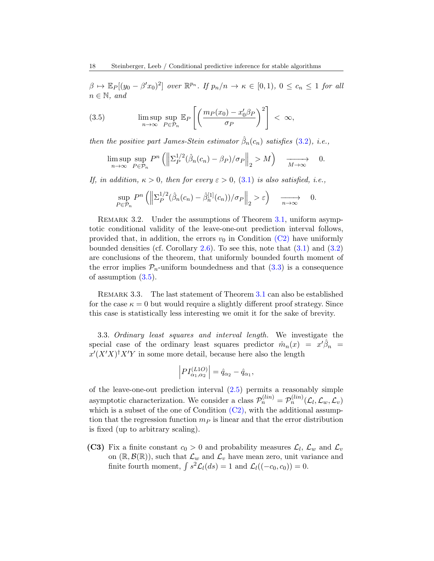$\beta \mapsto \mathbb{E}_P[(y_0 - \beta' x_0)^2]$  over  $\mathbb{R}^{p_n}$ . If  $p_n/n \to \kappa \in [0,1)$ ,  $0 \le c_n \le 1$  for all  $n \in \mathbb{N}$ , and

<span id="page-17-1"></span>(3.5) 
$$
\limsup_{n \to \infty} \sup_{P \in \mathcal{P}_n} \mathbb{E}_P \left[ \left( \frac{m_P(x_0) - x'_0 \beta_P}{\sigma_P} \right)^2 \right] < \infty,
$$

then the positive part James-Stein estimator  $\hat{\beta}_n(c_n)$  satisfies [\(3.2\)](#page-14-1), i.e.,

$$
\limsup_{n \to \infty} \sup_{P \in \mathcal{P}_n} P^n \left( \left\| \Sigma_P^{1/2} (\hat{\beta}_n(c_n) - \beta_P) / \sigma_P \right\|_2 > M \right) \xrightarrow[M \to \infty]{} 0.
$$

If, in addition,  $\kappa > 0$ , then for every  $\varepsilon > 0$ ,  $(3.1)$  is also satisfied, i.e.,

$$
\sup_{P \in \mathcal{P}_n} P^n \left( \left\| \Sigma_P^{1/2} (\hat{\beta}_n(c_n) - \hat{\beta}_n^{[1]}(c_n)) / \sigma_P \right\|_2 > \varepsilon \right) \xrightarrow[n \to \infty]{} 0.
$$

REMARK 3.2. Under the assumptions of Theorem [3.1,](#page-16-0) uniform asymptotic conditional validity of the leave-one-out prediction interval follows, provided that, in addition, the errors  $v_0$  in Condition [\(C2\)](#page-15-0) have uniformly bounded densities (cf. Corollary [2.6\)](#page-12-0). To see this, note that  $(3.1)$  and  $(3.2)$ are conclusions of the theorem, that uniformly bounded fourth moment of the error implies  $P_n$ -uniform boundedness and that  $(3.3)$  is a consequence of assumption [\(3.5\)](#page-17-1).

Remark 3.3. The last statement of Theorem [3.1](#page-16-0) can also be established for the case  $\kappa = 0$  but would require a slightly different proof strategy. Since this case is statistically less interesting we omit it for the sake of brevity.

<span id="page-17-0"></span>3.3. Ordinary least squares and interval length. We investigate the special case of the ordinary least squares predictor  $\hat{m}_n(x) = x'\hat{\beta}_n$  $x'(X'X)^{\dagger}X'Y$  in some more detail, because here also the length

$$
\left|PI_{\alpha_1,\alpha_2}^{(L1O)}\right| = \hat{q}_{\alpha_2} - \hat{q}_{\alpha_1},
$$

of the leave-one-out prediction interval  $(2.5)$  permits a reasonably simple asymptotic characterization. We consider a class  $\mathcal{P}_n^{(lin)} = \mathcal{P}_n^{(lin)}(\mathcal{L}_l, \mathcal{L}_w, \mathcal{L}_v)$ which is a subset of the one of Condition  $(C2)$ , with the additional assumption that the regression function  $m<sub>P</sub>$  is linear and that the error distribution is fixed (up to arbitrary scaling).

<span id="page-17-2"></span>(C3) Fix a finite constant  $c_0 > 0$  and probability measures  $\mathcal{L}_l$ ,  $\mathcal{L}_w$  and  $\mathcal{L}_v$ on  $(\mathbb{R}, \mathcal{B}(\mathbb{R}))$ , such that  $\mathcal{L}_w$  and  $\mathcal{L}_v$  have mean zero, unit variance and finite fourth moment,  $\int s^2 \mathcal{L}_l(ds) = 1$  and  $\mathcal{L}_l((-c_0, c_0)) = 0$ .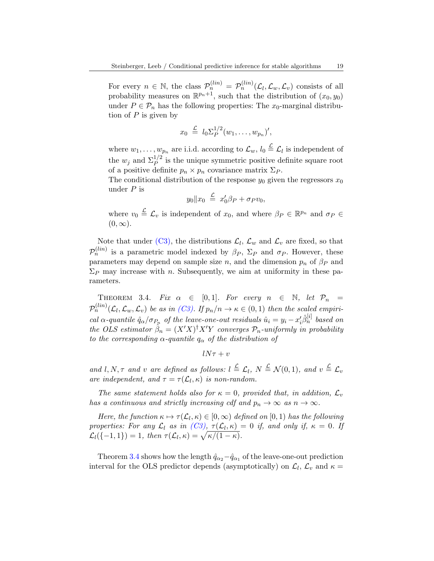For every  $n \in \mathbb{N}$ , the class  $\mathcal{P}_n^{(lin)} = \mathcal{P}_n^{(lin)}(\mathcal{L}_l, \mathcal{L}_w, \mathcal{L}_v)$  consists of all probability measures on  $\mathbb{R}^{p_n+1}$ , such that the distribution of  $(x_0, y_0)$ under  $P \in \mathcal{P}_n$  has the following properties: The  $x_0$ -marginal distribution of  $P$  is given by

$$
x_0 \stackrel{\mathcal{L}}{=} l_0 \Sigma_P^{1/2} (w_1, \ldots, w_{p_n})',
$$

where  $w_1, \ldots, w_{p_n}$  are i.i.d. according to  $\mathcal{L}_w, l_0 \stackrel{\mathcal{L}}{=} \mathcal{L}_l$  is independent of the  $w_j$  and  $\Sigma_P^{1/2}$  is the unique symmetric positive definite square root of a positive definite  $p_n \times p_n$  covariance matrix  $\Sigma_P$ .

The conditional distribution of the response  $y_0$  given the regressors  $x_0$ under  $P$  is

$$
y_0 \| x_0 \stackrel{\mathcal{L}}{=} x'_0 \beta_P + \sigma_P v_0,
$$

where  $v_0 \stackrel{\mathcal{L}}{=} \mathcal{L}_v$  is independent of  $x_0$ , and where  $\beta_P \in \mathbb{R}^{p_n}$  and  $\sigma_P \in$  $(0, \infty)$ .

Note that under [\(C3\),](#page-17-2) the distributions  $\mathcal{L}_l$ ,  $\mathcal{L}_w$  and  $\mathcal{L}_v$  are fixed, so that  $\mathcal{P}_n^{(lin)}$  is a parametric model indexed by  $\beta_P$ ,  $\Sigma_P$  and  $\sigma_P$ . However, these parameters may depend on sample size n, and the dimension  $p_n$  of  $\beta_P$  and  $\Sigma_P$  may increase with n. Subsequently, we aim at uniformity in these parameters.

<span id="page-18-0"></span>THEOREM 3.4. Fix  $\alpha \in [0,1]$ . For every  $n \in \mathbb{N}$ , let  $\mathcal{P}_n =$  $\mathcal{P}_n^{(lin)}(\mathcal{L}_l,\mathcal{L}_w,\mathcal{L}_v)$  be as in [\(C3\).](#page-17-2) If  $p_n/n \to \kappa \in (0,1)$  then the scaled empirical  $\alpha$ -quantile  $\hat{q}_{\alpha}/\sigma_{P_n}$  of the leave-one-out residuals  $\hat{u}_i = y_i - x'_i \hat{\beta}_n^{[i]}$  based on the OLS estimator  $\hat{\beta}_n = (X'X)^{\dagger} X'Y$  converges  $\mathcal{P}_n$ -uniformly in probability to the corresponding  $\alpha$ -quantile  $q_{\alpha}$  of the distribution of

$$
lN\tau+v
$$

and l, N,  $\tau$  and v are defined as follows:  $l \stackrel{\mathcal{L}}{=} \mathcal{L}_l$ ,  $N \stackrel{\mathcal{L}}{=} \mathcal{N}(0,1)$ , and  $v \stackrel{\mathcal{L}}{=} \mathcal{L}_v$ are independent, and  $\tau = \tau(\mathcal{L}_l, \kappa)$  is non-random.

The same statement holds also for  $\kappa = 0$ , provided that, in addition,  $\mathcal{L}_v$ has a continuous and strictly increasing cdf and  $p_n \to \infty$  as  $n \to \infty$ .

Here, the function  $\kappa \mapsto \tau(\mathcal{L}_l, \kappa) \in [0, \infty)$  defined on  $[0, 1)$  has the following properties: For any  $\mathcal{L}_l$  as in  $(C3)$ ,  $\tau(\mathcal{L}_l, \kappa) = 0$  if, and only if,  $\kappa = 0$ . If  $\mathcal{L}_l(\{-1,1\}) = 1$ , then  $\tau(\mathcal{L}_l, \kappa) = \sqrt{\kappa/(1-\kappa)}$ .

Theorem [3.4](#page-18-0) shows how the length  $\hat{q}_{\alpha_2} - \hat{q}_{\alpha_1}$  of the leave-one-out prediction interval for the OLS predictor depends (asymptotically) on  $\mathcal{L}_l$ ,  $\mathcal{L}_v$  and  $\kappa =$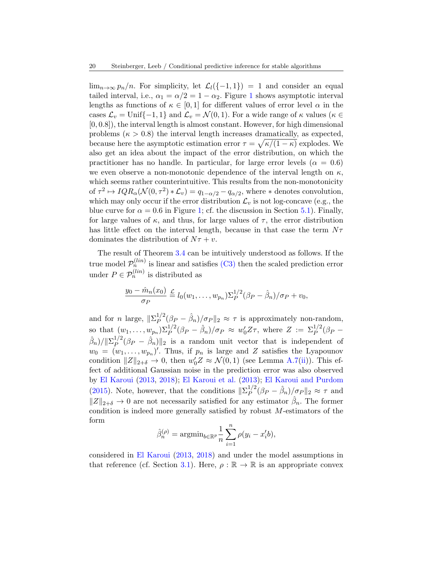$\lim_{n\to\infty} p_n/n$ . For simplicity, let  $\mathcal{L}_l(\{-1,1\}) = 1$  and consider an equal tailed interval, i.e.,  $\alpha_1 = \alpha/2 = 1 - \alpha_2$  $\alpha_1 = \alpha/2 = 1 - \alpha_2$  $\alpha_1 = \alpha/2 = 1 - \alpha_2$ . Figure 1 shows asymptotic interval lengths as functions of  $\kappa \in [0,1]$  for different values of error level  $\alpha$  in the cases  $\mathcal{L}_v = \text{Unif}\{-1, 1\}$  and  $\mathcal{L}_v = \mathcal{N}(0, 1)$ . For a wide range of  $\kappa$  values ( $\kappa \in$ [0, 0.8]), the interval length is almost constant. However, for high dimensional problems ( $\kappa > 0.8$ ) the interval length increases dramatically, as expected, because here the asymptotic estimation error  $\tau = \sqrt{\kappa/(1-\kappa)}$  explodes. We also get an idea about the impact of the error distribution, on which the practitioner has no handle. In particular, for large error levels ( $\alpha = 0.6$ ) we even observe a non-monotonic dependence of the interval length on  $\kappa$ , which seems rather counterintuitive. This results from the non-monotonicity of  $\tau^2 \mapsto IQR_\alpha(\mathcal{N}(0, \tau^2)*\mathcal{L}_v) = q_{1-\alpha/2} - q_{\alpha/2}$ , where  $*$  denotes convolution, which may only occur if the error distribution  $\mathcal{L}_v$  is not log-concave (e.g., the blue curve for  $\alpha = 0.6$  in Figure [1;](#page-21-0) cf. the discussion in Section [5.1\)](#page-25-1). Finally, for large values of  $\kappa$ , and thus, for large values of  $\tau$ , the error distribution has little effect on the interval length, because in that case the term  $N\tau$ dominates the distribution of  $N\tau + v$ .

The result of Theorem [3.4](#page-18-0) can be intuitively understood as follows. If the true model  $\mathcal{P}_n^{(lin)}$  is linear and satisfies [\(C3\)](#page-17-2) then the scaled prediction error under  $P \in \mathcal{P}_n^{(lin)}$  is distributed as

$$
\frac{y_0 - \hat{m}_n(x_0)}{\sigma_P} \stackrel{\mathcal{L}}{=} l_0(w_1, \dots, w_{p_n}) \Sigma_P^{1/2} (\beta_P - \hat{\beta}_n) / \sigma_P + v_0,
$$

and for *n* large,  $\|\Sigma_P^{1/2}\|$  $_{P}^{1/2}(\beta_P - \hat{\beta}_n)/\sigma_P \|_2 \approx \tau$  is approximately non-random, so that  $(w_1,\ldots,w_{p_n})\Sigma_P^{1/2}(\beta_P-\hat{\beta}_n)/\sigma_P \approx w_0'Z\tau$ , where  $Z := \Sigma_P^{1/2}(\beta_P-\tau)$  $(\hat{\beta}_n)/\|\Sigma_P^{1/2}$  ${}_P^{1/2}(\beta_P - \hat{\beta}_n)||_2$  is a random unit vector that is independent of  $w_0 = (w_1, \ldots, w_{p_n})'$ . Thus, if  $p_n$  is large and Z satisfies the Lyapounov condition  $||Z||_{2+\delta} \to 0$ , then  $w'_0 Z \approx \mathcal{N}(0, 1)$  (see Lemma [A.7](#page-45-0)[\(ii\)](#page-45-1)). This effect of additional Gaussian noise in the prediction error was also observed by [El Karoui](#page-31-3) [\(2013,](#page-31-3) [2018\)](#page-31-4); [El Karoui et al.](#page-31-2) [\(2013\)](#page-31-2); [El Karoui and Purdom](#page-31-0) [\(2015\)](#page-31-0). Note, however, that the conditions  $\|\Sigma_{P}^{1/2}\|$  $_{P}^{1/2}(\beta_{P}-\hat{\beta}_{n})/\sigma_{P}\|_{2} \approx \tau$  and  $||Z||_{2+\delta} \to 0$  are not necessarily satisfied for any estimator  $\hat{\beta}_n$ . The former condition is indeed more generally satisfied by robust  $M$ -estimators of the form

$$
\hat{\beta}_n^{(\rho)} = \operatorname{argmin}_{b \in \mathbb{R}^p} \frac{1}{n} \sum_{i=1}^n \rho(y_i - x_i' b),
$$

considered in [El Karoui](#page-31-3) [\(2013,](#page-31-3) [2018\)](#page-31-4) and under the model assumptions in that reference (cf. Section [3.1\)](#page-14-3). Here,  $\rho : \mathbb{R} \to \mathbb{R}$  is an appropriate convex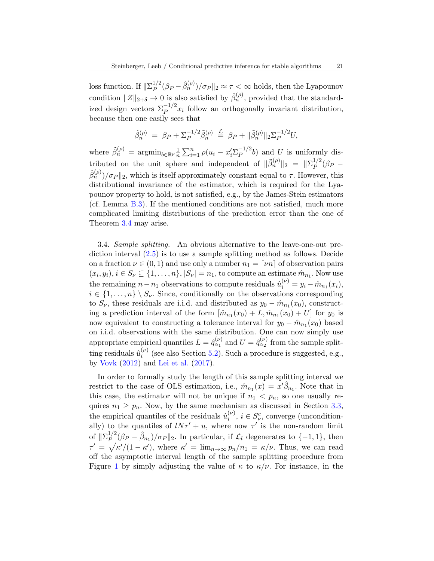loss function. If  $\|\Sigma_P^{1/2}\|$  $\int_P^{1/2} (\beta_P - \hat{\beta}_n^{(\rho)}) / \sigma_P ||_2 \approx \tau < \infty$  holds, then the Lyapounov condition  $||Z||_{2+\delta} \to 0$  is also satisfied by  $\hat{\beta}_n^{(\rho)}$ , provided that the standardized design vectors  $\sum_{P}^{-1/2} x_i$  follow an orthogonally invariant distribution, because then one easily sees that

$$
\hat{\beta}_n^{(\rho)} = \beta_P + \Sigma_P^{-1/2} \tilde{\beta}_n^{(\rho)} \stackrel{\mathcal{L}}{=} \beta_P + ||\tilde{\beta}_n^{(\rho)}||_2 \Sigma_P^{-1/2} U,
$$

where  $\tilde{\beta}_n^{(\rho)} = \operatorname{argmin}_{b \in \mathbb{R}^p} \frac{1}{n}$  $\frac{1}{n} \sum_{i=1}^{n} \rho(u_i - x_i' \Sigma_P^{-1/2})$  $P^{-1/2}b$  and U is uniformly distributed on the unit sphere and independent of  $\|\tilde{\beta}_n^{(\rho)}\|_2 = \|\Sigma_P^{1/2}\|_2$  $P^{1/2}(\beta_P \hat{\beta}_n^{(\rho)} / \sigma_P ||_2$ , which is itself approximately constant equal to  $\tau$ . However, this distributional invariance of the estimator, which is required for the Lyapounov property to hold, is not satisfied, e.g., by the James-Stein estimators (cf. Lemma [B.3\)](#page-52-0). If the mentioned conditions are not satisfied, much more complicated limiting distributions of the prediction error than the one of Theorem [3.4](#page-18-0) may arise.

<span id="page-20-0"></span>3.4. Sample splitting. An obvious alternative to the leave-one-out prediction interval [\(2.5\)](#page-8-0) is to use a sample splitting method as follows. Decide on a fraction  $\nu \in (0,1)$  and use only a number  $n_1 = \lceil \nu n \rceil$  of observation pairs  $(x_i, y_i), i \in S_\nu \subseteq \{1, \ldots, n\}, |S_\nu| = n_1$ , to compute an estimate  $\hat{m}_{n_1}$ . Now use the remaining  $n - n_1$  observations to compute residuals  $\hat{u}_i^{(\nu)} = y_i - \hat{m}_{n_1}(x_i)$ ,  $i \in \{1, \ldots, n\} \setminus S_{\nu}$ . Since, conditionally on the observations corresponding to  $S_{\nu}$ , these residuals are i.i.d. and distributed as  $y_0 - \hat{m}_{n_1}(x_0)$ , constructing a prediction interval of the form  $[\hat{m}_{n_1}(x_0) + L, \hat{m}_{n_1}(x_0) + U]$  for  $y_0$  is now equivalent to constructing a tolerance interval for  $y_0 - \hat{m}_{n_1}(x_0)$  based on i.i.d. observations with the same distribution. One can now simply use appropriate empirical quantiles  $L = \hat{q}_{\alpha_1}^{(\nu)}$  and  $U = \hat{q}_{\alpha_2}^{(\nu)}$  from the sample splitting residuals  $\hat{u}_i^{(\nu)}$  $i^{(\nu)}$  (see also Section [5.2\)](#page-26-0). Such a procedure is suggested, e.g., by [Vovk](#page-32-13) [\(2012\)](#page-32-13) and [Lei et al.](#page-31-9) [\(2017\)](#page-31-9).

In order to formally study the length of this sample splitting interval we restrict to the case of OLS estimation, i.e.,  $\hat{m}_{n_1}(x) = x'\hat{\beta}_{n_1}$ . Note that in this case, the estimator will not be unique if  $n_1 < p_n$ , so one usually requires  $n_1 \geq p_n$ . Now, by the same mechanism as discussed in Section [3.3,](#page-17-0) the empirical quantiles of the residuals  $\hat{u}_i^{(\nu)}$  $i^{(\nu)}$ ,  $i \in S_{\nu}^{c}$ , converge (unconditionally) to the quantiles of  $lN\tau' + u$ , where now  $\tau'$  is the non-random limit of  $\|\Sigma_P^{1/2}$  $P_P^{1/2}(\beta_P - \hat{\beta}_{n_1})/\sigma_P ||_2$ . In particular, if  $\mathcal{L}_l$  degenerates to  $\{-1,1\}$ , then  $\tau' = \sqrt{\kappa'/(1-\kappa')}$ , where  $\kappa' = \lim_{n \to \infty} p_n/n_1 = \kappa/\nu$ . Thus, we can read off the asymptotic interval length of the sample splitting procedure from Figure [1](#page-21-0) by simply adjusting the value of  $\kappa$  to  $\kappa/\nu$ . For instance, in the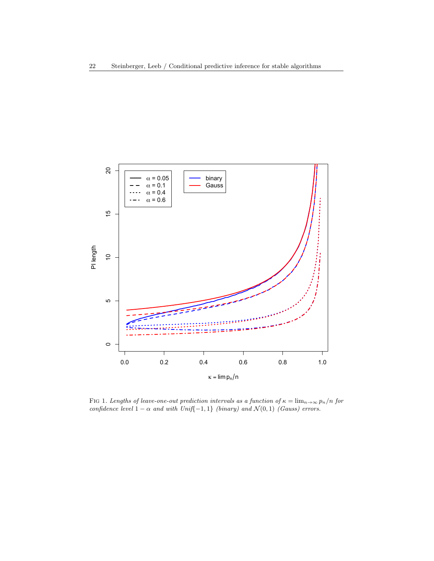

<span id="page-21-0"></span>FIG 1. Lengths of leave-one-out prediction intervals as a function of  $\kappa = \lim_{n\to\infty} p_n/n$  for confidence level  $1 - \alpha$  and with Unif{-1, 1} (binary) and  $\mathcal{N}(0, 1)$  (Gauss) errors.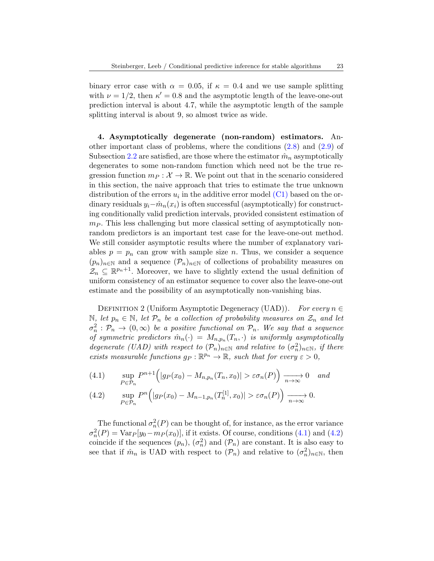binary error case with  $\alpha = 0.05$ , if  $\kappa = 0.4$  and we use sample splitting with  $\nu = 1/2$ , then  $\kappa' = 0.8$  and the asymptotic length of the leave-one-out prediction interval is about 4.7, while the asymptotic length of the sample splitting interval is about 9, so almost twice as wide.

<span id="page-22-0"></span>4. Asymptotically degenerate (non-random) estimators. Another important class of problems, where the conditions [\(2.8\)](#page-13-1) and [\(2.9\)](#page-13-2) of Subsection [2.2](#page-10-0) are satisfied, are those where the estimator  $\hat{m}_n$  asymptotically degenerates to some non-random function which need not be the true regression function  $m_P : \mathcal{X} \to \mathbb{R}$ . We point out that in the scenario considered in this section, the naive approach that tries to estimate the true unknown distribution of the errors  $u_i$  in the additive error model [\(C1\)](#page-10-3) based on the ordinary residuals  $y_i-\hat{m}_n(x_i)$  is often successful (asymptotically) for constructing conditionally valid prediction intervals, provided consistent estimation of  $m_P$ . This less challenging but more classical setting of asymptotically nonrandom predictors is an important test case for the leave-one-out method. We still consider asymptotic results where the number of explanatory variables  $p = p_n$  can grow with sample size n. Thus, we consider a sequence  $(p_n)_{n\in\mathbb{N}}$  and a sequence  $(\mathcal{P}_n)_{n\in\mathbb{N}}$  of collections of probability measures on  $\mathcal{Z}_n \subseteq \mathbb{R}^{p_n+1}$ . Moreover, we have to slightly extend the usual definition of uniform consistency of an estimator sequence to cover also the leave-one-out estimate and the possibility of an asymptotically non-vanishing bias.

DEFINITION 2 (Uniform Asymptotic Degeneracy (UAD)). For every  $n \in$ N, let  $p_n \in \mathbb{N}$ , let  $\mathcal{P}_n$  be a collection of probability measures on  $\mathcal{Z}_n$  and let  $\sigma_n^2 : \mathcal{P}_n \to (0,\infty)$  be a positive functional on  $\mathcal{P}_n$ . We say that a sequence of symmetric predictors  $\hat{m}_n(\cdot) = M_{n,p_n}(T_n, \cdot)$  is uniformly asymptotically degenerate (UAD) with respect to  $(\mathcal{P}_n)_{n \in \mathbb{N}}$  and relative to  $(\sigma_n^2)_{n \in \mathbb{N}}$ , if there exists measurable functions  $g_P : \mathbb{R}^{p_n} \to \mathbb{R}$ , such that for every  $\varepsilon > 0$ ,

<span id="page-22-1"></span>(4.1) 
$$
\sup_{P \in \mathcal{P}_n} P^{n+1} \Big( |g_P(x_0) - M_{n,p_n}(T_n, x_0)| > \varepsilon \sigma_n(P) \Big) \xrightarrow[n \to \infty]{} 0 \quad \text{and}
$$

<span id="page-22-2"></span>(4.2) 
$$
\sup_{P \in \mathcal{P}_n} P^n \Big( |g_P(x_0) - M_{n-1,p_n}(T_n^{[1]}, x_0)| > \varepsilon \sigma_n(P) \Big) \xrightarrow[n \to \infty]{} 0.
$$

The functional  $\sigma_n^2(P)$  can be thought of, for instance, as the error variance  $\sigma_n^2(P) = \text{Var}_P[y_0 - m_P(x_0)],$  if it exists. Of course, conditions [\(4.1\)](#page-22-1) and [\(4.2\)](#page-22-2) coincide if the sequences  $(p_n)$ ,  $(\sigma_n^2)$  and  $(\mathcal{P}_n)$  are constant. It is also easy to see that if  $\hat{m}_n$  is UAD with respect to  $(\mathcal{P}_n)$  and relative to  $(\sigma_n^2)_{n \in \mathbb{N}}$ , then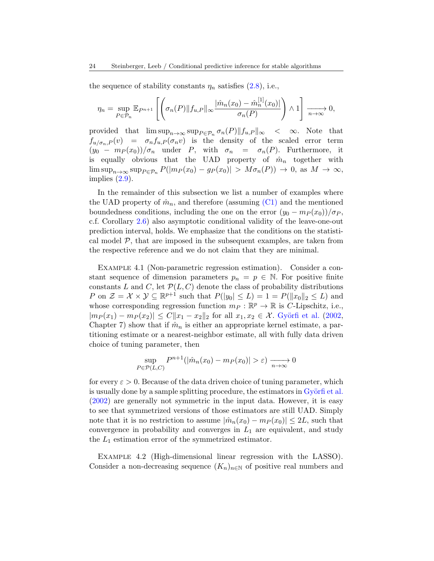the sequence of stability constants  $\eta_n$  satisfies [\(2.8\)](#page-13-1), i.e.,

$$
\eta_n = \sup_{P \in \mathcal{P}_n} \mathbb{E}_{P^{n+1}} \left[ \left( \sigma_n(P) \| f_{u,P} \|_{\infty} \frac{|\hat{m}_n(x_0) - \hat{m}_n^{[1]}(x_0)|}{\sigma_n(P)} \right) \wedge 1 \right] \xrightarrow[n \to \infty]{} 0,
$$

provided that  $\limsup_{n\to\infty} \sup_{P\in\mathcal{P}_n} \sigma_n(P) ||f_{u,P}||_{\infty} < \infty$ . Note that  $f_{u/\sigma_n,P}(v) = \sigma_n f_{u,P}(\sigma_n v)$  is the density of the scaled error term  $(y_0 - m_P(x_0))/\sigma_n$  under P, with  $\sigma_n = \sigma_n(P)$ . Furthermore, it is equally obvious that the UAD property of  $\hat{m}_n$  together with  $\limsup_{n\to\infty} \sup_{P\in\mathcal{P}_n} P(|m_P(x_0) - g_P(x_0)| > M\sigma_n(P)) \to 0$ , as  $M \to \infty$ , implies  $(2.9)$ .

In the remainder of this subsection we list a number of examples where the UAD property of  $\hat{m}_n$ , and therefore (assuming  $(C1)$ ) and the mentioned boundedness conditions, including the one on the error  $(y_0 - m_P(x_0))/\sigma_P$ , c.f. Corollary [2.6\)](#page-12-0) also asymptotic conditional validity of the leave-one-out prediction interval, holds. We emphasize that the conditions on the statistical model  $P$ , that are imposed in the subsequent examples, are taken from the respective reference and we do not claim that they are minimal.

Example 4.1 (Non-parametric regression estimation). Consider a constant sequence of dimension parameters  $p_n = p \in \mathbb{N}$ . For positive finite constants L and C, let  $\mathcal{P}(L, C)$  denote the class of probability distributions P on  $\mathcal{Z} = \mathcal{X} \times \mathcal{Y} \subseteq \mathbb{R}^{p+1}$  such that  $P(|y_0| \leq L) = 1 = P(||x_0||_2 \leq L)$  and whose corresponding regression function  $m_P : \mathbb{R}^p \to \mathbb{R}$  is C-Lipschitz, i.e.,  $|m_P (x_1) - m_P (x_2)| \leq C ||x_1 - x_2||_2$  for all  $x_1, x_2 \in \mathcal{X}$ . Györfi et al. [\(2002,](#page-31-18) Chapter 7) show that if  $\hat{m}_n$  is either an appropriate kernel estimate, a partitioning estimate or a nearest-neighbor estimate, all with fully data driven choice of tuning parameter, then

$$
\sup_{P \in \mathcal{P}(L,C)} P^{n+1}(|\hat{m}_n(x_0) - m_P(x_0)| > \varepsilon) \xrightarrow[n \to \infty]{} 0
$$

for every  $\varepsilon > 0$ . Because of the data driven choice of tuning parameter, which is usually done by a sample splitting procedure, the estimators in Györfi et al. [\(2002\)](#page-31-18) are generally not symmetric in the input data. However, it is easy to see that symmetrized versions of those estimators are still UAD. Simply note that it is no restriction to assume  $|\hat{m}_n(x_0) - m_P(x_0)| \leq 2L$ , such that convergence in probability and converges in  $L_1$  are equivalent, and study the  $L_1$  estimation error of the symmetrized estimator.

Example 4.2 (High-dimensional linear regression with the LASSO). Consider a non-decreasing sequence  $(K_n)_{n\in\mathbb{N}}$  of positive real numbers and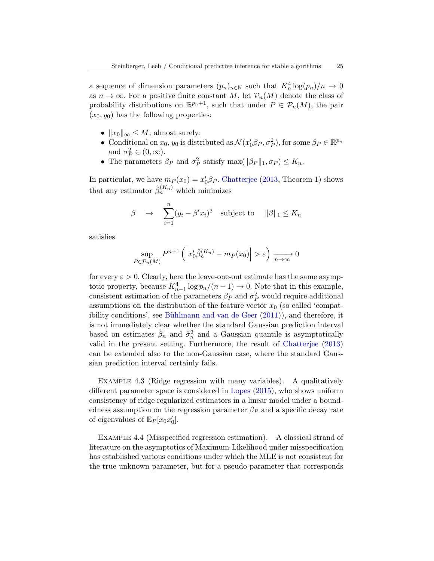a sequence of dimension parameters  $(p_n)_{n \in \mathbb{N}}$  such that  $K_n^4 \log(p_n)/n \to 0$ as  $n \to \infty$ . For a positive finite constant M, let  $\mathcal{P}_n(M)$  denote the class of probability distributions on  $\mathbb{R}^{p_n+1}$ , such that under  $P \in \mathcal{P}_n(M)$ , the pair  $(x_0, y_0)$  has the following properties:

- $||x_0||_{\infty} \leq M$ , almost surely.
- Conditional on  $x_0, y_0$  is distributed as  $\mathcal{N}(x_0'\beta_P, \sigma_P^2)$ , for some  $\beta_P \in \mathbb{R}^{p_n}$ and  $\sigma_P^2 \in (0, \infty)$ .
- The parameters  $\beta_P$  and  $\sigma_P^2$  satisfy max( $\|\beta_P\|_1, \sigma_P$ )  $\leq K_n$ .

In particular, we have  $m_P(x_0) = x'_0 \beta_P$ . [Chatterjee](#page-31-19) [\(2013,](#page-31-19) Theorem 1) shows that any estimator  $\hat{\beta}_n^{(K_n)}$  which minimizes

$$
\beta \quad \mapsto \quad \sum_{i=1}^{n} (y_i - \beta' x_i)^2 \quad \text{subject to} \quad ||\beta||_1 \le K_n
$$

satisfies

$$
\sup_{P \in \mathcal{P}_n(M)} P^{n+1} \left( \left| x'_0 \hat{\beta}_n^{(K_n)} - m_P(x_0) \right| > \varepsilon \right) \xrightarrow[n \to \infty]{} 0
$$

for every  $\varepsilon > 0$ . Clearly, here the leave-one-out estimate has the same asymptotic property, because  $K_{n-1}^4 \log p_n/(n-1) \to 0$ . Note that in this example, consistent estimation of the parameters  $\beta_P$  and  $\sigma_P^2$  would require additional assumptions on the distribution of the feature vector  $x_0$  (so called 'compatibility conditions', see Bühlmann and van de Geer  $(2011)$ ), and therefore, it is not immediately clear whether the standard Gaussian prediction interval based on estimates  $\hat{\beta}_n$  and  $\hat{\sigma}_n^2$  and a Gaussian quantile is asymptotically valid in the present setting. Furthermore, the result of [Chatterjee](#page-31-19) [\(2013\)](#page-31-19) can be extended also to the non-Gaussian case, where the standard Gaussian prediction interval certainly fails.

Example 4.3 (Ridge regression with many variables). A qualitatively different parameter space is considered in [Lopes](#page-32-15) [\(2015\)](#page-32-15), who shows uniform consistency of ridge regularized estimators in a linear model under a boundedness assumption on the regression parameter  $\beta_P$  and a specific decay rate of eigenvalues of  $\mathbb{E}_P[x_0x_0']$ .

Example 4.4 (Misspecified regression estimation). A classical strand of literature on the asymptotics of Maximum-Likelihood under misspecification has established various conditions under which the MLE is not consistent for the true unknown parameter, but for a pseudo parameter that corresponds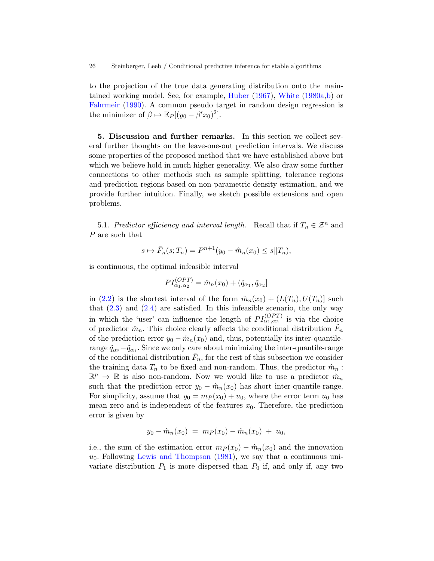to the projection of the true data generating distribution onto the maintained working model. See, for example, [Huber](#page-31-21) [\(1967\)](#page-31-21), [White](#page-32-16) [\(1980a,](#page-32-16)[b\)](#page-32-17) or [Fahrmeir](#page-31-22) [\(1990\)](#page-31-22). A common pseudo target in random design regression is the minimizer of  $\beta \mapsto \mathbb{E}_P[(y_0 - \beta' x_0)^2]$ .

<span id="page-25-0"></span>5. Discussion and further remarks. In this section we collect several further thoughts on the leave-one-out prediction intervals. We discuss some properties of the proposed method that we have established above but which we believe hold in much higher generality. We also draw some further connections to other methods such as sample splitting, tolerance regions and prediction regions based on non-parametric density estimation, and we provide further intuition. Finally, we sketch possible extensions and open problems.

<span id="page-25-1"></span>5.1. Predictor efficiency and interval length. Recall that if  $T_n \in \mathcal{Z}^n$  and P are such that

$$
s \mapsto \tilde{F}_n(s; T_n) = P^{n+1}(y_0 - \hat{m}_n(x_0) \le s || T_n),
$$

is continuous, the optimal infeasible interval

$$
PI_{\alpha_1,\alpha_2}^{(OPT)} = \hat{m}_n(x_0) + (\tilde{q}_{\alpha_1}, \tilde{q}_{\alpha_2})
$$

in [\(2.2\)](#page-8-1) is the shortest interval of the form  $\hat{m}_n(x_0) + (L(T_n), U(T_n))$  such that  $(2.3)$  and  $(2.4)$  are satisfied. In this infeasible scenario, the only way in which the 'user' can influence the length of  $PI_{\alpha_1,\alpha_2}^{(OPT)}$  is via the choice of predictor  $\hat{m}_n$ . This choice clearly affects the conditional distribution  $\tilde{F}_n$ of the prediction error  $y_0 - \hat{m}_n(x_0)$  and, thus, potentially its inter-quantilerange  $\tilde{q}_{\alpha_2} - \tilde{q}_{\alpha_1}$ . Since we only care about minimizing the inter-quantile-range of the conditional distribution  $\tilde{F}_n$ , for the rest of this subsection we consider the training data  $T_n$  to be fixed and non-random. Thus, the predictor  $\hat{m}_n$ :  $\mathbb{R}^p \to \mathbb{R}$  is also non-random. Now we would like to use a predictor  $\hat{m}_n$ such that the prediction error  $y_0 - \hat{m}_n(x_0)$  has short inter-quantile-range. For simplicity, assume that  $y_0 = m_P(x_0) + u_0$ , where the error term  $u_0$  has mean zero and is independent of the features  $x_0$ . Therefore, the prediction error is given by

$$
y_0 - \hat{m}_n(x_0) = m_P(x_0) - \hat{m}_n(x_0) + u_0,
$$

i.e., the sum of the estimation error  $m_P(x_0) - \hat{m}_n(x_0)$  and the innovation  $u_0$ . Following [Lewis and Thompson](#page-31-23) [\(1981\)](#page-31-23), we say that a continuous univariate distribution  $P_1$  is more dispersed than  $P_0$  if, and only if, any two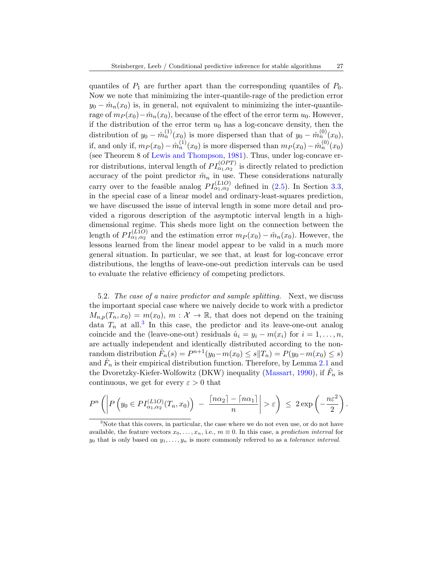quantiles of  $P_1$  are further apart than the corresponding quantiles of  $P_0$ . Now we note that minimizing the inter-quantile-rage of the prediction error  $y_0 - \hat{m}_n(x_0)$  is, in general, not equivalent to minimizing the inter-quantilerage of  $m_P(x_0)-m_n(x_0)$ , because of the effect of the error term  $u_0$ . However, if the distribution of the error term  $u_0$  has a log-concave density, then the distribution of  $y_0 - \hat{m}_n^{(1)}(x_0)$  is more dispersed than that of  $y_0 - \hat{m}_n^{(0)}(x_0)$ , if, and only if,  $m_P(x_0) - \hat{m}_n^{(1)}(x_0)$  is more dispersed than  $m_P(x_0) - \hat{m}_n^{(0)}(x_0)$ (see Theorem 8 of [Lewis and Thompson,](#page-31-23) [1981\)](#page-31-23). Thus, under log-concave erfor distributions, interval length of  $PI_{\alpha_1,\alpha_2}^{(OPT)}$  is directly related to prediction accuracy of the point predictor  $\hat{m}_n$  in use. These considerations naturally carry over to the feasible analog  $PI_{\alpha_1,\alpha_2}^{(L1O)}$  defined in [\(2.5\)](#page-8-0). In Section [3.3,](#page-17-0) in the special case of a linear model and ordinary-least-squares prediction, we have discussed the issue of interval length in some more detail and provided a rigorous description of the asymptotic interval length in a highdimensional regime. This sheds more light on the connection between the length of  $PI_{\alpha_1,\alpha_2}^{(L1O)}$  and the estimation error  $m_P(x_0) - \hat{m}_n(x_0)$ . However, the lessons learned from the linear model appear to be valid in a much more general situation. In particular, we see that, at least for log-concave error distributions, the lengths of leave-one-out prediction intervals can be used to evaluate the relative efficiency of competing predictors.

<span id="page-26-0"></span>5.2. The case of a naive predictor and sample splitting. Next, we discuss the important special case where we naively decide to work with a predictor  $M_{n,p}(T_n, x_0) = m(x_0), m : \mathcal{X} \to \mathbb{R}$ , that does not depend on the training data  $T_n$  at all.<sup>[3](#page-26-1)</sup> In this case, the predictor and its leave-one-out analog coincide and the (leave-one-out) residuals  $\hat{u}_i = y_i - m(x_i)$  for  $i = 1, \ldots, n$ , are actually independent and identically distributed according to the nonrandom distribution  $\tilde{F}_n(s) = P^{n+1}(y_0 - m(x_0) \leq s || T_n) = P(y_0 - m(x_0) \leq s)$ and  $\hat{F}_n$  is their empirical distribution function. Therefore, by Lemma [2.1](#page-9-0) and the Dvoretzky-Kiefer-Wolfowitz (DKW) inequality [\(Massart,](#page-32-18) [1990\)](#page-32-18), if  $\tilde{F}_n$  is continuous, we get for every  $\varepsilon > 0$  that

$$
P^{n}\left(\left|P\left(y_{0}\in PI_{\alpha_{1},\alpha_{2}}^{(L1O)}(T_{n},x_{0})\right) - \frac{\lceil n\alpha_{2}\rceil - \lceil n\alpha_{1}\rceil}{n}\right| > \varepsilon\right) \leq 2\exp\left(-\frac{n\varepsilon^{2}}{2}\right).
$$

<span id="page-26-1"></span><sup>&</sup>lt;sup>3</sup>Note that this covers, in particular, the case where we do not even use, or do not have available, the feature vectors  $x_0, \ldots, x_n$ , i.e.,  $m \equiv 0$ . In this case, a prediction interval for  $y_0$  that is only based on  $y_1, \ldots, y_n$  is more commonly referred to as a tolerance interval.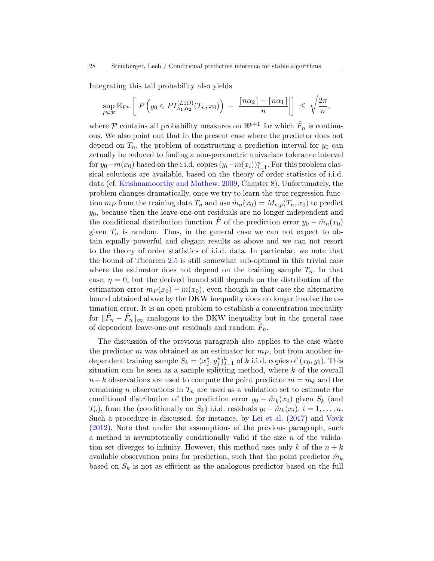Integrating this tail probability also yields

$$
\sup_{P \in \mathcal{P}} \mathbb{E}_{P^n} \left[ \left| P \left( y_0 \in PI_{\alpha_1, \alpha_2}^{(L1O)}(T_n, x_0) \right) - \frac{\lceil n \alpha_2 \rceil - \lceil n \alpha_1 \rceil}{n} \right| \right] \leq \sqrt{\frac{2\pi}{n}},
$$

where  $P$  contains all probability measures on  $\mathbb{R}^{p+1}$  for which  $\tilde{F}_n$  is continuous. We also point out that in the present case where the predictor does not depend on  $T_n$ , the problem of constructing a prediction interval for  $y_0$  can actually be reduced to finding a non-parametric univariate tolerance interval for  $y_0 - m(x_0)$  based on the i.i.d. copies  $(y_i - m(x_i))_{i=1}^n$ . For this problem classical solutions are available, based on the theory of order statistics of i.i.d. data (cf. [Krishnamoorthy and Mathew,](#page-31-6) [2009,](#page-31-6) Chapter 8). Unfortunately, the problem changes dramatically, once we try to learn the true regression function  $m_P$  from the training data  $T_n$  and use  $\hat{m}_n(x_0) = M_{n,p}(T_n, x_0)$  to predict  $y_0$ , because then the leave-one-out residuals are no longer independent and the conditional distribution function  $\tilde{F}$  of the prediction error  $y_0 - \hat{m}_n(x_0)$ given  $T_n$  is random. Thus, in the general case we can not expect to obtain equally powerful and elegant results as above and we can not resort to the theory of order statistics of i.i.d. data. In particular, we note that the bound of Theorem [2.5](#page-11-0) is still somewhat sub-optimal in this trivial case where the estimator does not depend on the training sample  $T_n$ . In that case,  $\eta = 0$ , but the derived bound still depends on the distribution of the estimation error  $m_P(x_0) - m(x_0)$ , even though in that case the alternative bound obtained above by the DKW inequality does no longer involve the estimation error. It is an open problem to establish a concentration inequality for  $\|\hat{F}_n - \tilde{F}_n\|_{\infty}$  analogous to the DKW inequality but in the general case of dependent leave-one-out residuals and random  $\tilde{F}_n$ .

The discussion of the previous paragraph also applies to the case where the predictor m was obtained as an estimator for  $m<sub>P</sub>$ , but from another independent training sample  $S_k = (x_j^*, y_j^*)_{j=1}^k$  of k i.i.d. copies of  $(x_0, y_0)$ . This situation can be seen as a sample splitting method, where  $k$  of the overall  $n+k$  observations are used to compute the point predictor  $m = \hat{m}_k$  and the remaining n observations in  $T_n$  are used as a validation set to estimate the conditional distribution of the prediction error  $y_0 - \hat{m}_k(x_0)$  given  $S_k$  (and  $T_n$ ), from the (conditionally on  $S_k$ ) i.i.d. residuals  $y_i - \hat{m}_k(x_i)$ ,  $i = 1, \ldots, n$ . Such a procedure is discussed, for instance, by [Lei et al.](#page-31-9) [\(2017\)](#page-31-9) and [Vovk](#page-32-13) [\(2012\)](#page-32-13). Note that under the assumptions of the previous paragraph, such a method is asymptotically conditionally valid if the size  $n$  of the validation set diverges to infinity. However, this method uses only k of the  $n + k$ available observation pairs for prediction, such that the point predictor  $\hat{m}_k$ based on  $S_k$  is not as efficient as the analogous predictor based on the full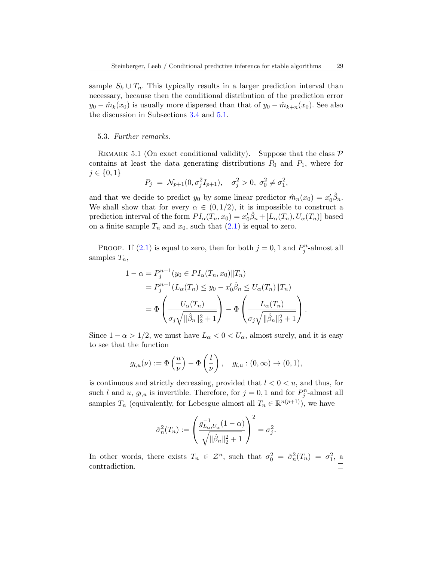sample  $S_k \cup T_n$ . This typically results in a larger prediction interval than necessary, because then the conditional distribution of the prediction error  $y_0 - \hat{m}_k(x_0)$  is usually more dispersed than that of  $y_0 - \hat{m}_{k+n}(x_0)$ . See also the discussion in Subsections [3.4](#page-20-0) and [5.1.](#page-25-1)

#### 5.3. Further remarks.

<span id="page-28-0"></span>REMARK 5.1 (On exact conditional validity). Suppose that the class  $P$ contains at least the data generating distributions  $P_0$  and  $P_1$ , where for  $j \in \{0, 1\}$ 

$$
P_j = \mathcal{N}_{p+1}(0, \sigma_j^2 I_{p+1}), \quad \sigma_j^2 > 0, \ \sigma_0^2 \neq \sigma_1^2,
$$

and that we decide to predict  $y_0$  by some linear predictor  $\hat{m}_n(x_0) = x'_0 \hat{\beta}_n$ . We shall show that for every  $\alpha \in (0, 1/2)$ , it is impossible to construct a prediction interval of the form  $PI_\alpha(T_n, x_0) = x'_0 \hat{\beta}_n + [L_\alpha(T_n), U_\alpha(T_n)]$  based on a finite sample  $T_n$  and  $x_0$ , such that  $(2.1)$  is equal to zero.

PROOF. If [\(2.1\)](#page-7-2) is equal to zero, then for both  $j = 0, 1$  and  $P_j^n$ -almost all samples  $T_n$ ,

$$
1 - \alpha = P_j^{n+1}(y_0 \in PI_\alpha(T_n, x_0) || T_n)
$$
  
=  $P_j^{n+1}(L_\alpha(T_n) \le y_0 - x'_0 \hat{\beta}_n \le U_\alpha(T_n) || T_n)$   
=  $\Phi \left( \frac{U_\alpha(T_n)}{\sigma_j \sqrt{||\hat{\beta}_n||_2^2 + 1}} \right) - \Phi \left( \frac{L_\alpha(T_n)}{\sigma_j \sqrt{||\hat{\beta}_n||_2^2 + 1}} \right).$ 

Since  $1 - \alpha > 1/2$ , we must have  $L_{\alpha} < 0 < U_{\alpha}$ , almost surely, and it is easy to see that the function

$$
g_{l,u}(\nu) := \Phi\left(\frac{u}{\nu}\right) - \Phi\left(\frac{l}{\nu}\right), \quad g_{l,u} : (0,\infty) \to (0,1),
$$

is continuous and strictly decreasing, provided that  $l < 0 < u$ , and thus, for such l and u,  $g_{l,u}$  is invertible. Therefore, for  $j = 0, 1$  and for  $P_j^n$ -almost all samples  $T_n$  (equivalently, for Lebesgue almost all  $T_n \in \mathbb{R}^{n(p+1)}$ ), we have

$$
\tilde{\sigma}_n^2(T_n) := \left(\frac{g_{L_\alpha,U_\alpha}^{-1}(1-\alpha)}{\sqrt{\|\hat{\beta}_n\|_2^2+1}}\right)^2 = \sigma_j^2.
$$

In other words, there exists  $T_n \in \mathcal{Z}^n$ , such that  $\sigma_0^2 = \tilde{\sigma}_n^2(T_n) = \sigma_1^2$ , a contradiction.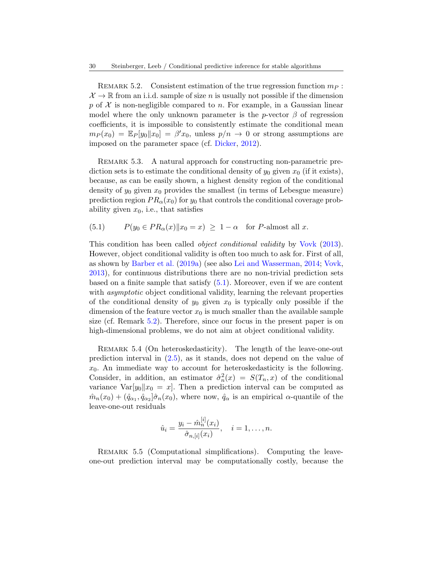<span id="page-29-1"></span>REMARK 5.2. Consistent estimation of the true regression function  $m_P$ :  $\mathcal{X} \to \mathbb{R}$  from an i.i.d. sample of size n is usually not possible if the dimension p of  $X$  is non-negligible compared to n. For example, in a Gaussian linear model where the only unknown parameter is the p-vector  $\beta$  of regression coefficients, it is impossible to consistently estimate the conditional mean  $m_P(x_0) = \mathbb{E}_P[y_0||x_0] = \beta' x_0$ , unless  $p/n \to 0$  or strong assumptions are imposed on the parameter space (cf. [Dicker,](#page-31-24) [2012\)](#page-31-24).

<span id="page-29-0"></span>REMARK 5.3. A natural approach for constructing non-parametric prediction sets is to estimate the conditional density of  $y_0$  given  $x_0$  (if it exists), because, as can be easily shown, a highest density region of the conditional density of  $y_0$  given  $x_0$  provides the smallest (in terms of Lebesgue measure) prediction region  $PR_{\alpha}(x_0)$  for  $y_0$  that controls the conditional coverage probability given  $x_0$ , i.e., that satisfies

<span id="page-29-2"></span>(5.1) 
$$
P(y_0 \in PR_\alpha(x) \| x_0 = x) \ge 1 - \alpha \text{ for } P\text{-almost all } x.
$$

This condition has been called object conditional validity by [Vovk](#page-32-14) [\(2013\)](#page-32-14). However, object conditional validity is often too much to ask for. First of all, as shown by [Barber et al.](#page-30-2) [\(2019a\)](#page-30-2) (see also [Lei and Wasserman,](#page-31-11) [2014;](#page-31-11) [Vovk,](#page-32-14) [2013\)](#page-32-14), for continuous distributions there are no non-trivial prediction sets based on a finite sample that satisfy [\(5.1\)](#page-29-2). Moreover, even if we are content with *asymptotic* object conditional validity, learning the relevant properties of the conditional density of  $y_0$  given  $x_0$  is typically only possible if the dimension of the feature vector  $x_0$  is much smaller than the available sample size (cf. Remark [5.2\)](#page-29-1). Therefore, since our focus in the present paper is on high-dimensional problems, we do not aim at object conditional validity.

REMARK 5.4 (On heteroskedasticity). The length of the leave-one-out prediction interval in [\(2.5\)](#page-8-0), as it stands, does not depend on the value of  $x_0$ . An immediate way to account for heteroskedasticity is the following. Consider, in addition, an estimator  $\hat{\sigma}_n^2(x) = S(T_n, x)$  of the conditional variance  $Var[y_0||x_0 = x]$ . Then a prediction interval can be computed as  $\hat{m}_n(x_0) + (\hat{q}_{\alpha_1}, \hat{q}_{\alpha_2} | \hat{\sigma}_n(x_0),$  where now,  $\hat{q}_{\alpha}$  is an empirical  $\alpha$ -quantile of the leave-one-out residuals

$$
\hat{u}_i = \frac{y_i - \hat{m}_n^{[i]}(x_i)}{\hat{\sigma}_{n,[i]}(x_i)}, \quad i = 1, \dots, n.
$$

REMARK 5.5 (Computational simplifications). Computing the leaveone-out prediction interval may be computationally costly, because the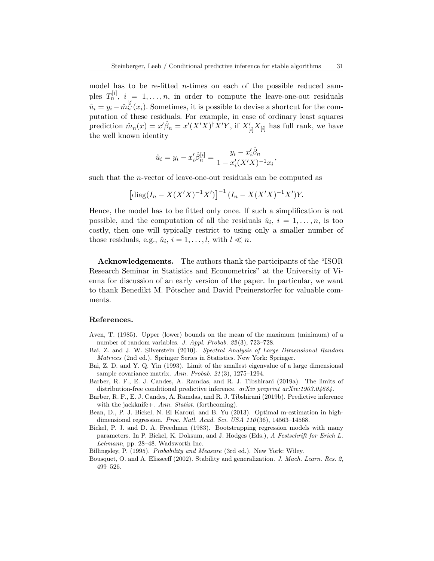model has to be re-fitted n-times on each of the possible reduced samples  $T_n^{[i]}$ ,  $i = 1, \ldots, n$ , in order to compute the leave-one-out residuals  $\hat{u}_i = y_i - \hat{m}_n^{[i]}(x_i)$ . Sometimes, it is possible to devise a shortcut for the computation of these residuals. For example, in case of ordinary least squares prediction  $\hat{m}_n(x) = x'\hat{\beta}_n = x'(X'X)^{\dagger}X'Y$ , if  $X'_{[i]}X_{[i]}$  has full rank, we have the well known identity

$$
\hat{u}_i = y_i - x_i' \hat{\beta}_n^{[i]} = \frac{y_i - x_i' \hat{\beta}_n}{1 - x_i'(X'X)^{-1}x_i},
$$

such that the n-vector of leave-one-out residuals can be computed as

$$
\left[\text{diag}(I_n - X(X'X)^{-1}X')\right]^{-1}(I_n - X(X'X)^{-1}X')Y.
$$

Hence, the model has to be fitted only once. If such a simplification is not possible, and the computation of all the residuals  $\hat{u}_i$ ,  $i = 1, \ldots, n$ , is too costly, then one will typically restrict to using only a smaller number of those residuals, e.g.,  $\hat{u}_i$ ,  $i = 1, ..., l$ , with  $l \ll n$ .

Acknowledgements. The authors thank the participants of the "ISOR Research Seminar in Statistics and Econometrics" at the University of Vienna for discussion of an early version of the paper. In particular, we want to thank Benedikt M. Pötscher and David Preinerstorfer for valuable comments.

## References.

- <span id="page-30-5"></span>Aven, T. (1985). Upper (lower) bounds on the mean of the maximum (minimum) of a number of random variables. J. Appl. Probab. 22 (3), 723–728.
- <span id="page-30-8"></span>Bai, Z. and J. W. Silverstein (2010). Spectral Analysis of Large Dimensional Random Matrices (2nd ed.). Springer Series in Statistics. New York: Springer.
- <span id="page-30-7"></span>Bai, Z. D. and Y. Q. Yin (1993). Limit of the smallest eigenvalue of a large dimensional sample covariance matrix. Ann. Probab. 21 (3), 1275–1294.
- <span id="page-30-2"></span>Barber, R. F., E. J. Candes, A. Ramdas, and R. J. Tibshirani (2019a). The limits of distribution-free conditional predictive inference.  $arXiv$  preprint  $arXiv:1903.04684$ .
- <span id="page-30-3"></span>Barber, R. F., E. J. Candes, A. Ramdas, and R. J. Tibshirani (2019b). Predictive inference with the jackknife+. Ann. Statist. (forthcoming).
- <span id="page-30-1"></span>Bean, D., P. J. Bickel, N. El Karoui, and B. Yu (2013). Optimal m-estimation in highdimensional regression. Proc. Natl. Acad. Sci. USA 110(36), 14563-14568.
- <span id="page-30-0"></span>Bickel, P. J. and D. A. Freedman (1983). Bootstrapping regression models with many parameters. In P. Bickel, K. Doksum, and J. Hodges (Eds.), A Festschrift for Erich L. Lehmann, pp. 28–48. Wadsworth Inc.

<span id="page-30-6"></span>Billingsley, P. (1995). Probability and Measure (3rd ed.). New York: Wiley.

<span id="page-30-4"></span>Bousquet, O. and A. Elisseeff (2002). Stability and generalization. J. Mach. Learn. Res. 2, 499–526.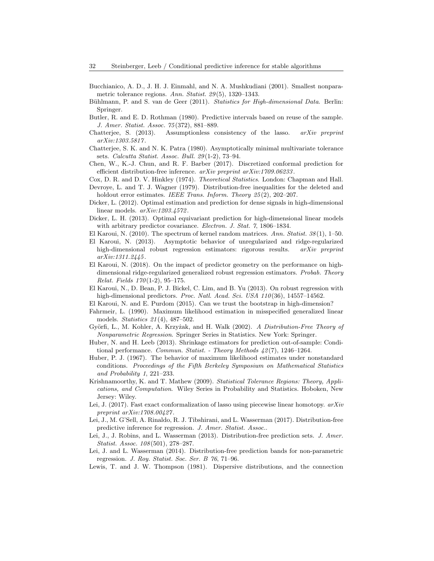- <span id="page-31-7"></span>Bucchianico, A. D., J. H. J. Einmahl, and N. A. Mushkudiani (2001). Smallest nonparametric tolerance regions. Ann. Statist. 29 (5), 1320–1343.
- <span id="page-31-20"></span>Bühlmann, P. and S. van de Geer (2011). Statistics for High-dimensional Data. Berlin: Springer.
- <span id="page-31-1"></span>Butler, R. and E. D. Rothman (1980). Predictive intervals based on reuse of the sample. J. Amer. Statist. Assoc. 75 (372), 881–889.
- <span id="page-31-19"></span>Chatterjee, S.  $(2013)$ . Assumptionless consistency of the lasso.  $arXiv$  preprint arXiv:1303.5817 .
- <span id="page-31-8"></span>Chatterjee, S. K. and N. K. Patra (1980). Asymptotically minimal multivariate tolerance sets. Calcutta Statist. Assoc. Bull. 29 (1-2), 73–94.
- <span id="page-31-12"></span>Chen, W., K.-J. Chun, and R. F. Barber (2017). Discretized conformal prediction for efficient distribution-free inference. arXiv preprint arXiv:1709.06233 .
- <span id="page-31-5"></span>Cox, D. R. and D. V. Hinkley (1974). *Theoretical Statistics*. London: Chapman and Hall.
- <span id="page-31-14"></span>Devroye, L. and T. J. Wagner (1979). Distribution-free inequalities for the deleted and holdout error estimates. IEEE Trans. Inform. Theory 25(2), 202-207.
- <span id="page-31-24"></span>Dicker, L. (2012). Optimal estimation and prediction for dense signals in high-dimensional linear models. arXiv:1203.4572 .
- <span id="page-31-16"></span>Dicker, L. H. (2013). Optimal equivariant prediction for high-dimensional linear models with arbitrary predictor covariance. Electron. J. Stat. 7, 1806-1834.
- <span id="page-31-15"></span>El Karoui, N. (2010). The spectrum of kernel random matrices. Ann. Statist.  $38(1)$ , 1–50.
- <span id="page-31-3"></span>El Karoui, N. (2013). Asymptotic behavior of unregularized and ridge-regularized high-dimensional robust regression estimators: rigorous results. arXiv preprint arXiv:1311.2445 .
- <span id="page-31-4"></span>El Karoui, N. (2018). On the impact of predictor geometry on the performance on highdimensional ridge-regularized generalized robust regression estimators. Probab. Theory Relat. Fields  $170(1-2)$ , 95-175.
- <span id="page-31-2"></span>El Karoui, N., D. Bean, P. J. Bickel, C. Lim, and B. Yu (2013). On robust regression with high-dimensional predictors. Proc. Natl. Acad. Sci. USA 110(36), 14557-14562.
- <span id="page-31-0"></span>El Karoui, N. and E. Purdom (2015). Can we trust the bootstrap in high-dimension?
- <span id="page-31-22"></span>Fahrmeir, L. (1990). Maximum likelihood estimation in misspecified generalized linear models. Statistics 21 (4), 487–502.
- <span id="page-31-18"></span>Györfi, L., M. Kohler, A. Krzyżak, and H. Walk (2002). A Distribution-Free Theory of Nonparametric Regression. Springer Series in Statistics. New York: Springer.
- <span id="page-31-17"></span>Huber, N. and H. Leeb (2013). Shrinkage estimators for prediction out-of-sample: Conditional performance. Commun. Statist. - Theory Methods 42 (7), 1246–1264.
- <span id="page-31-21"></span>Huber, P. J. (1967). The behavior of maximum likelihood estimates under nonstandard conditions. Proceedings of the Fifth Berkeley Symposium on Mathematical Statistics and Probability 1, 221–233.
- <span id="page-31-6"></span>Krishnamoorthy, K. and T. Mathew (2009). Statistical Tolerance Regions: Theory, Applications, and Computation. Wiley Series in Probability and Statistics. Hoboken, New Jersey: Wiley.
- <span id="page-31-13"></span>Lei, J. (2017). Fast exact conformalization of lasso using piecewise linear homotopy.  $arXiv$ preprint arXiv:1708.00427 .
- <span id="page-31-9"></span>Lei, J., M. G'Sell, A. Rinaldo, R. J. Tibshirani, and L. Wasserman (2017). Distribution-free predictive inference for regression. J. Amer. Statist. Assoc..
- <span id="page-31-10"></span>Lei, J., J. Robins, and L. Wasserman (2013). Distribution-free prediction sets. J. Amer. Statist. Assoc. 108 (501), 278–287.
- <span id="page-31-11"></span>Lei, J. and L. Wasserman (2014). Distribution-free prediction bands for non-parametric regression. J. Roy. Statist. Soc. Ser. B 76, 71–96.
- <span id="page-31-23"></span>Lewis, T. and J. W. Thompson (1981). Dispersive distributions, and the connection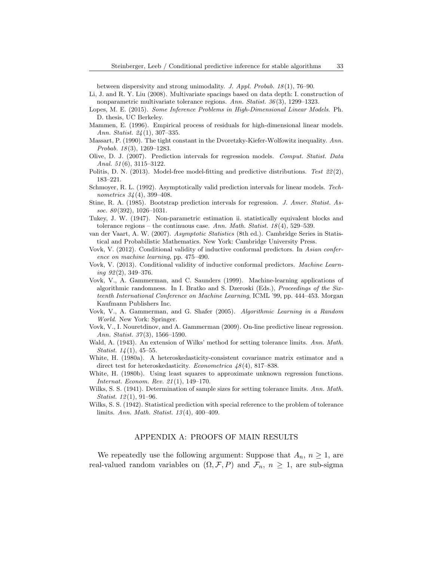between dispersivity and strong unimodality. J. Appl. Probab. 18 (1), 76–90.

- <span id="page-32-9"></span>Li, J. and R. Y. Liu (2008). Multivariate spacings based on data depth: I. construction of nonparametric multivariate tolerance regions. Ann. Statist. 36 (3), 1299–1323.
- <span id="page-32-15"></span>Lopes, M. E. (2015). Some Inference Problems in High-Dimensional Linear Models. Ph. D. thesis, UC Berkeley.
- <span id="page-32-0"></span>Mammen, E. (1996). Empirical process of residuals for high-dimensional linear models. Ann. Statist. 24 (1), 307–335.
- <span id="page-32-18"></span>Massart, P. (1990). The tight constant in the Dvoretzky-Kiefer-Wolfowitz inequality. Ann. Probab. 18(3), 1269-1283.
- <span id="page-32-3"></span>Olive, D. J. (2007). Prediction intervals for regression models. Comput. Statist. Data Anal.  $51(6)$ ,  $3115-3122$ .
- <span id="page-32-4"></span>Politis, D. N. (2013). Model-free model-fitting and predictive distributions. Test  $22(2)$ , 183–221.
- <span id="page-32-2"></span>Schmoyer, R. L. (1992). Asymptotically valid prediction intervals for linear models. Technometrics 34 (4), 399–408.
- <span id="page-32-1"></span>Stine, R. A. (1985). Bootstrap prediction intervals for regression. J. Amer. Statist. Assoc.  $80(392)$ , 1026-1031.
- <span id="page-32-8"></span>Tukey, J. W. (1947). Non-parametric estimation ii. statistically equivalent blocks and tolerance regions – the continuous case. Ann. Math. Statist.  $18(4)$ , 529–539.
- <span id="page-32-19"></span>van der Vaart, A. W. (2007). Asymptotic Statistics (8th ed.). Cambridge Series in Statistical and Probabilistic Mathematics. New York: Cambridge University Press.
- <span id="page-32-13"></span>Vovk, V. (2012). Conditional validity of inductive conformal predictors. In Asian conference on machine learning, pp. 475–490.
- <span id="page-32-14"></span>Vovk, V. (2013). Conditional validity of inductive conformal predictors. Machine Learning  $92(2)$ , 349-376.
- <span id="page-32-10"></span>Vovk, V., A. Gammerman, and C. Saunders (1999). Machine-learning applications of algorithmic randomness. In I. Bratko and S. Dzeroski (Eds.), Proceedings of the Sixteenth International Conference on Machine Learning, ICML '99, pp. 444–453. Morgan Kaufmann Publishers Inc.
- <span id="page-32-11"></span>Vovk, V., A. Gammerman, and G. Shafer (2005). Algorithmic Learning in a Random World. New York: Springer.
- <span id="page-32-12"></span>Vovk, V., I. Nouretdinov, and A. Gammerman (2009). On-line predictive linear regression. Ann. Statist. 37(3), 1566–1590.
- <span id="page-32-7"></span>Wald, A. (1943). An extension of Wilks' method for setting tolerance limits. Ann. Math. *Statist.*  $14(1)$ ,  $45-55$ .
- <span id="page-32-16"></span>White, H. (1980a). A heteroskedasticity-consistent covariance matrix estimator and a direct test for heteroskedasticity. *Econometrica*  $48(4)$ , 817–838.
- <span id="page-32-17"></span>White, H. (1980b). Using least squares to approximate unknown regression functions. Internat. Econom. Rev. 21 (1), 149–170.
- <span id="page-32-5"></span>Wilks, S. S. (1941). Determination of sample sizes for setting tolerance limits. Ann. Math. Statist. 12(1), 91–96.
- <span id="page-32-6"></span>Wilks, S. S. (1942). Statistical prediction with special reference to the problem of tolerance limits. Ann. Math. Statist. 13 (4), 400–409.

# APPENDIX A: PROOFS OF MAIN RESULTS

We repeatedly use the following argument: Suppose that  $A_n$ ,  $n \geq 1$ , are real-valued random variables on  $(\Omega, \mathcal{F}, P)$  and  $\mathcal{F}_n$ ,  $n \geq 1$ , are sub-sigma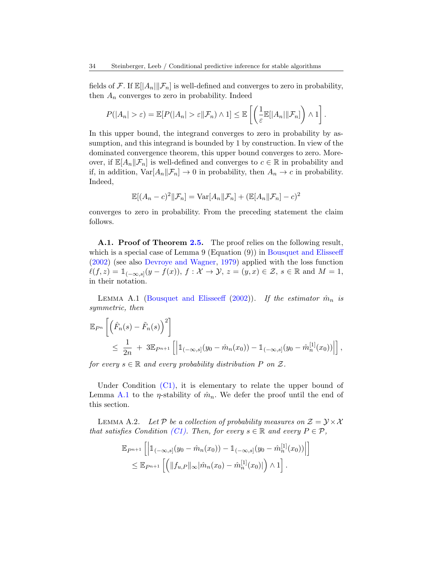fields of F. If  $\mathbb{E}[|A_n|\|\mathcal{F}_n]$  is well-defined and converges to zero in probability, then  $A_n$  converges to zero in probability. Indeed

$$
P(|A_n| > \varepsilon) = \mathbb{E}[P(|A_n| > \varepsilon \| \mathcal{F}_n) \wedge 1] \leq \mathbb{E}\left[\left(\frac{1}{\varepsilon} \mathbb{E}[|A_n| \| \mathcal{F}_n]\right) \wedge 1\right].
$$

In this upper bound, the integrand converges to zero in probability by assumption, and this integrand is bounded by 1 by construction. In view of the dominated convergence theorem, this upper bound converges to zero. Moreover, if  $\mathbb{E}[A_n|\mathcal{F}_n]$  is well-defined and converges to  $c \in \mathbb{R}$  in probability and if, in addition,  $\text{Var}[A_n|\mathcal{F}_n] \to 0$  in probability, then  $A_n \to c$  in probability. Indeed,

$$
\mathbb{E}[(A_n-c)^2||\mathcal{F}_n] = \text{Var}[A_n||\mathcal{F}_n] + (\mathbb{E}[A_n||\mathcal{F}_n] - c)^2
$$

converges to zero in probability. From the preceding statement the claim follows.

<span id="page-33-0"></span>A.1. Proof of Theorem [2.5.](#page-11-0) The proof relies on the following result, which is a special case of Lemma 9 (Equation (9)) in [Bousquet and Elisseeff](#page-30-4) [\(2002\)](#page-30-4) (see also [Devroye and Wagner,](#page-31-14) [1979\)](#page-31-14) applied with the loss function  $\ell(f, z) = \mathbb{1}_{(-\infty, s]}(y - f(x)),$   $f : \mathcal{X} \to \mathcal{Y},$   $z = (y, x) \in \mathcal{Z},$   $s \in \mathbb{R}$  and  $M = 1$ , in their notation.

<span id="page-33-1"></span>LEMMA A.1 [\(Bousquet and Elisseeff](#page-30-4) [\(2002\)](#page-30-4)). If the estimator  $\hat{m}_n$  is symmetric, then

$$
\mathbb{E}_{P^n} \left[ \left( \hat{F}_n(s) - \tilde{F}_n(s) \right)^2 \right] \le \frac{1}{2n} + 3 \mathbb{E}_{P^{n+1}} \left[ \left| 1_{(-\infty, s]}(y_0 - \hat{m}_n(x_0)) - 1_{(-\infty, s]}(y_0 - \hat{m}_n^{[1]}(x_0)) \right| \right],
$$

for every  $s \in \mathbb{R}$  and every probability distribution P on Z.

Under Condition  $(C1)$ , it is elementary to relate the upper bound of Lemma [A.1](#page-33-1) to the *η*-stability of  $\hat{m}_n$ . We defer the proof until the end of this section.

<span id="page-33-2"></span>LEMMA A.2. Let P be a collection of probability measures on  $\mathcal{Z} = \mathcal{Y} \times \mathcal{X}$ that satisfies Condition [\(C1\).](#page-10-3) Then, for every  $s \in \mathbb{R}$  and every  $P \in \mathcal{P}$ ,

$$
\mathbb{E}_{P^{n+1}}\left[\left|\mathbb{1}_{(-\infty,s]}(y_0 - \hat{m}_n(x_0)) - \mathbb{1}_{(-\infty,s]}(y_0 - \hat{m}_n^{[1]}(x_0))\right|\right] \leq \mathbb{E}_{P^{n+1}}\left[\left(\|f_{u,P}\|_{\infty}|\hat{m}_n(x_0) - \hat{m}_n^{[1]}(x_0)|\right) \wedge 1\right].
$$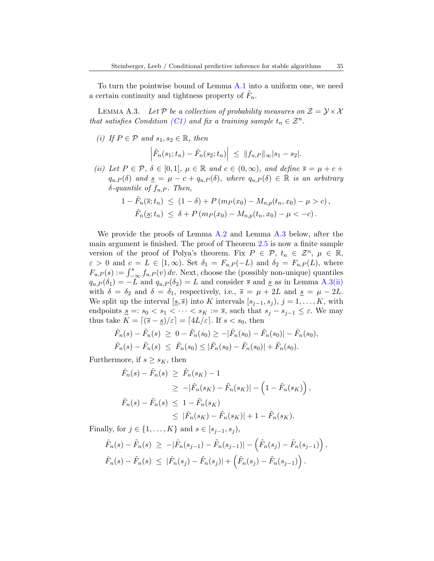To turn the pointwise bound of Lemma [A.1](#page-33-1) into a uniform one, we need a certain continuity and tightness property of  $\tilde{F}_n$ .

<span id="page-34-0"></span>LEMMA A.3. Let P be a collection of probability measures on  $\mathcal{Z} = \mathcal{Y} \times \mathcal{X}$ that satisfies Condition [\(C1\)](#page-10-3) and fix a training sample  $t_n \in \mathcal{Z}^n$ .

(i) If  $P \in \mathcal{P}$  and  $s_1, s_2 \in \mathbb{R}$ , then

$$
\left|\tilde{F}_n(s_1;t_n)-\tilde{F}_n(s_2;t_n)\right| \leq \|f_{u,P}\|_{\infty}|s_1-s_2|.
$$

<span id="page-34-1"></span>(ii) Let  $P \in \mathcal{P}, \delta \in [0,1], \mu \in \mathbb{R}$  and  $c \in (0,\infty)$ , and define  $\overline{s} = \mu + c +$  $q_{u,P}(\delta)$  and  $\underline{s} = \mu - c + q_{u,P}(\delta)$ , where  $q_{u,P}(\delta) \in \mathbb{R}$  is an arbitrary  $\delta$ -quantile of  $f_{u,P}$ . Then,

$$
1 - \tilde{F}_n(\bar{s}; t_n) \le (1 - \delta) + P(m_P(x_0) - M_{n,p}(t_n, x_0) - \mu > c),
$$
  

$$
\tilde{F}_n(\underline{s}; t_n) \le \delta + P(m_P(x_0) - M_{n,p}(t_n, x_0) - \mu < -c).
$$

We provide the proofs of Lemma [A.2](#page-33-2) and Lemma [A.3](#page-34-0) below, after the main argument is finished. The proof of Theorem [2.5](#page-11-0) is now a finite sample version of the proof of Polya's theorem. Fix  $P \in \mathcal{P}, t_n \in \mathbb{Z}^n, \mu \in \mathbb{R}$ ,  $\varepsilon > 0$  and  $c = L \in [1, \infty)$ . Set  $\delta_1 = F_{u,P}(-L)$  and  $\delta_2 = F_{u,P}(L)$ , where  $F_{u,P}(s) := \int_{-\infty}^{s} f_{u,P}(v) dv$ . Next, choose the (possibly non-unique) quantiles  $q_{u,P}(\delta_1) = -L$  and  $q_{u,P}(\delta_2) = L$  and consider  $\bar{s}$  and  $\underline{s}$  as in Lemma [A.3](#page-34-0)[\(ii\)](#page-34-1) with  $\delta = \delta_2$  and  $\delta = \delta_1$ , respectively, i.e.,  $\bar{s} = \mu + 2L$  and  $\underline{s} = \mu - 2L$ . We split up the interval  $[s, \overline{s}]$  into K intervals  $[s_{j-1}, s_j), j = 1, \ldots, K$ , with endpoints  $\underline{s} =: s_0 < s_1 < \cdots < s_K := \overline{s}$ , such that  $s_j - s_{j-1} \leq \varepsilon$ . We may thus take  $K = \lfloor (\overline{s} - \underline{s})/\varepsilon \rfloor = \lfloor 4L/\varepsilon \rfloor$ . If  $s < s_0$ , then

$$
\hat{F}_n(s) - \tilde{F}_n(s) \ge 0 - \tilde{F}_n(s_0) \ge -|\hat{F}_n(s_0) - \tilde{F}_n(s_0)| - \tilde{F}_n(s_0),
$$
  

$$
\hat{F}_n(s) - \tilde{F}_n(s) \le \hat{F}_n(s_0) \le |\hat{F}_n(s_0) - \tilde{F}_n(s_0)| + \tilde{F}_n(s_0).
$$

Furthermore, if  $s \geq s_K$ , then

$$
\hat{F}_n(s) - \tilde{F}_n(s) \ge \hat{F}_n(s_K) - 1
$$
\n
$$
\ge -|\hat{F}_n(s_K) - \tilde{F}_n(s_K)| - \left(1 - \tilde{F}_n(s_K)\right),
$$
\n
$$
\hat{F}_n(s) - \tilde{F}_n(s) \le 1 - \tilde{F}_n(s_K)
$$
\n
$$
\le |\hat{F}_n(s_K) - \tilde{F}_n(s_K)| + 1 - \tilde{F}_n(s_K).
$$

Finally, for  $j \in \{1, \ldots, K\}$  and  $s \in [s_{j-1}, s_j)$ ,

$$
\hat{F}_n(s) - \tilde{F}_n(s) \ge -|\hat{F}_n(s_{j-1}) - \tilde{F}_n(s_{j-1})| - (\tilde{F}_n(s_j) - \tilde{F}_n(s_{j-1})) ,
$$
  

$$
\hat{F}_n(s) - \tilde{F}_n(s) \le |\hat{F}_n(s_j) - \tilde{F}_n(s_j)| + (\tilde{F}_n(s_j) - \tilde{F}_n(s_{j-1})) .
$$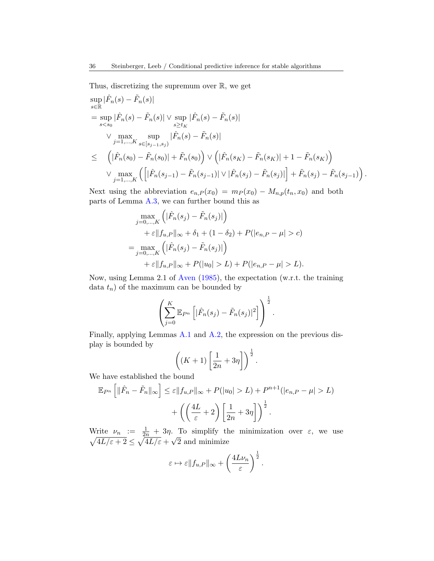Thus, discretizing the supremum over  $\mathbb{R}$ , we get

$$
\sup_{s \in \mathbb{R}} |\hat{F}_n(s) - \tilde{F}_n(s)|
$$
\n
$$
= \sup_{s < s_0} |\hat{F}_n(s) - \tilde{F}_n(s)| \vee \sup_{s \ge t_K} |\hat{F}_n(s) - \tilde{F}_n(s)|
$$
\n
$$
\vee \max_{j=1,\dots,K} \sup_{s \in [s_{j-1},s_j)} |\hat{F}_n(s) - \tilde{F}_n(s)|
$$
\n
$$
\leq \left( |\hat{F}_n(s_0) - \tilde{F}_n(s_0)| + \tilde{F}_n(s_0) \right) \vee \left( |\hat{F}_n(s_K) - \tilde{F}_n(s_K)| + 1 - \tilde{F}_n(s_K) \right)
$$
\n
$$
\vee \max_{j=1,\dots,K} \left( \left[ |\hat{F}_n(s_{j-1}) - \tilde{F}_n(s_{j-1})| \vee |\hat{F}_n(s_j) - \tilde{F}_n(s_j)| \right] + \tilde{F}_n(s_j) - \tilde{F}_n(s_{j-1}) \right).
$$

Next using the abbreviation  $e_{n,P}(x_0) = m_P(x_0) - M_{n,p}(t_n, x_0)$  and both parts of Lemma [A.3,](#page-34-0) we can further bound this as

$$
\max_{j=0,\dots,K} \left( |\hat{F}_n(s_j) - \tilde{F}_n(s_j)| \right) \n+ \varepsilon ||f_{u,P}||_{\infty} + \delta_1 + (1 - \delta_2) + P(|e_{n,P} - \mu| > c) \n= \max_{j=0,\dots,K} \left( |\hat{F}_n(s_j) - \tilde{F}_n(s_j)| \right) \n+ \varepsilon ||f_{u,P}||_{\infty} + P(|u_0| > L) + P(|e_{n,P} - \mu| > L).
$$

Now, using Lemma 2.1 of [Aven](#page-30-5) [\(1985\)](#page-30-5), the expectation (w.r.t. the training data  $t_n$ ) of the maximum can be bounded by

$$
\left(\sum_{j=0}^K \mathbb{E}_{P^n}\left[|\hat{F}_n(s_j)-\tilde{F}_n(s_j)|^2\right]\right)^{\frac{1}{2}}.
$$

Finally, applying Lemmas [A.1](#page-33-1) and [A.2,](#page-33-2) the expression on the previous display is bounded by

$$
\left( (K+1)\left[\frac{1}{2n}+3\eta\right]\right)^{\frac{1}{2}}.
$$

We have established the bound

$$
\mathbb{E}_{P^n} \left[ \|\hat{F}_n - \tilde{F}_n\|_{\infty} \right] \leq \varepsilon \|f_{u,P}\|_{\infty} + P(|u_0| > L) + P^{n+1}(|e_{n,P} - \mu| > L) + \left( \left( \frac{4L}{\varepsilon} + 2 \right) \left[ \frac{1}{2n} + 3\eta \right] \right)^{\frac{1}{2}}.
$$

Write  $\nu_n := \frac{1}{2n} + 3\eta$ . To simplify the minimization over  $\varepsilon$ , we use  $\sqrt{4L/\varepsilon+2} \leq \sqrt{4L/\varepsilon} +$ √ 2 and minimize

$$
\varepsilon \mapsto \varepsilon \|f_{u,P}\|_{\infty} + \left(\frac{4L\nu_n}{\varepsilon}\right)^{\frac{1}{2}}.
$$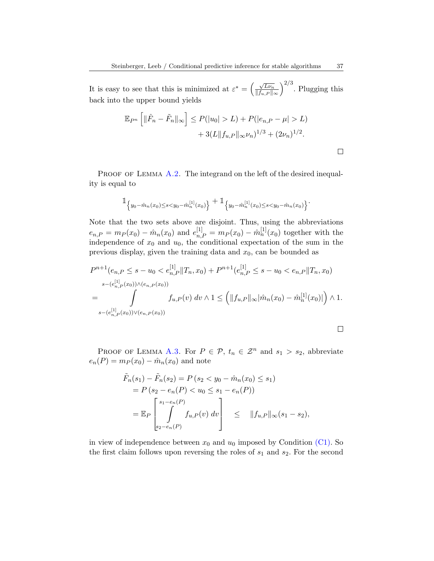It is easy to see that this is minimized at  $\varepsilon^* = \left(\frac{\sqrt{L\nu_n}}{\|\mathbf{f}\|_{\infty}}\right)^n$  $||f_{u,P}||_{\infty}$  $\int^{2/3}$ . Plugging this back into the upper bound yields

$$
\mathbb{E}_{P^n} \left[ \|\hat{F}_n - \tilde{F}_n\|_{\infty} \right] \le P(|u_0| > L) + P(|e_{n,P} - \mu| > L) + 3(L||f_{u,P}||_{\infty} \nu_n)^{1/3} + (2\nu_n)^{1/2}.
$$

PROOF OF LEMMA  $A.2$ . The integrand on the left of the desired inequality is equal to

$$
\mathbb{1}_{\left\{y_0 - \hat{m}_n(x_0) \le s < y_0 - \hat{m}_n^{[1]}(x_0)\right\}} + \mathbb{1}_{\left\{y_0 - \hat{m}_n^{[1]}(x_0) \le s < y_0 - \hat{m}_n(x_0)\right\}}.
$$

Note that the two sets above are disjoint. Thus, using the abbreviations  $e_{n,P} = m_P(x_0) - \hat{m}_n(x_0)$  and  $e_{n,P}^{[1]} = m_P(x_0) - \hat{m}_n^{[1]}(x_0)$  together with the independence of  $x_0$  and  $u_0$ , the conditional expectation of the sum in the previous display, given the training data and  $x_0$ , can be bounded as

$$
P^{n+1}(e_{n,P} \leq s - u_0 < e_{n,P}^{[1]} \|T_n, x_0) + P^{n+1}(e_{n,P}^{[1]} \leq s - u_0 < e_{n,P} \|T_n, x_0)
$$
\n
$$
s - (e_{n,P}^{[1]}(x_0)) \wedge (e_{n,P}(x_0))
$$
\n
$$
= \int_{s - (e_{n,P}^{[1]}(x_0)) \vee (e_{n,P}(x_0))} f_{u,P}(v) dv \wedge 1 \leq \left( \|f_{u,P}\|_{\infty} |\hat{m}_n(x_0) - \hat{m}_n^{[1]}(x_0)| \right) \wedge 1.
$$

PROOF OF LEMMA [A.3.](#page-34-0) For  $P \in \mathcal{P}$ ,  $t_n \in \mathcal{Z}^n$  and  $s_1 > s_2$ , abbreviate  $e_n(P) = m_P(x_0) - \hat{m}_n(x_0)$  and note

$$
\tilde{F}_n(s_1) - \tilde{F}_n(s_2) = P(s_2 < y_0 - \hat{m}_n(x_0) \le s_1) \n= P(s_2 - e_n(P) < u_0 \le s_1 - e_n(P)) \n= \mathbb{E}_P \left[ \int_{s_2 - e_n(P)}^{s_1 - e_n(P)} f_{u,P}(v) dv \right] \le ||f_{u,P}||_{\infty} (s_1 - s_2),
$$

in view of independence between  $x_0$  and  $u_0$  imposed by Condition [\(C1\).](#page-10-3) So the first claim follows upon reversing the roles of  $s_1$  and  $s_2$ . For the second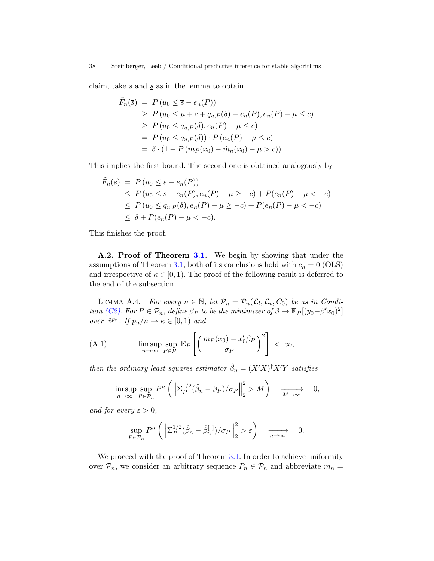claim, take  $\bar{s}$  and  $\underline{s}$  as in the lemma to obtain

$$
\tilde{F}_n(\bar{s}) = P(u_0 \le \bar{s} - e_n(P)) \n\ge P(u_0 \le \mu + c + q_{u,P}(\delta) - e_n(P), e_n(P) - \mu \le c) \n\ge P(u_0 \le q_{u,P}(\delta), e_n(P) - \mu \le c) \n= P(u_0 \le q_{u,P}(\delta)) \cdot P(e_n(P) - \mu \le c) \n= \delta \cdot (1 - P(m_P(x_0) - \hat{m}_n(x_0) - \mu > c)).
$$

This implies the first bound. The second one is obtained analogously by

$$
\tilde{F}_n(\underline{s}) = P(u_0 \leq \underline{s} - e_n(P))
$$
\n
$$
\leq P(u_0 \leq \underline{s} - e_n(P), e_n(P) - \mu \geq -c) + P(e_n(P) - \mu < -c)
$$
\n
$$
\leq P(u_0 \leq q_{u,P}(\delta), e_n(P) - \mu \geq -c) + P(e_n(P) - \mu < -c)
$$
\n
$$
\leq \delta + P(e_n(P) - \mu < -c).
$$

 $\Box$ 

This finishes the proof.

A.2. Proof of Theorem [3.1.](#page-16-0) We begin by showing that under the assumptions of Theorem [3.1,](#page-16-0) both of its conclusions hold with  $c_n = 0$  (OLS) and irrespective of  $\kappa \in [0, 1)$ . The proof of the following result is deferred to the end of the subsection.

<span id="page-37-0"></span>LEMMA A.4. For every  $n \in \mathbb{N}$ , let  $\mathcal{P}_n = \mathcal{P}_n(\mathcal{L}_l, \mathcal{L}_v, C_0)$  be as in Condi-tion [\(C2\).](#page-15-0) For  $P \in \mathcal{P}_n$ , define  $\beta_P$  to be the minimizer of  $\beta \mapsto \mathbb{E}_P[(y_0 - \beta' x_0)^2]$ over  $\mathbb{R}^{p_n}$ . If  $p_n/n \to \kappa \in [0,1)$  and

(A.1) 
$$
\limsup_{n \to \infty} \sup_{P \in \mathcal{P}_n} \mathbb{E}_P \left[ \left( \frac{m_P(x_0) - x_0'\beta_P}{\sigma_P} \right)^2 \right] < \infty,
$$

then the ordinary least squares estimator  $\hat{\beta}_n = (X'X)^{\dagger}X'Y$  satisfies

$$
\limsup_{n \to \infty} \sup_{P \in \mathcal{P}_n} P^n \left( \left\| \Sigma_P^{1/2} (\hat{\beta}_n - \beta_P) / \sigma_P \right\|_2^2 > M \right) \xrightarrow[M \to \infty]{} 0,
$$

and for every  $\varepsilon > 0$ ,

$$
\sup_{P \in \mathcal{P}_n} P^n \left( \left\| \Sigma_P^{1/2} (\hat{\beta}_n - \hat{\beta}_n^{[1]}) / \sigma_P \right\|_2^2 > \varepsilon \right) \xrightarrow[n \to \infty]{} 0.
$$

We proceed with the proof of Theorem [3.1.](#page-16-0) In order to achieve uniformity over  $P_n$ , we consider an arbitrary sequence  $P_n \in \mathcal{P}_n$  and abbreviate  $m_n =$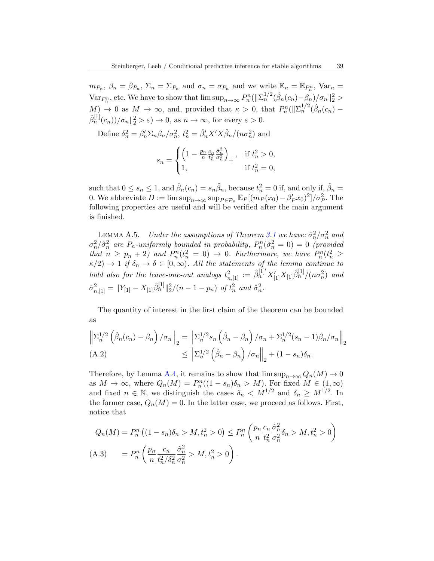$m_{P_n}, \beta_n = \beta_{P_n}, \Sigma_n = \Sigma_{P_n}$  and  $\sigma_n = \sigma_{P_n}$  and we write  $\mathbb{E}_n = \mathbb{E}_{P_n^n}$ ,  $Var_n =$ Var $P_n^n$ , etc. We have to show that  $\limsup_{n\to\infty} P_n^n(||\Sigma_n^{1/2}(\hat{\beta}_n(c_n)-\beta_n)/\sigma_n||_2^2 >$  $M$ )  $\to 0$  as  $M \to \infty$ , and, provided that  $\kappa > 0$ , that  $P_n^n(||\Sigma_n^{1/2}(\hat{\beta}_n(c_n) \hat{\beta}_n^{[1]}(c_n) / \sigma_n \|_2^2 > \varepsilon \to 0$ , as  $n \to \infty$ , for every  $\varepsilon > 0$ .

Define  $\delta_n^2 = \beta_n' \Sigma_n \beta_n / \sigma_n^2$ ,  $t_n^2 = \hat{\beta}_n' X' X \hat{\beta}_n / (n \sigma_n^2)$  and

$$
s_n = \begin{cases} \left(1 - \frac{p_n}{n} \frac{c_n}{t_n^2} \frac{\hat{\sigma}_n^2}{\sigma_n^2}\right)_+, & \text{if } t_n^2 > 0, \\ 1, & \text{if } t_n^2 = 0, \end{cases}
$$

such that  $0 \le s_n \le 1$ , and  $\hat{\beta}_n(c_n) = s_n \hat{\beta}_n$ , because  $t_n^2 = 0$  if, and only if,  $\hat{\beta}_n =$ 0. We abbreviate  $D := \limsup_{n \to \infty} \sup_{P \in \mathcal{P}_n} \mathbb{E}_P[(m_P(x_0) - \beta_P^t x_0)^2]/\sigma_P^2$ . The following properties are useful and will be verified after the main argument is finished.

<span id="page-38-1"></span>LEMMA A.5. Under the assumptions of Theorem [3.1](#page-16-0) we have:  $\hat{\sigma}_n^2/\sigma_n^2$  and  $\sigma_n^2/\hat{\sigma}_n^2$  are  $P_n$ -uniformly bounded in probability,  $P_n^n(\hat{\sigma}_n^2=0)=0$  (provided that  $n \geq p_n + 2$ ) and  $P_n^n(t_n^2 = 0) \to 0$ . Furthermore, we have  $P_n^n(t_n^2 \geq 0)$  $\kappa/2$   $\rightarrow$  1 if  $\delta_n \rightarrow \delta \in [0,\infty)$ . All the statements of the lemma continue to hold also for the leave-one-out analogs  $t_{n,[1]}^2 := \hat{\beta}_n^{[1]'} X'_{[1]} \hat{\beta}_n^{[1]}/(n\sigma_n^2)$  and  $\hat{\sigma}_{n,[1]}^2 = ||Y_{[1]} - X_{[1]} \hat{\beta}_n^{[1]}||_2^2/(n-1-p_n)$  of  $t_n^2$  and  $\hat{\sigma}_n^2$ .

The quantity of interest in the first claim of the theorem can be bounded as

$$
\left\| \Sigma_n^{1/2} \left( \hat{\beta}_n(c_n) - \beta_n \right) / \sigma_n \right\|_2 = \left\| \Sigma_n^{1/2} s_n \left( \hat{\beta}_n - \beta_n \right) / \sigma_n + \Sigma_n^{1/2} (s_n - 1) \beta_n / \sigma_n \right\|_2
$$
  
(A.2) 
$$
\leq \left\| \Sigma_n^{1/2} \left( \hat{\beta}_n - \beta_n \right) / \sigma_n \right\|_2 + (1 - s_n) \delta_n.
$$

Therefore, by Lemma [A.4,](#page-37-0) it remains to show that  $\limsup_{n\to\infty} Q_n(M) \to 0$ as  $M \to \infty$ , where  $Q_n(M) = P_n^n((1 - s_n)\delta_n > M)$ . For fixed  $M \in (1, \infty)$ and fixed  $n \in \mathbb{N}$ , we distinguish the cases  $\delta_n \langle M^{1/2} \rangle$  and  $\delta_n \geq M^{1/2}$ . In the former case,  $Q_n(M) = 0$ . In the latter case, we proceed as follows. First, notice that

<span id="page-38-0"></span>
$$
Q_n(M) = P_n^n ((1 - s_n)\delta_n > M, t_n^2 > 0) \le P_n^n \left( \frac{p_n}{n} \frac{c_n}{t_n^2} \frac{\partial_n^2}{\partial_n^2} \delta_n > M, t_n^2 > 0 \right)
$$
  
(A.3) 
$$
= P_n^n \left( \frac{p_n}{n} \frac{c_n}{t_n^2/\delta_n^2} \frac{\partial_n^2}{\partial_n^2} > M, t_n^2 > 0 \right).
$$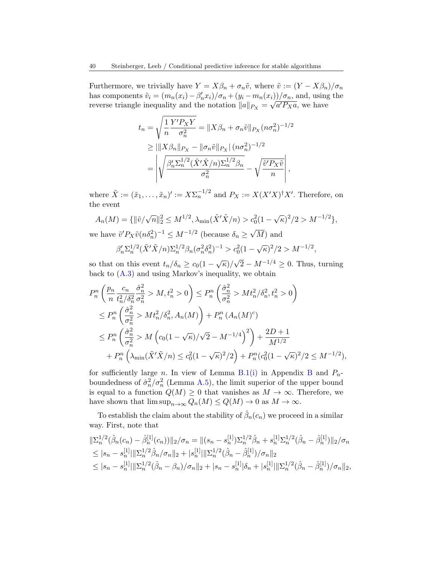Furthermore, we trivially have  $Y = X\beta_n + \sigma_n\tilde{v}$ , where  $\tilde{v} := (Y - X\beta_n)/\sigma_n$ has components  $\tilde{v}_i = (m_n(x_i) - \beta'_n x_i)/\sigma_n + (y_i - m_n(x_i))/\sigma_n$ , and, using the reverse triangle inequality and the notation  $||a||_{P_X} = \sqrt{a'P_Xa}$ , we have

$$
t_n = \sqrt{\frac{1}{n} \frac{Y' P_X Y}{\sigma_n^2}} = \|X\beta_n + \sigma_n \tilde{v}\|_{P_X} (n\sigma_n^2)^{-1/2}
$$
  
\n
$$
\geq \|\|X\beta_n\|_{P_X} - \|\sigma_n \tilde{v}\|_{P_X} |(n\sigma_n^2)^{-1/2}
$$
  
\n
$$
= \left| \sqrt{\frac{\beta_n' \Sigma_n^{1/2} (\tilde{X}' \tilde{X}/n) \Sigma_n^{1/2} \beta_n}{\sigma_n^2}} - \sqrt{\frac{\tilde{v}' P_X \tilde{v}}{n}} \right|,
$$

where  $\tilde{X} := (\tilde{x}_1, \ldots, \tilde{x}_n)' := X \Sigma_n^{-1/2}$  and  $P_X := X(X'X)^{\dagger} X'$ . Therefore, on the event

$$
A_n(M) = \{ ||\tilde{v}/\sqrt{n}||_2^2 \le M^{1/2}, \lambda_{\min}(\tilde{X}'\tilde{X}/n) > c_0^2 (1 - \sqrt{\kappa})^2 / 2 > M^{-1/2} \},
$$
  
we have  $\tilde{v}' P_X \tilde{v}(n \delta_n^2)^{-1} \le M^{-1/2}$  (because  $\delta_n \ge \sqrt{M}$ ) and

$$
\beta_n' \Sigma_n^{1/2} (\tilde{X}' \tilde{X}/n) \Sigma_n^{1/2} \beta_n (\sigma_n^2 \delta_n^2)^{-1} > c_0^2 (1 - \sqrt{\kappa})^2 / 2 > M^{-1/2},
$$

so that on this event  $t_n/\delta_n \geq c_0(1-\sqrt{\kappa})/$  $\sqrt{2} - M^{-1/4} \geq 0$ . Thus, turning back to [\(A.3\)](#page-38-0) and using Markov's inequality, we obtain

$$
P_n^n \left( \frac{p_n}{n} \frac{c_n}{t_n^2/\delta_n^2} \frac{\hat{\sigma}_n^2}{\sigma_n^2} > M, t_n^2 > 0 \right) \le P_n^n \left( \frac{\hat{\sigma}_n^2}{\sigma_n^2} > M t_n^2/\delta_n^2, t_n^2 > 0 \right)
$$
\n
$$
\le P_n^n \left( \frac{\hat{\sigma}_n^2}{\sigma_n^2} > M t_n^2/\delta_n^2, A_n(M) \right) + P_n^n \left( A_n(M)^c \right)
$$
\n
$$
\le P_n^n \left( \frac{\hat{\sigma}_n^2}{\sigma_n^2} > M \left( c_0 (1 - \sqrt{\kappa})/\sqrt{2} - M^{-1/4} \right)^2 \right) + \frac{2D + 1}{M^{1/2}}
$$
\n
$$
+ P_n^n \left( \lambda_{\min} (\tilde{X}' \tilde{X}/n) \le c_0^2 (1 - \sqrt{\kappa})^2 / 2 \right) + P_n^n \left( c_0^2 (1 - \sqrt{\kappa})^2 / 2 \le M^{-1/2} \right),
$$

for sufficiently large n. In view of Lemma [B.1](#page-50-0)[\(i\)](#page-51-0) in Appendix [B](#page-50-1) and  $P_n$ boundedness of  $\hat{\sigma}_n^2/\sigma_n^2$  (Lemma [A.5\)](#page-38-1), the limit superior of the upper bound is equal to a function  $Q(M) \geq 0$  that vanishes as  $M \to \infty$ . Therefore, we have shown that  $\limsup_{n\to\infty} Q_n(M) \leq Q(M) \to 0$  as  $M \to \infty$ .

To establish the claim about the stability of  $\hat{\beta}_n(c_n)$  we proceed in a similar way. First, note that

$$
\begin{split} &\|\Sigma_n^{1/2}(\hat{\beta}_n(c_n)-\hat{\beta}_n^{[1]}(c_n))\|_2/\sigma_n=\|(s_n-s_n^{[1]})\Sigma_n^{1/2}\hat{\beta}_n+s_n^{[1]}\Sigma_n^{1/2}(\hat{\beta}_n-\hat{\beta}_n^{[1]})\|_2/\sigma_n\\ &\leq |s_n-s_n^{[1]}\|\|\Sigma_n^{1/2}\hat{\beta}_n/\sigma_n\|_2+|s_n^{[1]}\|\|\Sigma_n^{1/2}(\hat{\beta}_n-\hat{\beta}_n^{[1]})/\sigma_n\|_2\\ &\leq |s_n-s_n^{[1]}\|\|\Sigma_n^{1/2}(\hat{\beta}_n-\beta_n)/\sigma_n\|_2+|s_n-s_n^{[1]}\|\delta_n+|s_n^{[1]}\|\|\Sigma_n^{1/2}(\hat{\beta}_n-\hat{\beta}_n^{[1]})/\sigma_n\|_2, \end{split}
$$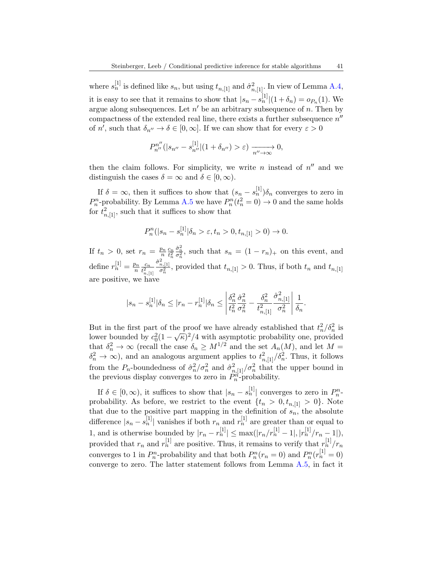where  $s_n^{[1]}$  is defined like  $s_n$ , but using  $t_{n,[1]}$  and  $\hat{\sigma}_{n,[1]}^2$ . In view of Lemma [A.4,](#page-37-0) it is easy to see that it remains to show that  $|s_n - s_n^{[1]}|(1 + \delta_n) = o_{P_n}(1)$ . We argue along subsequences. Let  $n'$  be an arbitrary subsequence of n. Then by compactness of the extended real line, there exists a further subsequence  $n''$ of n', such that  $\delta_{n''} \to \delta \in [0,\infty]$ . If we can show that for every  $\varepsilon > 0$ 

$$
P_{n''}^{n''}(|s_{n''}-s_{n''}^{[1]}|(1+\delta_{n''})>\varepsilon) \xrightarrow[n''\to\infty]{} 0,
$$

then the claim follows. For simplicity, we write n instead of  $n''$  and we distinguish the cases  $\delta = \infty$  and  $\delta \in [0, \infty)$ .

If  $\delta = \infty$ , then it suffices to show that  $(s_n - s_n^{\left[1\right]})\delta_n$  converges to zero in  $P_n^n$ -probability. By Lemma [A.5](#page-38-1) we have  $P_n^n(t_n^2 = 0) \to 0$  and the same holds for  $t_{n,[1]}^2$ , such that it suffices to show that

$$
P_n^n(|s_n - s_n^{[1]}|\delta_n > \varepsilon, t_n > 0, t_{n,[1]} > 0) \to 0.
$$

If  $t_n > 0$ , set  $r_n = \frac{p_n}{n}$  $\frac{c_n}{n} \frac{c_n}{t_n^2}$  $\frac{\partial_n^2}{\partial_n^2}$ , such that  $s_n = (1 - r_n)_+$  on this event, and define  $r_n^{[1]} = \frac{p_n}{n}$  $\frac{c_n}{n}$  $\frac{c_n}{t_n^2}$  $\overline{t^2_{n,[1]}}$  $\frac{\hat{\sigma}_{n,[1]}^2}{\sigma_n^2}$ , provided that  $t_{n,[1]} > 0$ . Thus, if both  $t_n$  and  $t_{n,[1]}$ are positive, we have

$$
|s_n - s_n^{[1]}| \delta_n \le |r_n - r_n^{[1]}| \delta_n \le \left| \frac{\delta_n^2}{t_n^2} \frac{\hat{\sigma}_n^2}{\sigma_n^2} - \frac{\delta_n^2}{t_{n,[1]}^2} \frac{\hat{\sigma}_{n,[1]}^2}{\sigma_n^2} \right| \frac{1}{\delta_n}.
$$

But in the first part of the proof we have already established that  $t_n^2/\delta_n^2$  is But in the first part of the proof we have already established that  $\iota_n / \iota_n$  is<br>lower bounded by  $c_0^2 (1 - \sqrt{\kappa})^2 / 4$  with asymptotic probability one, provided that  $\delta_n^2 \to \infty$  (recall the case  $\delta_n \geq M^{1/2}$  and the set  $A_n(M)$ , and let  $M =$  $\delta_n^2 \to \infty$ ), and an analogous argument applies to  $t_{n,[1]}^2/\delta_n^2$ . Thus, it follows from the  $P_n$ -boundedness of  $\hat{\sigma}_n^2/\sigma_n^2$  and  $\hat{\sigma}_{n,[1]}^2/\sigma_n^2$  that the upper bound in the previous display converges to zero in  $P_n^{\hat{n}-1}$  probability.

If  $\delta \in [0, \infty)$ , it suffices to show that  $|s_n - s_n^{[1]}|$  converges to zero in  $P_{n}^{n-1}$ probability. As before, we restrict to the event  $\{t_n > 0, t_{n,[1]} > 0\}$ . Note that due to the positive part mapping in the definition of  $s_n$ , the absolute difference  $|s_n - s_n^{[1]}|$  vanishes if both  $r_n$  and  $r_n^{[1]}$  are greater than or equal to 1, and is otherwise bounded by  $|r_n - r_n^{[1]}| \leq \max(|r_n/r_n^{[1]} - 1|, |r_n^{[1]}/r_n - 1|)$ , provided that  $r_n$  and  $r_n^{[1]}$  are positive. Thus, it remains to verify that  $r_n^{[1]}/r_n$ converges to 1 in  $P_n^n$ -probability and that both  $P_n^n(r_n = 0)$  and  $P_n^n(r_n^{\{1\}} = 0)$ converge to zero. The latter statement follows from Lemma [A.5,](#page-38-1) in fact it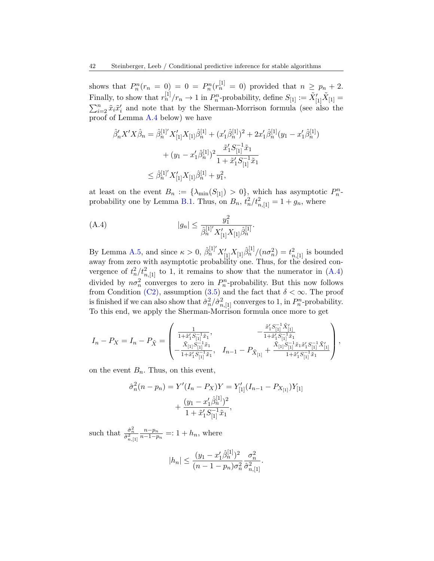shows that  $P_n^n(r_n = 0) = 0 = P_n^n(r_n^{[1]} = 0)$  provided that  $n \geq p_n + 2$ . Finally, to show that  $r_n^{[1]}/r_n \to 1$  in  $P_n^n$ -probability, define  $S_{[1]} := \tilde{X}'_{[1]}\tilde{X}_{[1]} =$  $\sum_{i=2}^{n} \tilde{x}_i \tilde{x}'_i$  and note that by the Sherman-Morrison formula (see also the proof of Lemma [A.4](#page-37-0) below) we have

$$
\hat{\beta}'_n X' X \hat{\beta}_n = \hat{\beta}_n^{[1]'} X'_{[1]} X_{[1]} \hat{\beta}_n^{[1]} + (x'_1 \hat{\beta}_n^{[1]})^2 + 2x'_1 \hat{\beta}_n^{[1]} (y_1 - x'_1 \hat{\beta}_n^{[1]})
$$

$$
+ (y_1 - x'_1 \hat{\beta}_n^{[1]})^2 \frac{\tilde{x}'_1 S_{[1]}^{-1} \tilde{x}_1}{1 + \tilde{x}'_1 S_{[1]}^{-1} \tilde{x}_1}
$$

$$
\leq \hat{\beta}_n^{[1]'} X'_{[1]} X_{[1]} \hat{\beta}_n^{[1]} + y_1^2,
$$

at least on the event  $B_n := {\lambda_{\min}(S_{[1]}) > 0}$ , which has asymptotic  $P_n^n$ -probability one by Lemma [B.1.](#page-50-0) Thus, on  $B_n$ ,  $t_n^2/t_{n,[1]}^2 = 1 + g_n$ , where

<span id="page-41-0"></span>(A.4) 
$$
|g_n| \leq \frac{y_1^2}{\hat{\beta}_n^{[1]'} X'_{[1]} X_{[1]}\hat{\beta}_n^{[1]}}.
$$

By Lemma [A.5,](#page-38-1) and since  $\kappa > 0$ ,  $\hat{\beta}_n^{[1]}' X'_{[1]} X_{[1]} \hat{\beta}_n^{[1]} / (n \sigma_n^2) = t_{n,[1]}^2$  is bounded away from zero with asymptotic probability one. Thus, for the desired convergence of  $t_n^2/t_{n,[1]}^2$  to 1, it remains to show that the numerator in  $(A.4)$ divided by  $n\sigma_n^2$  converges to zero in  $P_n^n$ -probability. But this now follows from Condition [\(C2\),](#page-15-0) assumption [\(3.5\)](#page-17-1) and the fact that  $\delta < \infty$ . The proof is finished if we can also show that  $\hat{\sigma}_n^2 / \hat{\sigma}_{n,[1]}^2$  converges to 1, in  $P_n^n$ -probability. To this end, we apply the Sherman-Morrison formula once more to get

$$
I_n - P_X = I_n - P_{\tilde{X}} = \begin{pmatrix} \frac{1}{1 + \tilde{x}_1'S_{[1]}^{-1}\tilde{x}_1}, & -\frac{\tilde{x}_1'S_{[1]}^{-1}\tilde{X}_{[1]}}{1 + \tilde{x}_1'S_{[1]}^{-1}\tilde{x}_1}, \\ -\frac{\tilde{X}_{[1]}S_{[1]}^{-1}\tilde{x}_1}{1 + \tilde{x}_1'S_{[1]}^{-1}\tilde{x}_1}, & I_{n-1} - P_{\tilde{X}_{[1]}} + \frac{\tilde{X}_{[1]}S_{[1]}^{-1}\tilde{x}_1\tilde{x}_1'S_{[1]}^{-1}\tilde{x}_1}{1 + \tilde{x}_1'S_{[1]}^{-1}\tilde{x}_1} \end{pmatrix},
$$

on the event  $B_n$ . Thus, on this event,

$$
\hat{\sigma}_n^2(n - p_n) = Y'(I_n - P_X)Y = Y'_{[1]}(I_{n-1} - P_{X_{[1]}})Y_{[1]} + \frac{(y_1 - x'_1 \hat{\beta}_n^{[1]})^2}{1 + \tilde{x}'_1 S_{[1]}^{-1} \tilde{x}_1},
$$

such that  $\frac{\hat{\sigma}_n^2}{\hat{\sigma}_{n,[1]}^2}$ n−p<sup>n</sup>  $\frac{n-p_n}{n-1-p_n}$  =: 1 +  $h_n$ , where

$$
|h_n| \le \frac{(y_1 - x_1')\hat{\beta}_n^{[1]}}{(n-1-p_n)\sigma_n^2} \frac{\sigma_n^2}{\hat{\sigma}_{n,[1]}^2}.
$$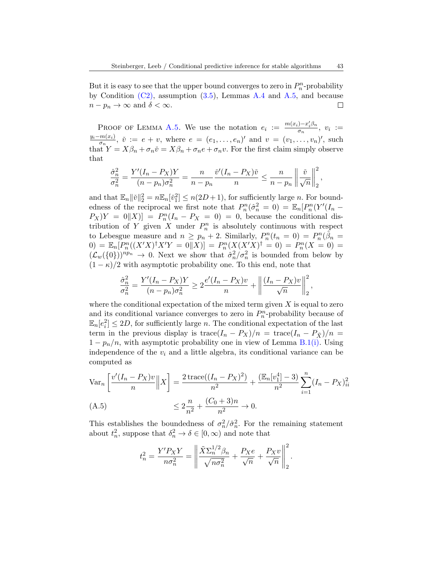But it is easy to see that the upper bound converges to zero in  $P_n^n$ -probability by Condition  $(C2)$ , assumption  $(3.5)$ , Lemmas [A.4](#page-37-0) and [A.5,](#page-38-1) and because  $n - p_n \to \infty$  and  $\delta < \infty$ .  $\Box$ 

PROOF OF LEMMA [A.5.](#page-38-1) We use the notation  $e_i := \frac{m(x_i) - x_i'\beta_n}{\sigma_n}$  $\frac{v-x_i}{\sigma_n}, v_i :=$  $y_i-m(x_i)$  $\frac{m(x_i)}{\sigma_n}$ ,  $\check{v} := e + v$ , where  $e = (e_1, \ldots, e_n)'$  and  $v = (v_1, \ldots, v_n)'$ , such that  $Y = X\beta_n + \sigma_n \check{v} = X\beta_n + \sigma_n e + \sigma_n v$ . For the first claim simply observe that

$$
\frac{\hat{\sigma}_n^2}{\sigma_n^2} = \frac{Y'(I_n - P_X)Y}{(n - p_n)\sigma_n^2} = \frac{n}{n - p_n} \frac{\check{v}'(I_n - P_X)\check{v}}{n} \le \frac{n}{n - p_n} \left\| \frac{\check{v}}{\sqrt{n}} \right\|_2^2,
$$

and that  $\mathbb{E}_n ||\check{v}||_2^2 = n \mathbb{E}_n[\check{v}_1^2] \le n(2D+1)$ , for sufficiently large *n*. For boundedness of the reciprocal we first note that  $P_n^n(\hat{\sigma}_n^2 = 0) = \mathbb{E}_n[P_n^n(Y'(I_n P_X[Y = 0|X] = P_n^n(I_n - P_X = 0) = 0$ , because the conditional distribution of Y given X under  $P_n^n$  is absolutely continuous with respect to Lebesgue measure and  $n \ge p_n + 2$ . Similarly,  $P_n^n(t_n = 0) = P_n^n(\tilde{\beta}_n =$ 0) =  $\mathbb{E}_n[P_n^n((X'X)^{\dagger}X'Y = 0||X)] = P_n^n(X(X'X)^{\dagger} = 0) = P_n^n(X = 0) = 0$  $(\mathcal{L}_w({0}))^{np_n} \to 0$ . Next we show that  $\hat{\sigma}_n^2/\sigma_n^2$  is bounded from below by  $(1 - \kappa)/2$  with asymptotic probability one. To this end, note that

$$
\frac{\hat{\sigma}_n^2}{\sigma_n^2} = \frac{Y'(I_n - P_X)Y}{(n - p_n)\sigma_n^2} \ge 2\frac{e'(I_n - P_X)v}{n} + \left\|\frac{(I_n - P_X)v}{\sqrt{n}}\right\|_2^2,
$$

where the conditional expectation of the mixed term given  $X$  is equal to zero and its conditional variance converges to zero in  $P_n^n$ -probability because of  $\mathbb{E}_n[e_i^2] \leq 2D$ , for sufficiently large *n*. The conditional expectation of the last term in the previous display is trace $(I_n - P_X)/n = \text{trace}(I_n - P_{\tilde{X}})/n =$  $1 - p_n/n$ , with asymptotic probability one in view of Lemma [B.1](#page-50-0)[\(i\).](#page-51-0) Using independence of the  $v_i$  and a little algebra, its conditional variance can be computed as

$$
\operatorname{Var}_n\left[\frac{v'(I_n - P_X)v}{n}\middle\|X\right] = \frac{2 \operatorname{trace}((I_n - P_X)^2)}{n^2} + \frac{(\mathbb{E}_n[v_1^4] - 3)}{n^2} \sum_{i=1}^n (I_n - P_X)_{ii}^2
$$
\n(A.5)\n
$$
\leq 2\frac{n}{n^2} + \frac{(C_0 + 3)n}{n^2} \to 0.
$$

<span id="page-42-0"></span>This establishes the boundedness of  $\sigma_n^2/\hat{\sigma}_n^2$ . For the remaining statement about  $t_n^2$ , suppose that  $\delta_n^2 \to \delta \in [0, \infty)$  and note that

$$
t_n^2 = \frac{Y' P_X Y}{n \sigma_n^2} = \left\| \frac{\tilde{X} \Sigma_n^{1/2} \beta_n}{\sqrt{n \sigma_n^2}} + \frac{P_X e}{\sqrt{n}} + \frac{P_X v}{\sqrt{n}} \right\|_2^2.
$$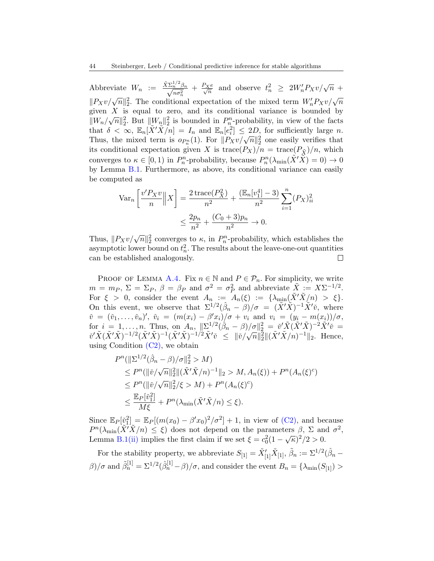Abbreviate  $W_n := \frac{\tilde{X} \Sigma_n^{1/2} \beta_n}{\sqrt{n \sigma_n^2}} + \frac{P_X e}{\sqrt{n}}$  and observe  $t_n^2 \ge 2W_n' P_X v / \sqrt{n}$  +  $\sqrt{n}\sigma_n^2$   $\sqrt{n}$   $\sqrt{n}\sigma_n^2$   $\sqrt{n}$ <br> $||P_Xv/\sqrt{n}||_2^2$ . The conditional expectation of the mixed term  $W_n'P_Xv/\sqrt{n}$ given X is equal to zero, and its conditional variance is bounded by  $\|W_n/\sqrt{n}\|_2^2$ . But  $\|W_n\|_2^2$  is bounded in  $P_n^n$ -probability, in view of the facts that  $\delta < \infty$ ,  $\mathbb{E}_n[\tilde{X}'\tilde{X}\tilde{n}] = I_n$  and  $\mathbb{E}_n[e_i^2] \leq 2D$ , for sufficiently large n. Thus, the mixed term is  $o_{P_n^n}(1)$ . For  $||P_Xv/\sqrt{n}||_2^2$  one easily verifies that its conditional expectation given X is  $trace(P_X)/n = trace(P_{\tilde{X}})/n$ , which converges to  $\kappa \in [0,1)$  in  $P_n^n$ -probability, because  $P_n^n(\lambda_{\min}(\tilde{X}'\tilde{X})=0) \to 0$ by Lemma [B.1.](#page-50-0) Furthermore, as above, its conditional variance can easily be computed as

$$
\operatorname{Var}_n\left[\frac{v'P_Xv}{n}\middle\|X\right] = \frac{2\t\operatorname{trace}(P_X^2)}{n^2} + \frac{(\mathbb{E}_n[v_1^4] - 3)}{n^2} \sum_{i=1}^n (P_X)_{ii}^2
$$

$$
\leq \frac{2p_n}{n^2} + \frac{(C_0 + 3)p_n}{n^2} \to 0.
$$

Thus,  $||P_Xv/\sqrt{n}||_2^2$  converges to  $\kappa$ , in  $P_n^n$ -probability, which establishes the asymptotic lower bound on  $t_n^2$ . The results about the leave-one-out quantities can be established analogously.  $\Box$ 

PROOF OF LEMMA [A.4.](#page-37-0) Fix  $n \in \mathbb{N}$  and  $P \in \mathcal{P}_n$ . For simplicity, we write  $m = m_P, \ \Sigma = \Sigma_P, \ \beta = \beta_P \text{ and } \sigma^2 = \sigma_P^2 \text{ and abbreviate } \tilde{X} := X\Sigma^{-1/2}.$ For  $\xi > 0$ , consider the event  $A_n := A_n(\xi) := {\lambda_{\min}(X'X/n)} > \xi$ . On this event, we observe that  $\Sigma^{1/2}(\hat{\beta}_n - \hat{\beta})/\sigma = (\tilde{X}'\tilde{X})^{-1}\tilde{X}'\tilde{v}$ , where  $\check{v} = (\check{v}_1, \ldots, \check{v}_n)'$ ,  $\check{v}_i = (m(x_i) - \beta' x_i)/\sigma + v_i$  and  $v_i = (y_i - m(x_i))/\sigma$ , for  $i = 1, \ldots, n$ . Thus, on  $A_n$ ,  $\|\Sigma^{1/2}(\hat{\beta}_n - \beta)/\sigma\|_2^2 = \tilde{v}'\tilde{X}(\tilde{X}'\tilde{X})^{-2}\tilde{X}'\tilde{v} =$  $\check{v}'\tilde{X}(\tilde{X}'\tilde{X})^{-1/2}(\tilde{X}'\tilde{X})^{-1/2}\tilde{X}'\check{v} \leq ||\check{v}/\sqrt{n}||_2^2 ||(\tilde{X}'\tilde{X}/n)^{-1}||_2.$  Hence, using Condition  $(C2)$ , we obtain

$$
P^{n}(\|\Sigma^{1/2}(\hat{\beta}_{n} - \beta)/\sigma\|_{2}^{2} > M)
$$
  
\n
$$
\leq P^{n}(\|\check{\nu}/\sqrt{n}\|_{2}^{2}\|(\tilde{X}'\tilde{X}/n)^{-1}\|_{2} > M, A_{n}(\xi)) + P^{n}(A_{n}(\xi)^{c})
$$
  
\n
$$
\leq P^{n}(\|\check{\nu}/\sqrt{n}\|_{2}^{2}/\xi > M) + P^{n}(A_{n}(\xi)^{c})
$$
  
\n
$$
\leq \frac{\mathbb{E}_{P}[\check{\nu}_{1}^{2}]}{M\xi} + P^{n}(\lambda_{\min}(\tilde{X}'\tilde{X}/n) \leq \xi).
$$

Since  $\mathbb{E}_P[\tilde{v}_1^2] = \mathbb{E}_P[(m(x_0) - \beta' x_0)^2/\sigma^2] + 1$ , in view of [\(C2\),](#page-15-0) and because  $P^{n}(\lambda_{\min}(\tilde{X}^{\prime}\tilde{X}/n) \leq \xi)$  does not depend on the parameters  $\beta$ ,  $\Sigma$  and  $\sigma^{2}$ , Lemma [B.1](#page-50-0)[\(ii\)](#page-51-1) implies the first claim if we set  $\xi = c_0^2 (1 - \sqrt{\kappa})^2 / 2 > 0$ .

For the stability property, we abbreviate  $S_{[1]} = \tilde{X}'_{[1]}\tilde{X}_{[1]}, \tilde{\beta}_n := \Sigma^{1/2}(\hat{\beta}_n - \hat{\beta}_n)$  $\beta$ )/ $\sigma$  and  $\tilde{\beta}_n^{[1]} = \Sigma^{1/2}(\hat{\beta}_n^{[1]} - \beta)/\sigma$ , and consider the event  $B_n = \{\lambda_{\min}(S_{[1]}) > \sigma\}$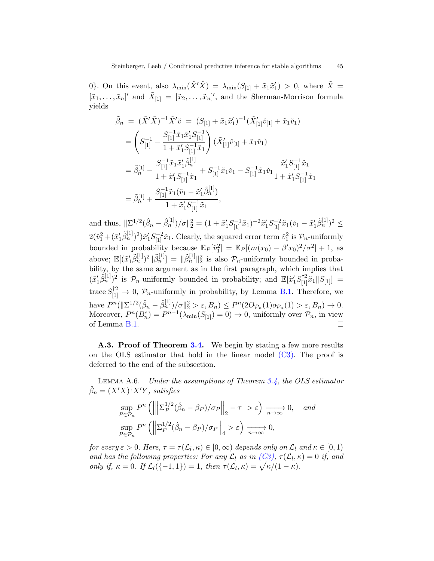0}. On this event, also  $\lambda_{\min}(\tilde{X}'\tilde{X}) = \lambda_{\min}(S_{[1]} + \tilde{x}_1\tilde{x}'_1) > 0$ , where  $\tilde{X} =$  $[\tilde{x}_1,\ldots,\tilde{x}_n]'$  and  $\tilde{X}_{[1]} = [\tilde{x}_2,\ldots,\tilde{x}_n]'$ , and the Sherman-Morrison formula yields

$$
\tilde{\beta}_n = (\tilde{X}'\tilde{X})^{-1}\tilde{X}'\tilde{v} = (S_{[1]} + \tilde{x}_1\tilde{x}_1')^{-1}(\tilde{X}_{[1]}'\tilde{v}_{[1]} + \tilde{x}_1\tilde{v}_1)
$$
\n
$$
= \left(S_{[1]}^{-1} - \frac{S_{[1]}^{-1}\tilde{x}_1\tilde{x}_1'S_{[1]}^{-1}}{1 + \tilde{x}_1'S_{[1]}^{-1}\tilde{x}_1}\right)(\tilde{X}_{[1]}'\tilde{v}_{[1]} + \tilde{x}_1\tilde{v}_1)
$$
\n
$$
= \tilde{\beta}_n^{[1]} - \frac{S_{[1]}^{-1}\tilde{x}_1\tilde{x}_1'\tilde{\beta}_n^{[1]}}{1 + \tilde{x}_1'S_{[1]}^{-1}\tilde{x}_1} + S_{[1]}^{-1}\tilde{x}_1\tilde{v}_1 - S_{[1]}^{-1}\tilde{x}_1\tilde{v}_1\frac{\tilde{x}_1'S_{[1]}^{-1}\tilde{x}_1}{1 + \tilde{x}_1'S_{[1]}^{-1}\tilde{x}_1}
$$
\n
$$
= \tilde{\beta}_n^{[1]} + \frac{S_{[1]}^{-1}\tilde{x}_1(\tilde{v}_1 - \tilde{x}_1'\tilde{\beta}_n^{[1]})}{1 + \tilde{x}_1'S_{[1]}^{-1}\tilde{x}_1},
$$

and thus,  $\|\Sigma^{1/2}(\hat{\beta}_n - \hat{\beta}_n^{[1]})/\sigma\|_2^2 = (1 + \tilde{x}_1'S_{[1]}^{-1}\tilde{x}_1)^{-2}\tilde{x}_1'S_{[1]}^{-2}\tilde{x}_1(\tilde{v}_1 - \tilde{x}_1'\tilde{\beta}_n^{[1]})^2 \leq$  $2(\check{v}_1^2 + (\tilde{x}_1'\tilde{\beta}_n^{[1]})^2)\tilde{x}_1'S_{[1]}^{-2}\tilde{x}_1.$  Clearly, the squared error term  $\check{v}_1^2$  is  $\mathcal{P}_n$ -uniformly bounded in probability because  $\mathbb{E}_P[\tilde{v}_1^2] = \mathbb{E}_P[(m(x_0) - \beta' x_0)^2/\sigma^2] + 1$ , as above;  $\mathbb{E}[(\tilde{x}_1'\tilde{\beta}_n^{[1]})^2 || \tilde{\beta}_n^{[1]}] = ||\tilde{\beta}_n^{[1]}||_2^2$  is also  $\mathcal{P}_n$ -uniformly bounded in probability, by the same argument as in the first paragraph, which implies that  $(\tilde{x}'_1\tilde{\beta}_n^{[1]})^2$  is  $\mathcal{P}_n$ -uniformly bounded in probability; and  $\mathbb{E}[\tilde{x}'_1S_{[1]}^{\dagger 2}\tilde{x}_1||S_{[1]}]=$ trace  $S_{[1]}^{\dagger 2} \rightarrow 0$ ,  $\mathcal{P}_n$ -uniformly in probability, by Lemma [B.1.](#page-50-0) Therefore, we have  $P^{n}(\|\Sigma^{1/2}(\hat{\beta}_{n}-\hat{\beta}_{n}^{[1]})/\sigma\|_{2}^{2}>\varepsilon, B_{n})\leq P^{n}(2O_{\mathcal{P}_{n}}(1)o_{\mathcal{P}_{n}}(1)>\varepsilon, B_{n})\to 0.$ Moreover,  $P^{n}(B_{n}^{c}) = P^{n-1}(\lambda_{\min}(S_{[1]}) = 0) \rightarrow 0$ , uniformly over  $\mathcal{P}_{n}$ , in view of Lemma [B.1.](#page-50-0) П

A.3. Proof of Theorem [3.4.](#page-18-0) We begin by stating a few more results on the OLS estimator that hold in the linear model  $(C3)$ . The proof is deferred to the end of the subsection.

<span id="page-44-0"></span>Lemma A.6. Under the assumptions of Theorem [3.4,](#page-18-0) the OLS estimator  $\hat{\beta}_n = (X'X)^{\dagger}X'Y$ , satisfies

$$
\sup_{P \in \mathcal{P}_n} P^n \left( \left\| \left| \Sigma_P^{1/2} (\hat{\beta}_n - \beta_P) / \sigma_P \right| \right|_2 - \tau \right| > \varepsilon \right) \xrightarrow[n \to \infty]{} 0, \quad \text{and}
$$
\n
$$
\sup_{P \in \mathcal{P}_n} P^n \left( \left\| \Sigma_P^{1/2} (\hat{\beta}_n - \beta_P) / \sigma_P \right\|_4 > \varepsilon \right) \xrightarrow[n \to \infty]{} 0,
$$

for every  $\varepsilon > 0$ . Here,  $\tau = \tau(\mathcal{L}_l, \kappa) \in [0, \infty)$  depends only on  $\mathcal{L}_l$  and  $\kappa \in [0, 1)$ and has the following properties: For any  $\mathcal{L}_l$  as in  $(C3)$ ,  $\tau(\mathcal{L}_l, \kappa) = 0$  if, and only if,  $\kappa = 0$ . If  $\mathcal{L}_l(\{-1,1\}) = 1$ , then  $\tau(\mathcal{L}_l, \kappa) = \sqrt{\kappa/(1-\kappa)}$ .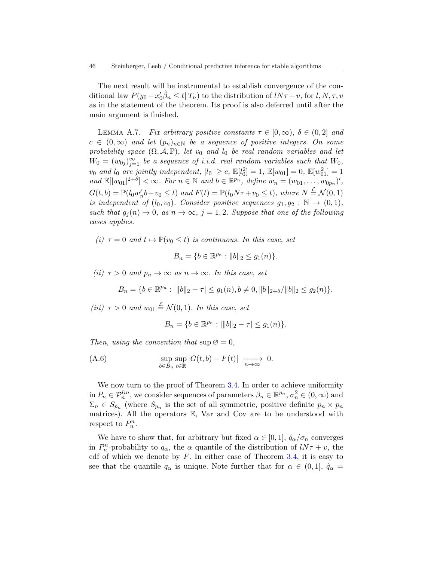The next result will be instrumental to establish convergence of the conditional law  $P(y_0 - x'_0)\hat{\beta}_n \leq t || T_n)$  to the distribution of  $l N \tau + v$ , for  $l, N, \tau, v$ as in the statement of the theorem. Its proof is also deferred until after the main argument is finished.

<span id="page-45-0"></span>LEMMA A.7. Fix arbitrary positive constants  $\tau \in [0,\infty)$ ,  $\delta \in (0,2]$  and  $c \in (0,\infty)$  and let  $(p_n)_{n\in\mathbb{N}}$  be a sequence of positive integers. On some probability space  $(\Omega, \mathcal{A}, \mathbb{P})$ , let  $v_0$  and  $l_0$  be real random variables and let  $W_0 = (w_{0j})_{j=1}^{\infty}$  be a sequence of i.i.d. real random variables such that  $W_0$ ,  $v_0$  and  $l_0$  are jointly independent,  $|l_0| \ge c$ ,  $\mathbb{E}[l_0^2] = 1$ ,  $\mathbb{E}[w_{01}] = 0$ ,  $\mathbb{E}[w_{01}^2] = 1$ and  $\mathbb{E}[|w_{01}|^{2+\delta}] < \infty$ . For  $n \in \mathbb{N}$  and  $b \in \mathbb{R}^{p_n}$ , define  $w_n = (w_{01}, \ldots, w_{0p_n})'$ ,  $G(t,b) = \mathbb{P}(l_0w_n'b + v_0 \leq t)$  and  $F(t) = \mathbb{P}(l_0N\tau + v_0 \leq t)$ , where  $N \stackrel{\mathcal{L}}{=} \mathcal{N}(0,1)$ is independent of  $(l_0, v_0)$ . Consider positive sequences  $g_1, g_2 : \mathbb{N} \to (0, 1)$ , such that  $g_i(n) \to 0$ , as  $n \to \infty$ ,  $j = 1, 2$ . Suppose that one of the following cases applies.

<span id="page-45-2"></span>(i)  $\tau = 0$  and  $t \mapsto \mathbb{P}(v_0 \leq t)$  is continuous. In this case, set

$$
B_n = \{b \in \mathbb{R}^{p_n} : ||b||_2 \le g_1(n)\}.
$$

<span id="page-45-1"></span>(ii)  $\tau > 0$  and  $p_n \to \infty$  as  $n \to \infty$ . In this case, set

$$
B_n = \{b \in \mathbb{R}^{p_n} : |||b||_2 - \tau| \le g_1(n), b \ne 0, ||b||_{2+\delta}/||b||_2 \le g_2(n)\}.
$$

<span id="page-45-3"></span>(iii)  $\tau > 0$  and  $w_{01} \stackrel{\mathcal{L}}{=} \mathcal{N}(0, 1)$ . In this case, set

$$
B_n = \{b \in \mathbb{R}^{p_n} : |||b||_2 - \tau| \le g_1(n)\}.
$$

Then, using the convention that  $\sup \varnothing = 0$ ,

(A.6) 
$$
\sup_{b \in B_n} \sup_{t \in \mathbb{R}} |G(t,b) - F(t)| \longrightarrow 0.
$$

We now turn to the proof of Theorem [3.4.](#page-18-0) In order to achieve uniformity in  $P_n \in \mathcal{P}_n^{lin}$ , we consider sequences of parameters  $\beta_n \in \mathbb{R}^{p_n}$ ,  $\sigma_n^2 \in (0, \infty)$  and  $\Sigma_n \in S_{p_n}$  (where  $S_{p_n}$  is the set of all symmetric, positive definite  $p_n \times p_n$ matrices). All the operators E, Var and Cov are to be understood with respect to  $P_n^n$ .

We have to show that, for arbitrary but fixed  $\alpha \in [0,1], \hat{q}_{\alpha}/\sigma_n$  converges in  $P_n^n$ -probability to  $q_\alpha$ , the  $\alpha$  quantile of the distribution of  $lN\tau + v$ , the cdf of which we denote by  $F$ . In either case of Theorem [3.4,](#page-18-0) it is easy to see that the quantile  $q_{\alpha}$  is unique. Note further that for  $\alpha \in (0,1], \hat{q}_{\alpha} =$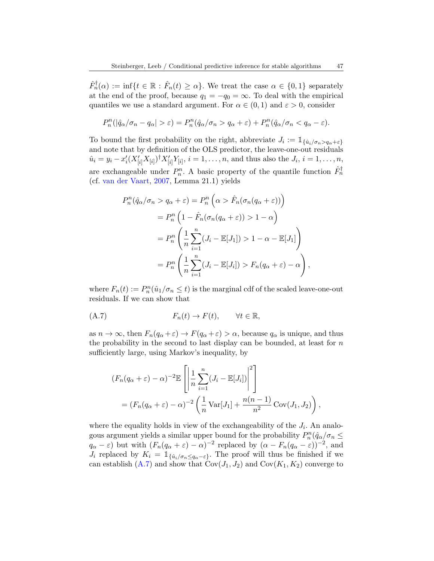$\hat{F}_n^{\dagger}(\alpha) := \inf\{t \in \mathbb{R} : \hat{F}_n(t) \geq \alpha\}.$  We treat the case  $\alpha \in \{0,1\}$  separately at the end of the proof, because  $q_1 = -q_0 = \infty$ . To deal with the empirical quantiles we use a standard argument. For  $\alpha \in (0,1)$  and  $\varepsilon > 0$ , consider

$$
P_n^n(|\hat{q}_\alpha/\sigma_n - q_\alpha| > \varepsilon) = P_n^n(\hat{q}_\alpha/\sigma_n > q_\alpha + \varepsilon) + P_n^n(\hat{q}_\alpha/\sigma_n < q_\alpha - \varepsilon).
$$

To bound the first probability on the right, abbreviate  $J_i := \mathbb{1}_{\{\hat{u}_i/\sigma_n > q_{\alpha} + \varepsilon\}}$ and note that by definition of the OLS predictor, the leave-one-out residuals  $\hat{u}_i = y_i - x'_i (X'_{[i]} X_{[i]})^{\dagger} X'_{[i]} Y_{[i]}, i = 1, \dots, n$ , and thus also the  $J_i, i = 1, \dots, n$ , are exchangeable under  $P_n^n$ . A basic property of the quantile function  $\hat{F}_n^{\dagger}$ (cf. [van der Vaart,](#page-32-19) [2007,](#page-32-19) Lemma 21.1) yields

$$
P_n^n(\hat{q}_\alpha/\sigma_n > q_\alpha + \varepsilon) = P_n^n \left( \alpha > \hat{F}_n(\sigma_n(q_\alpha + \varepsilon)) \right)
$$
  
= 
$$
P_n^n \left( 1 - \hat{F}_n(\sigma_n(q_\alpha + \varepsilon)) > 1 - \alpha \right)
$$
  
= 
$$
P_n^n \left( \frac{1}{n} \sum_{i=1}^n (J_i - \mathbb{E}[J_1]) > 1 - \alpha - \mathbb{E}[J_1] \right)
$$
  
= 
$$
P_n^n \left( \frac{1}{n} \sum_{i=1}^n (J_i - \mathbb{E}[J_i]) > F_n(q_\alpha + \varepsilon) - \alpha \right),
$$

where  $F_n(t) := P_n^n(\hat{u}_1/\sigma_n \le t)$  is the marginal cdf of the scaled leave-one-out residuals. If we can show that

<span id="page-46-0"></span>
$$
(A.7) \t\t F_n(t) \to F(t), \t \forall t \in \mathbb{R},
$$

as  $n \to \infty$ , then  $F_n(q_\alpha + \varepsilon) \to F(q_\alpha + \varepsilon) > \alpha$ , because  $q_\alpha$  is unique, and thus the probability in the second to last display can be bounded, at least for  $n$ sufficiently large, using Markov's inequality, by

$$
(F_n(q_\alpha + \varepsilon) - \alpha)^{-2} \mathbb{E}\left[\left|\frac{1}{n}\sum_{i=1}^n (J_i - \mathbb{E}[J_i])\right|^2\right]
$$
  
=  $(F_n(q_\alpha + \varepsilon) - \alpha)^{-2} \left(\frac{1}{n}\text{Var}[J_1] + \frac{n(n-1)}{n^2}\text{Cov}(J_1, J_2)\right),$ 

where the equality holds in view of the exchangeability of the  $J_i$ . An analogous argument yields a similar upper bound for the probability  $P_n^n(\hat{q}_{\alpha}/\sigma_n \leq$  $q_{\alpha} - \varepsilon$ ) but with  $(F_n(q_{\alpha} + \varepsilon) - \alpha)^{-2}$  replaced by  $(\alpha - F_n(q_{\alpha} - \varepsilon))^{-2}$ , and  $J_i$  replaced by  $K_i = \mathbb{1}_{\{\hat{u}_i/\sigma_n \leq q_\alpha - \varepsilon\}}$ . The proof will thus be finished if we can establish  $(A.7)$  and show that  $Cov(J_1, J_2)$  and  $Cov(K_1, K_2)$  converge to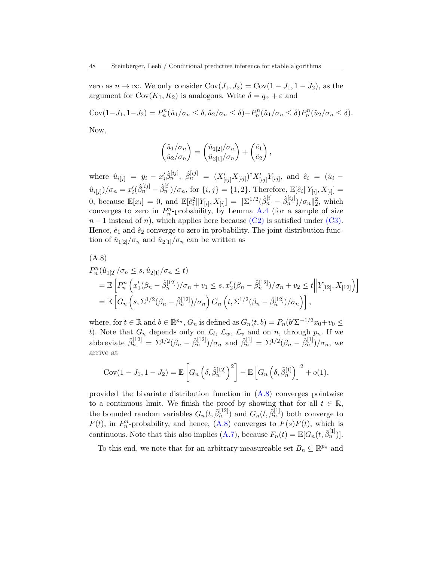zero as  $n \to \infty$ . We only consider  $Cov(J_1, J_2) = Cov(1 - J_1, 1 - J_2)$ , as the argument for  $Cov(K_1, K_2)$  is analogous. Write  $\delta = q_\alpha + \varepsilon$  and

 $Cov(1-J_1, 1-J_2) = P_n^n(\hat{u}_1/\sigma_n \le \delta, \hat{u}_2/\sigma_n \le \delta) - P_n^n(\hat{u}_1/\sigma_n \le \delta) P_n^n(\hat{u}_2/\sigma_n \le \delta).$ Now,

 $\Big),$ 

 $\int \hat{u}_1/\sigma_n$  $\hat{u}_2/\sigma_n$  $\bigg) = \begin{pmatrix} \hat{u}_{1[2]}/\sigma_n \ \hat{u}_{1[2]}/\sigma_n \end{pmatrix}$  $\hat{u}_{2[1]}/\sigma_n$  $+ \begin{pmatrix} \hat{e}_1 \\ \frac{1}{2} \end{pmatrix}$  $\hat{e}_2$ 

where  $\hat{u}_{i[j]} = y_i - x'_i \hat{\beta}_n^{[ij]}, \ \hat{\beta}_n^{[ij]} = (X'_{[ij]} X_{[ij]})^{\dagger} X'_{[ij]} Y_{[ij]},$  and  $\hat{e}_i = (\hat{u}_i \hat{u}_{i[j]}\rangle/\sigma_n = x_i'(\hat{\beta}_n^{[ij]} - \hat{\beta}_n^{[i]})/\sigma_n$ , for  $\{i,j\} = \{1,2\}$ . Therefore,  $\mathbb{E}[\hat{e}_i||Y_{[i]}, X_{[i]}] =$ 0, because  $\mathbb{E}[x_i] = 0$ , and  $\mathbb{E}[\hat{e}_i^2 || Y_{[i]}, X_{[i]}] = ||\Sigma^{1/2}(\hat{\beta}_n^{[i]} - \hat{\beta}_n^{[ij]})/\sigma_n||_2^2$ , which converges to zero in  $P_n^n$ -probability, by Lemma [A.4](#page-37-0) (for a sample of size  $n-1$  instead of n), which applies here because [\(C2\)](#page-15-0) is satisfied under [\(C3\).](#page-17-2) Hence,  $\hat{e}_1$  and  $\hat{e}_2$  converge to zero in probability. The joint distribution function of  $\hat{u}_{1[2]}/\sigma_n$  and  $\hat{u}_{2[1]}/\sigma_n$  can be written as

<span id="page-47-0"></span>(A.8)  
\n
$$
P_n^n(\hat{u}_{1[2]}/\sigma_n \le s, \hat{u}_{2[1]}/\sigma_n \le t)
$$
\n
$$
= \mathbb{E}\left[P_n^n\left(x_1'(\beta_n - \hat{\beta}_n^{[12]})/\sigma_n + v_1 \le s, x_2'(\beta_n - \hat{\beta}_n^{[12]})/\sigma_n + v_2 \le t \middle\| Y_{[12]}, X_{[12]} \right) \right]
$$
\n
$$
= \mathbb{E}\left[G_n\left(s, \Sigma^{1/2}(\beta_n - \hat{\beta}_n^{[12]})/\sigma_n\right) G_n\left(t, \Sigma^{1/2}(\beta_n - \hat{\beta}_n^{[12]})/\sigma_n\right) \right],
$$

where, for  $t \in \mathbb{R}$  and  $b \in \mathbb{R}^{p_n}$ ,  $G_n$  is defined as  $G_n(t, b) = P_n(b'\Sigma^{-1/2}x_0 + v_0 \leq$ t). Note that  $G_n$  depends only on  $\mathcal{L}_l$ ,  $\mathcal{L}_w$ ,  $\mathcal{L}_v$  and on n, through  $p_n$ . If we abbreviate  $\tilde{\beta}_n^{[12]} = \Sigma^{1/2}(\beta_n - \hat{\beta}_n^{[12]})/\sigma_n$  and  $\tilde{\beta}_n^{[1]} = \Sigma^{1/2}(\beta_n - \hat{\beta}_n^{[1]})/\sigma_n$ , we arrive at

$$
Cov(1-J_1, 1-J_2) = \mathbb{E}\left[G_n\left(\delta, \tilde{\beta}_n^{[12]}\right)^2\right] - \mathbb{E}\left[G_n\left(\delta, \tilde{\beta}_n^{[1]}\right)\right]^2 + o(1),
$$

provided the bivariate distribution function in  $(A.8)$  converges pointwise to a continuous limit. We finish the proof by showing that for all  $t \in \mathbb{R}$ , the bounded random variables  $G_n(t, \tilde{\beta}_n^{[12]})$  and  $G_n(t, \tilde{\beta}_n^{[1]})$  both converge to  $F(t)$ , in  $P_n^n$ -probability, and hence,  $(A.8)$  converges to  $F(s)F(t)$ , which is continuous. Note that this also implies [\(A.7\)](#page-46-0), because  $F_n(t) = \mathbb{E}[G_n(t, \tilde{\beta}_n^{[1)})].$ 

To this end, we note that for an arbitrary measureable set  $B_n \subseteq \mathbb{R}^{p_n}$  and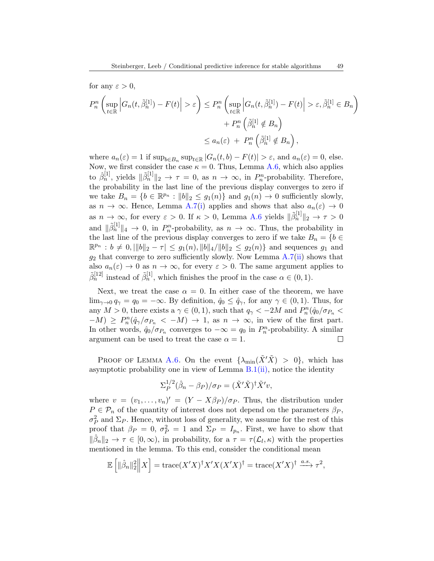for any 
$$
\varepsilon > 0
$$
,  
\n
$$
P_n^n \left( \sup_{t \in \mathbb{R}} \left| G_n(t, \tilde{\beta}_n^{[1]}) - F(t) \right| > \varepsilon \right) \le P_n^n \left( \sup_{t \in \mathbb{R}} \left| G_n(t, \tilde{\beta}_n^{[1]}) - F(t) \right| > \varepsilon, \tilde{\beta}_n^{[1]} \in B_n \right) + P_n^n \left( \tilde{\beta}_n^{[1]} \notin B_n \right)
$$
\n
$$
\le a_n(\varepsilon) + P_n^n \left( \tilde{\beta}_n^{[1]} \notin B_n \right),
$$

where  $a_n(\varepsilon) = 1$  if  $\sup_{b \in B_n} \sup_{t \in \mathbb{R}} |G_n(t, b) - F(t)| > \varepsilon$ , and  $a_n(\varepsilon) = 0$ , else. Now, we first consider the case  $\kappa = 0$ . Thus, Lemma [A.6,](#page-44-0) which also applies to  $\hat{\beta}_n^{[1]}$ , yields  $\|\tilde{\beta}_n^{[1]}\|_2 \to \tau = 0$ , as  $n \to \infty$ , in  $P_n^n$ -probability. Therefore, the probability in the last line of the previous display converges to zero if we take  $B_n = \{b \in \mathbb{R}^{p_n} : ||b||_2 \le g_1(n)\}\$  and  $g_1(n) \to 0$  sufficiently slowly, as  $n \to \infty$ . Hence, Lemma [A.7\(](#page-45-0)[i\)](#page-45-2) applies and shows that also  $a_n(\varepsilon) \to 0$ as  $n \to \infty$ , for every  $\varepsilon > 0$ . If  $\kappa > 0$ , Lemma [A.6](#page-44-0) yields  $\|\tilde{\beta}_n^{[1]}\|_2 \to \tau > 0$ and  $\|\tilde{\beta}_n^{[1]}\|_4 \to 0$ , in  $P_n^n$ -probability, as  $n \to \infty$ . Thus, the probability in the last line of the previous display converges to zero if we take  $B_n = \{b \in$  $\mathbb{R}^{p_n} : b \neq 0, \|\|b\|_2 - \tau \|\leq g_1(n), \|b\|_4 / \|b\|_2 \leq g_2(n)\}\$  and sequences  $g_1$  and  $g_2$  that converge to zero sufficiently slowly. Now Lemma [A.7\(](#page-45-0)[ii\)](#page-45-1) shows that also  $a_n(\varepsilon) \to 0$  as  $n \to \infty$ , for every  $\varepsilon > 0$ . The same argument applies to  $\tilde{\beta}_n^{[12]}$  instead of  $\tilde{\beta}_n^{[1]}$ , which finishes the proof in the case  $\alpha \in (0,1)$ .

Next, we treat the case  $\alpha = 0$ . In either case of the theorem, we have  $\lim_{\gamma \to 0} q_{\gamma} = q_0 = -\infty$ . By definition,  $\hat{q}_0 \leq \hat{q}_{\gamma}$ , for any  $\gamma \in (0,1)$ . Thus, for any  $M > 0$ , there exists a  $\gamma \in (0, 1)$ , such that  $q_{\gamma} < -2M$  and  $P_n^n(\hat{q}_0/\sigma_{P_n} <$  $-M$ ) ≥  $P_n^n(\hat{q}_{\gamma}/\sigma_{P_n} < -M) \to 1$ , as  $n \to \infty$ , in view of the first part. In other words,  $\hat{q}_0/\sigma_{P_n}$  converges to  $-\infty = q_0$  in  $P_n^n$ -probability. A similar argument can be used to treat the case  $\alpha = 1$ .  $\Box$ 

PROOF OF LEMMA [A.6.](#page-44-0) On the event  $\{\lambda_{\min}(\tilde{X}'\tilde{X}) > 0\}$ , which has asymptotic probability one in view of Lemma  $B(1(ii))$ , notice the identity

$$
\Sigma_P^{1/2}(\hat{\beta}_n - \beta_P)/\sigma_P = (\tilde{X}'\tilde{X})^\dagger \tilde{X}' v,
$$

where  $v = (v_1, \ldots, v_n)' = (Y - X\beta_P)/\sigma_P$ . Thus, the distribution under  $P \in \mathcal{P}_n$  of the quantity of interest does not depend on the parameters  $\beta_P$ ,  $\sigma_P^2$  and  $\Sigma_P$ . Hence, without loss of generality, we assume for the rest of this proof that  $\beta_P = 0$ ,  $\sigma_P^2 = 1$  and  $\Sigma_P = I_{p_n}$ . First, we have to show that  $\|\hat{\beta}_n\|_2 \to \tau \in [0,\infty)$ , in probability, for a  $\tau = \tau(\mathcal{L}_l,\kappa)$  with the properties mentioned in the lemma. To this end, consider the conditional mean

$$
\mathbb{E}\left[\|\hat{\beta}_n\|_2^2\middle\|X\right] = \text{trace}(X'X)^{\dagger}X'X(X'X)^{\dagger} = \text{trace}(X'X)^{\dagger} \xrightarrow{a.s.} \tau^2,
$$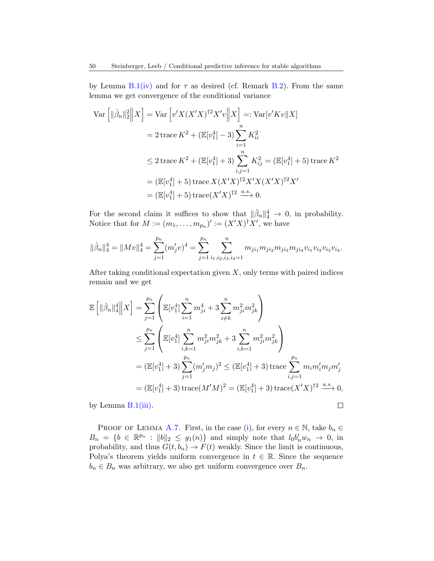by Lemma  $B.1(iv)$  $B.1(iv)$  and for  $\tau$  as desired (cf. Remark [B.2\)](#page-52-1). From the same lemma we get convergence of the conditional variance

$$
\operatorname{Var}\left[\|\hat{\beta}_n\|_2^2 \|X\right] = \operatorname{Var}\left[v'X(X'X)^{\dagger 2}X'v \|X\right] =: \operatorname{Var}[v'Kv \|X]
$$
  
\n
$$
= 2 \operatorname{trace} K^2 + (\mathbb{E}[v_1^4] - 3) \sum_{i=1}^n K_{ii}^2
$$
  
\n
$$
\leq 2 \operatorname{trace} K^2 + (\mathbb{E}[v_1^4] + 3) \sum_{i,j=1}^n K_{ij}^2 = (\mathbb{E}[v_1^4] + 5) \operatorname{trace} K^2
$$
  
\n
$$
= (\mathbb{E}[v_1^4] + 5) \operatorname{trace} X(X'X)^{\dagger 2}X'X(X'X)^{\dagger 2}X'
$$
  
\n
$$
= (\mathbb{E}[v_1^4] + 5) \operatorname{trace}(X'X)^{\dagger 2} \xrightarrow{a.s.} 0.
$$

For the second claim it suffices to show that  $\|\hat{\beta}_n\|_4^4 \to 0$ , in probability. Notice that for  $M := (m_1, \ldots, m_{p_n})' := (X'X)^{\dagger}X'$ , we have

$$
\|\hat{\beta}_n\|_4^4 = \|Mv\|_4^4 = \sum_{j=1}^{p_n} (m'_j v)^4 = \sum_{j=1}^{p_n} \sum_{i_1, i_2, i_3, i_4=1}^n m_{ji_1} m_{ji_2} m_{ji_3} m_{ji_4} v_{i_1} v_{i_2} v_{i_3} v_{i_4}.
$$

After taking conditional expectation given  $X$ , only terms with paired indices remain and we get

$$
\mathbb{E} \left[ \|\hat{\beta}_n\|_4^4 \|X \right] = \sum_{j=1}^{p_n} \left( \mathbb{E}[v_1^4] \sum_{i=1}^n m_{ji}^4 + 3 \sum_{i \neq k}^n m_{ji}^2 m_{jk}^2 \right)
$$
  
\n
$$
\leq \sum_{j=1}^{p_n} \left( \mathbb{E}[v_1^4] \sum_{i,k=1}^n m_{ji}^2 m_{jk}^2 + 3 \sum_{i,k=1}^n m_{ji}^2 m_{jk}^2 \right)
$$
  
\n
$$
= (\mathbb{E}[v_1^4] + 3) \sum_{j=1}^{p_n} (m_j' m_j)^2 \leq (\mathbb{E}[v_1^4] + 3) \operatorname{trace} \sum_{i,j=1}^{p_n} m_i m_i' m_j m_j'
$$
  
\n
$$
= (\mathbb{E}[v_1^4] + 3) \operatorname{trace}(M'M)^2 = (\mathbb{E}[v_1^4] + 3) \operatorname{trace}(X'X)^{\dagger 2} \xrightarrow{a.s.} 0,
$$

by Lemma  $B.1(iii)$  $B.1(iii)$ .

PROOF OF LEMMA [A.7.](#page-45-0) First, in the case [\(i\)](#page-45-2), for every  $n \in \mathbb{N}$ , take  $b_n \in$  $B_n = \{b \in \mathbb{R}^{p_n} : ||b||_2 \leq g_1(n)\}\$  and simply note that  $l_0b'_n w_n \to 0$ , in probability, and thus  $G(t, b_n) \to F(t)$  weakly. Since the limit is continuous, Polya's theorem yields uniform convergence in  $t \in \mathbb{R}$ . Since the sequence  $b_n \in B_n$  was arbitrary, we also get uniform convergence over  $B_n$ .

 $\Box$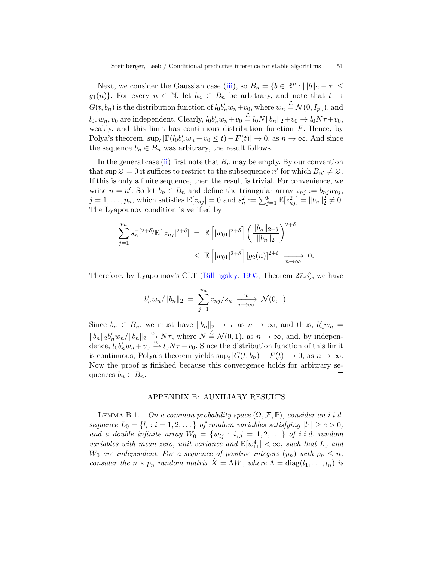Next, we consider the Gaussian case [\(iii\)](#page-45-3), so  $B_n = \{b \in \mathbb{R}^p : |||b||_2 - \tau \leq$  $g_1(n)$ . For every  $n \in \mathbb{N}$ , let  $b_n \in B_n$  be arbitrary, and note that  $t \mapsto$  $G(t, b_n)$  is the distribution function of  $l_0b'_n w_n + v_0$ , where  $w_n \stackrel{\mathcal{L}}{=} \mathcal{N}(0, I_{p_n})$ , and  $l_0, w_n, v_0$  are independent. Clearly,  $l_0 b'_n w_n + v_0 \stackrel{\mathcal{L}}{=} l_0 N ||b_n||_2 + v_0 \rightarrow l_0 N \tau + v_0$ , weakly, and this limit has continuous distribution function  $F$ . Hence, by Polya's theorem,  $\sup_t |\mathbb{P}(l_0 b'_n w_n + v_0 \le t) - F(t)| \to 0$ , as  $n \to \infty$ . And since the sequence  $b_n \in B_n$  was arbitrary, the result follows.

In the general case [\(ii\)](#page-45-1) first note that  $B_n$  may be empty. By our convention that sup  $\emptyset = 0$  it suffices to restrict to the subsequence n' for which  $B_{n'} \neq \emptyset$ . If this is only a finite sequence, then the result is trivial. For convenience, we write  $n = n'$ . So let  $b_n \in B_n$  and define the triangular array  $z_{nj} := b_{nj}w_{0j}$ ,  $j = 1, \ldots, p_n$ , which satisfies  $\mathbb{E}[z_{nj}] = 0$  and  $s_n^2 := \sum_{j=1}^p \mathbb{E}[z_{nj}^2] = ||b_n||_2^2 \neq 0$ . The Lyapounov condition is verified by

$$
\sum_{j=1}^{p_n} s_n^{-(2+\delta)} \mathbb{E}[|z_{nj}|^{2+\delta}] = \mathbb{E}\left[|w_{01}|^{2+\delta}\right] \left(\frac{\|b_n\|_{2+\delta}}{\|b_n\|_2}\right)^{2+\delta}
$$
  

$$
\leq \mathbb{E}\left[|w_{01}|^{2+\delta}\right] [g_2(n)]^{2+\delta} \xrightarrow[n \to \infty]{} 0.
$$

Therefore, by Lyapounov's CLT [\(Billingsley,](#page-30-6) [1995,](#page-30-6) Theorem 27.3), we have

$$
b'_{n}w_{n}/\|b_{n}\|_{2} = \sum_{j=1}^{p_{n}} z_{nj}/s_{n} \xrightarrow[n \to \infty]{w} \mathcal{N}(0,1).
$$

Since  $b_n \in B_n$ , we must have  $||b_n||_2 \to \tau$  as  $n \to \infty$ , and thus,  $b'_n w_n =$  $||b_n||_2 b'_n w_n/||b_n||_2 \stackrel{w}{\rightarrow} N\tau$ , where  $N \stackrel{\mathcal{L}}{=} \mathcal{N}(0, 1)$ , as  $n \rightarrow \infty$ , and, by independence,  $l_0b'_nw_n+v_0 \xrightarrow{w} l_0N\tau+v_0$ . Since the distribution function of this limit is continuous, Polya's theorem yields  $\sup_t |G(t, b_n) - F(t)| \to 0$ , as  $n \to \infty$ . Now the proof is finished because this convergence holds for arbitrary sequences  $b_n \in B_n$ .  $\Box$ 

### APPENDIX B: AUXILIARY RESULTS

<span id="page-50-1"></span><span id="page-50-0"></span>LEMMA B.1. On a common probability space  $(\Omega, \mathcal{F}, \mathbb{P})$ , consider an i.i.d. sequence  $L_0 = \{l_i : i = 1, 2, \dots\}$  of random variables satisfying  $|l_1| \ge c > 0$ , and a double infinite array  $W_0 = \{w_{ij} : i, j = 1, 2, ...\}$  of i.i.d. random variables with mean zero, unit variance and  $\mathbb{E}[w_{11}^4] < \infty$ , such that  $L_0$  and  $W_0$  are independent. For a sequence of positive integers  $(p_n)$  with  $p_n \leq n$ , consider the  $n \times p_n$  random matrix  $\tilde{X} = \Lambda W$ , where  $\Lambda = \text{diag}(l_1, \ldots, l_n)$  is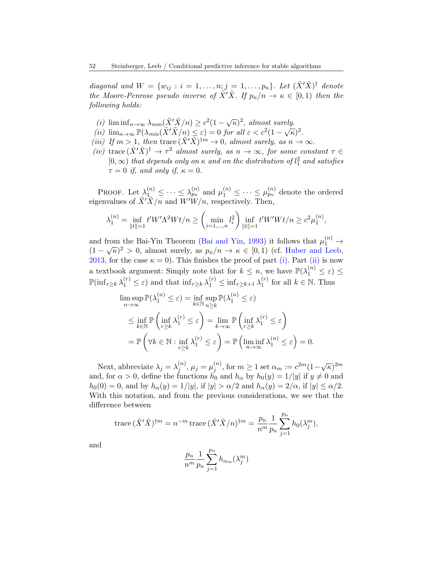diagonal and  $W = \{w_{ij} : i = 1, \ldots, n; j = 1, \ldots, p_n\}$ . Let  $(\tilde{X}'\tilde{X})^{\dagger}$  denote the Moore-Penrose pseudo inverse of  $\tilde{X}'\tilde{X}$ . If  $p_n/n \to \kappa \in [0,1)$  then the following holds:

- <span id="page-51-0"></span>(i)  $\liminf_{n\to\infty} \lambda_{min}(\tilde{X}'\tilde{X}/n) \geq c^2(1-\sqrt{\kappa})^2$ , almost surely.
- <span id="page-51-1"></span>(*i*)  $\lim_{n\to\infty} \lim_{n\to\infty} \frac{\lambda_{min}(X, X/n)}{\mathbb{P}(\lambda_{min}(\tilde{X}'\tilde{X}/n) \leq \varepsilon)} = 0$  for all  $\varepsilon < c^2(1-\sqrt{\kappa})^2$ .
- <span id="page-51-3"></span>(iii) If  $m > 1$ , then trace  $(\tilde{X}'\tilde{X})^{\dagger m} \to 0$ , almost surely, as  $n \to \infty$ .
- <span id="page-51-2"></span>(iv) trace  $(\tilde{X}'\tilde{X})^{\dagger} \to \tau^2$  almost surely, as  $n \to \infty$ , for some constant  $\tau \in$  $[0, \infty)$  that depends only on  $\kappa$  and on the distribution of  $l_1^2$  and satisfies  $\tau = 0$  if, and only if,  $\kappa = 0$ .

PROOF. Let  $\lambda_1^{(n)} \leq \cdots \leq \lambda_{p_n}^{(n)}$  and  $\mu_1^{(n)} \leq \cdots \leq \mu_{p_n}^{(n)}$  denote the ordered eigenvalues of  $\tilde{X}'\tilde{X}/n$  and  $W'W/n$ , respectively. Then,

$$
\lambda_1^{(n)} = \inf_{\|t\|=1} t' W' \Lambda^2 W t/n \ge \left(\min_{i=1,\dots,n} l_i^2\right) \inf_{\|t\|=1} t' W' W t/n \ge c^2 \mu_1^{(n)},
$$

and from the Bai-Yin Theorem [\(Bai and Yin,](#page-30-7) [1993\)](#page-30-7) it follows that  $\mu_1^{(n)} \rightarrow$ and from the Bai-1 in Theorem (Bai and Tin, 1995) it follows that  $\mu_1 \rightarrow (1 - \sqrt{\kappa})^2 > 0$ , almost surely, as  $p_n/n \rightarrow \kappa \in [0, 1)$  (cf. [Huber and Leeb,](#page-31-17) [2013,](#page-31-17) for the case  $\kappa = 0$ ). This finishes the proof of part [\(i\).](#page-51-0) Part [\(ii\)](#page-51-1) is now a textbook argument: Simply note that for  $k \leq n$ , we have  $\mathbb{P}(\lambda_1^{(n)} \leq \varepsilon) \leq$  $\mathbb{P}(\inf_{r\geq k} \lambda_1^{(r)} \leq \varepsilon)$  and that  $\inf_{r\geq k} \lambda_1^{(r)} \leq \inf_{r\geq k+1} \lambda_1^{(r)}$  $\binom{r}{1}$  for all  $k \in \mathbb{N}$ . Thus

$$
\limsup_{n \to \infty} \mathbb{P}(\lambda_1^{(n)} \le \varepsilon) = \inf_{k \in \mathbb{N}} \sup_{n \ge k} \mathbb{P}(\lambda_1^{(n)} \le \varepsilon)
$$
\n
$$
\le \inf_{k \in \mathbb{N}} \mathbb{P}\left(\inf_{r \ge k} \lambda_1^{(r)} \le \varepsilon\right) = \lim_{k \to \infty} \mathbb{P}\left(\inf_{r \ge k} \lambda_1^{(r)} \le \varepsilon\right)
$$
\n
$$
= \mathbb{P}\left(\forall k \in \mathbb{N} : \inf_{r \ge k} \lambda_1^{(r)} \le \varepsilon\right) = \mathbb{P}\left(\liminf_{n \to \infty} \lambda_1^{(n)} \le \varepsilon\right) = 0.
$$

Next, abbreviate  $\lambda_j = \lambda_j^{(n)}$  $j^{(n)},\mu_j=\mu^{(n)}_j$  $j^{(n)}$ , for  $m \geq 1$  set  $\alpha_m := c^{2m} (1 - \sqrt{\kappa})^{2m}$ and, for  $\alpha > 0$ , define the functions  $h_0$  and  $h_\alpha$  by  $h_0(y) = 1/|y|$  if  $y \neq 0$  and  $h_0(0) = 0$ , and by  $h_\alpha(y) = 1/|y|$ , if  $|y| > \alpha/2$  and  $h_\alpha(y) = 2/\alpha$ , if  $|y| \leq \alpha/2$ . With this notation, and from the previous considerations, we see that the difference between

trace 
$$
(\tilde{X}'\tilde{X})^{\dagger m} = n^{-m}
$$
trace  $(\tilde{X}'\tilde{X}/n)^{\dagger m} = \frac{p_n}{n^m} \frac{1}{p_n} \sum_{j=1}^{p_n} h_0(\lambda_j^m),$ 

and

$$
\frac{p_n}{n^m} \frac{1}{p_n} \sum_{j=1}^{p_n} h_{\alpha_m}(\lambda_j^m)
$$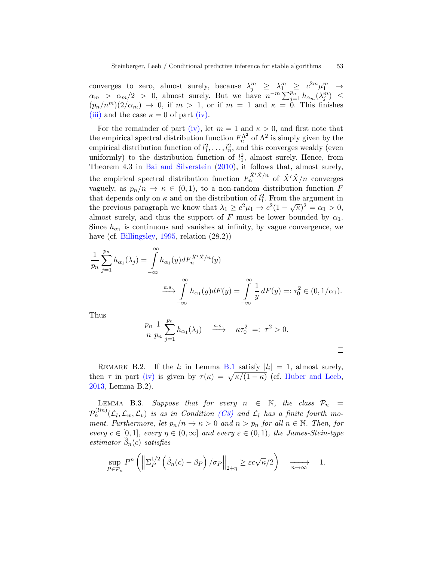converges to zero, almost surely, because  $\lambda_j^m \geq \lambda_1^m \geq c^{2m} \mu_1^m \to$  $\alpha_m > \alpha_m/2 > 0$ , almost surely. But we have  $n^{-m} \sum_{j=1}^{p_n} h_{\alpha_m}(\lambda_j^m) \leq$  $(p_n/n^m)(2/\alpha_m) \rightarrow 0$ , if  $m > 1$ , or if  $m = 1$  and  $\kappa = 0$ . This finishes [\(iii\)](#page-51-3) and the case  $\kappa = 0$  of part [\(iv\).](#page-51-2)

For the remainder of part [\(iv\),](#page-51-2) let  $m = 1$  and  $\kappa > 0$ , and first note that the empirical spectral distribution function  $F_n^{\Lambda^2}$  of  $\Lambda^2$  is simply given by the empirical distribution function of  $l_1^2, \ldots, l_n^2$ , and this converges weakly (even uniformly) to the distribution function of  $l_1^2$ , almost surely. Hence, from Theorem 4.3 in [Bai and Silverstein](#page-30-8) [\(2010\)](#page-30-8), it follows that, almost surely, the empirical spectral distribution function  $F_n^{\tilde{X}'\tilde{X}/n}$  of  $\tilde{X}'\tilde{X}/n$  converges vaguely, as  $p_n/n \to \kappa \in (0,1)$ , to a non-random distribution function F that depends only on  $\kappa$  and on the distribution of  $l_1^2$ . From the argument in the previous paragraph we know that  $\lambda_1 \geq c^2 \mu_1 \to c^2 (1 - \sqrt{\kappa})^2 = \alpha_1 > 0$ , almost surely, and thus the support of F must be lower bounded by  $\alpha_1$ . Since  $h_{\alpha_1}$  is continuous and vanishes at infinity, by vague convergence, we have (cf. [Billingsley,](#page-30-6) [1995,](#page-30-6) relation  $(28.2)$ )

$$
\frac{1}{p_n} \sum_{j=1}^{p_n} h_{\alpha_1}(\lambda_j) = \int_{-\infty}^{\infty} h_{\alpha_1}(y) dF_n^{\tilde{X}'\tilde{X}/n}(y)
$$

$$
\xrightarrow{a.s.} \int_{-\infty}^{\infty} h_{\alpha_1}(y) dF(y) = \int_{-\infty}^{\infty} \frac{1}{y} dF(y) =: \tau_0^2 \in (0, 1/\alpha_1).
$$

Thus

$$
\frac{p_n}{n} \frac{1}{p_n} \sum_{j=1}^{p_n} h_{\alpha_1}(\lambda_j) \xrightarrow{a.s.} \kappa \tau_0^2 =: \tau^2 > 0.
$$

 $\Box$ 

<span id="page-52-1"></span>REMARK B.2. If the  $l_i$  in Lemma [B.1](#page-50-0) satisfy  $|l_i| = 1$ , almost surely, then  $\tau$  in part [\(iv\)](#page-51-2) is given by  $\tau(\kappa) = \sqrt{\kappa/(1-\kappa)}$  (cf. [Huber and Leeb,](#page-31-17) [2013,](#page-31-17) Lemma B.2).

<span id="page-52-0"></span>LEMMA B.3. Suppose that for every  $n \in \mathbb{N}$ , the class  $\mathcal{P}_n$  =  $\mathcal{P}_n^{(lin)}(\mathcal{L}_l,\mathcal{L}_w,\mathcal{L}_v)$  is as in Condition [\(C3\)](#page-17-2) and  $\mathcal{L}_l$  has a finite fourth moment. Furthermore, let  $p_n/n \to \kappa > 0$  and  $n > p_n$  for all  $n \in \mathbb{N}$ . Then, for every  $c \in [0,1]$ , every  $\eta \in (0,\infty]$  and every  $\varepsilon \in (0,1)$ , the James-Stein-type  $estimator$   $\hat{\beta}_n(c)$  satisfies

$$
\sup_{P \in \mathcal{P}_n} P^n \left( \left\| \Sigma_P^{1/2} \left( \hat{\beta}_n(c) - \beta_P \right) / \sigma_P \right\|_{2+\eta} \ge \varepsilon c \sqrt{\kappa/2} \right) \xrightarrow[n \to \infty]{} 1.
$$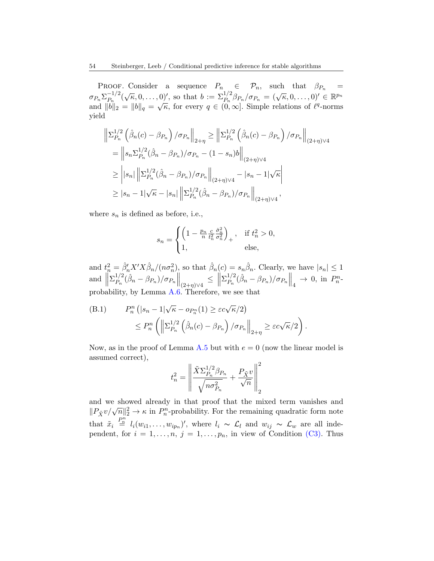PROOF. Consider a sequence  $P_n \in \mathcal{P}_n$ , such that  $\beta_{P_n} =$  $\sigma_{P_n}\Sigma_{P_n}^{-1/2}$  $\sum_{P_n}^{-1/2} (\sqrt{\kappa}, 0, \ldots, 0)$ , so that  $b := \sum_{P_n}^{1/2} \beta_{P_n} / \sigma_{P_n} = (\sqrt{\kappa}, 0, \ldots, 0)' \in \mathbb{R}^{p_n}$  $\begin{array}{lll}\n\langle \mathcal{P}_n \mathcal{L}_{P_n} & (\mathcal{N}_n, 0, \ldots, 0) \rangle, \\
\text{and} & \|b\|_2 = \|b\|_q = \sqrt{\kappa}, \\
\text{for every } q \in (0, \infty]. \text{ Simple relations of } \ell^q\text{-norms}\n\end{array}$ yield

$$
\begin{split}\n\left\|\Sigma_{P_n}^{1/2}\left(\hat{\beta}_n(c)-\beta_{P_n}\right)/\sigma_{P_n}\right\|_{2+\eta} &\geq \left\|\Sigma_{P_n}^{1/2}\left(\hat{\beta}_n(c)-\beta_{P_n}\right)/\sigma_{P_n}\right\|_{(2+\eta)\vee 4} \\
&= \left\|s_n\Sigma_{P_n}^{1/2}(\hat{\beta}_n-\beta_{P_n})/\sigma_{P_n}-(1-s_n)b\right\|_{(2+\eta)\vee 4} \\
&\geq \left\|s_n\right|\left\|\Sigma_{P_n}^{1/2}(\hat{\beta}_n-\beta_{P_n})/\sigma_{P_n}\right\|_{(2+\eta)\vee 4} - |s_n-1|\sqrt{\kappa} \\
&\geq |s_n-1|\sqrt{\kappa}-|s_n|\left\|\Sigma_{P_n}^{1/2}(\hat{\beta}_n-\beta_{P_n})/\sigma_{P_n}\right\|_{(2+\eta)\vee 4},\n\end{split}
$$

where  $s_n$  is defined as before, i.e.,

$$
s_n = \begin{cases} \left(1 - \frac{p_n}{n} \frac{c}{t_n^2} \frac{\hat{\sigma}_n^2}{\sigma_n^2}\right)_+, & \text{if } t_n^2 > 0, \\ 1, & \text{else,} \end{cases}
$$

and  $t_n^2 = \hat{\beta}_n' X' X \hat{\beta}_n / (n \sigma_n^2)$ , so that  $\hat{\beta}_n(c) = s_n \hat{\beta}_n$ . Clearly, we have  $|s_n| \leq 1$ and  $\parallel$  $\Sigma^{1/2}_{P_{-}}$  $\frac{1}{P_n} (\hat{\beta}_n - \beta_{P_n}) / \sigma_{P_n} \|_{(2+\eta)\vee 4} \leq \|$  $\Sigma_P^{1/2}$  $_{P_n}^{1/2}(\hat{\beta}_n - \beta_{P_n})/\sigma_{P_n} \|_4 \to 0$ , in  $P_n^n$ probability, by Lemma [A.6.](#page-44-0) Therefore, we see that

<span id="page-53-0"></span>(B.1) 
$$
P_n^n\left(|s_n - 1|\sqrt{\kappa} - op_n(1) \ge \varepsilon c\sqrt{\kappa}/2\right) \le P_n^n\left(\left\|\sum_{P_n}^{1/2}\left(\hat{\beta}_n(c) - \beta_{P_n}\right)/\sigma_{P_n}\right\|_{2+\eta} \ge \varepsilon c\sqrt{\kappa}/2\right).
$$

Now, as in the proof of Lemma [A.5](#page-38-1) but with  $e = 0$  (now the linear model is assumed correct),

$$
t_n^2 = \left\| \frac{\tilde{X} \Sigma_{P_n}^{1/2} \beta_{P_n}}{\sqrt{n \sigma_{P_n}^2}} + \frac{P_{\tilde{X}} v}{\sqrt{n}} \right\|_2^2
$$

and we showed already in that proof that the mixed term vanishes and and we showed already in that proof that the finited term vanishes and  $||P_{\tilde{X}}v/\sqrt{n}||_2^2 \rightarrow \kappa$  in  $P_n^n$ -probability. For the remaining quadratic form note that  $\tilde{x}_i \stackrel{P_n^n}{=} l_i(w_{i1}, \ldots, w_{ip_n})'$ , where  $l_i \sim \mathcal{L}_l$  and  $w_{ij} \sim \mathcal{L}_w$  are all independent, for  $i = 1, \ldots, n, j = 1, \ldots, p_n$ , in view of Condition [\(C3\).](#page-17-2) Thus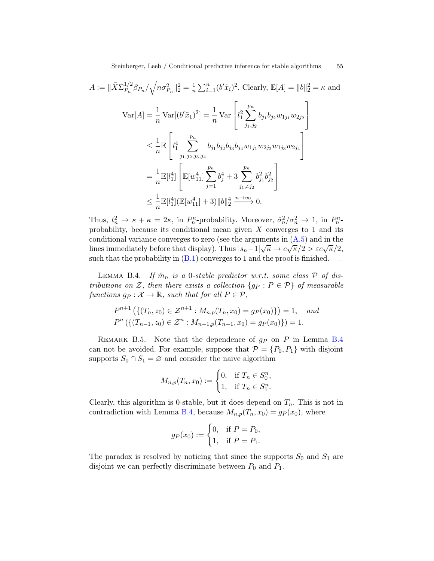$$
A := \|\tilde{X}\Sigma_{P_n}^{1/2}\beta_{P_n}/\sqrt{n\sigma_{P_n}^2}\|_2^2 = \frac{1}{n}\sum_{i=1}^n (b'\tilde{x}_i)^2. \text{ Clearly, } \mathbb{E}[A] = \|b\|_2^2 = \kappa \text{ and}
$$
  

$$
\text{Var}[A] = \frac{1}{n}\text{Var}[(b'\tilde{x}_1)^2] = \frac{1}{n}\text{Var}\left[l_1^2\sum_{j_1,j_2}^{p_n} b_{j_1}b_{j_2}w_{1j_1}w_{2j_2}\right]
$$

$$
\leq \frac{1}{n}\mathbb{E}\left[l_1^4\sum_{j_1,j_2,j_3,j_4}^{p_n} b_{j_1}b_{j_2}b_{j_3}b_{j_4}w_{1j_1}w_{2j_2}w_{1j_3}w_{2j_4}\right]
$$

$$
= \frac{1}{n}\mathbb{E}[l_1^4] \left[\mathbb{E}[w_{11}^4]\sum_{j=1}^{p_n} b_j^4 + 3\sum_{j_1 \neq j_2}^{p_n} b_{j_1}^2 b_{j_2}^2\right]
$$

$$
\leq \frac{1}{n}\mathbb{E}[l_1^4] (\mathbb{E}[w_{11}^4] + 3) \|b\|_2^4 \xrightarrow{n \to \infty} 0.
$$

Thus,  $t_n^2 \to \kappa + \kappa = 2\kappa$ , in  $P_n^n$ -probability. Moreover,  $\hat{\sigma}_n^2/\sigma_n^2 \to 1$ , in  $P_n^n$ probability, because its conditional mean given  $X$  converges to 1 and its conditional variance converges to zero (see the arguments in  $(A.5)$ ) and in the conditional variance converges to zero (see the arguments in  $(A \cdot b)$  and in the lines immediately before that display). Thus  $|s_n-1|\sqrt{\kappa} \to c\sqrt{\kappa}/2 > \varepsilon c\sqrt{\kappa}/2$ , such that the probability in  $(B.1)$  converges to 1 and the proof is finished.  $\Box$ 

<span id="page-54-0"></span>LEMMA B.4. If  $\hat{m}_n$  is a 0-stable predictor w.r.t. some class  $P$  of distributions on Z, then there exists a collection  $\{g_P : P \in \mathcal{P}\}\$  of measurable functions  $g_P : \mathcal{X} \to \mathbb{R}$ , such that for all  $P \in \mathcal{P}$ ,

$$
P^{n+1}(\{(T_n, z_0) \in \mathcal{Z}^{n+1} : M_{n,p}(T_n, x_0) = gp(x_0)\}) = 1, \text{ and}
$$
  

$$
P^n(\{(T_{n-1}, z_0) \in \mathcal{Z}^n : M_{n-1,p}(T_{n-1}, x_0) = gp(x_0)\}) = 1.
$$

REMARK B.5. Note that the dependence of  $g_P$  on P in Lemma [B.4](#page-54-0) can not be avoided. For example, suppose that  $\mathcal{P} = \{P_0, P_1\}$  with disjoint supports  $S_0 \cap S_1 = \emptyset$  and consider the naive algorithm

$$
M_{n,p}(T_n, x_0) := \begin{cases} 0, & \text{if } T_n \in S_0^n, \\ 1, & \text{if } T_n \in S_1^n. \end{cases}
$$

Clearly, this algorithm is 0-stable, but it does depend on  $T_n$ . This is not in contradiction with Lemma [B.4,](#page-54-0) because  $M_{n,p}(T_n, x_0) = gp(x_0)$ , where

$$
g_P(x_0) := \begin{cases} 0, & \text{if } P = P_0, \\ 1, & \text{if } P = P_1. \end{cases}
$$

The paradox is resolved by noticing that since the supports  $S_0$  and  $S_1$  are disjoint we can perfectly discriminate between  $P_0$  and  $P_1$ .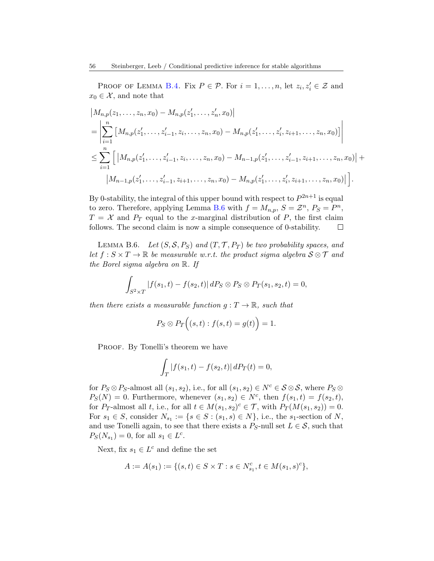PROOF OF LEMMA [B.4.](#page-54-0) Fix  $P \in \mathcal{P}$ . For  $i = 1, ..., n$ , let  $z_i, z'_i \in \mathcal{Z}$  and  $x_0 \in \mathcal{X}$ , and note that

$$
\begin{split}\n\left| M_{n,p}(z_1,\ldots,z_n,x_0) - M_{n,p}(z'_1,\ldots,z'_n,x_0) \right| \\
&= \left| \sum_{i=1}^n \left[ M_{n,p}(z'_1,\ldots,z'_{i-1},z_i,\ldots,z_n,x_0) - M_{n,p}(z'_1,\ldots,z'_i,z_{i+1},\ldots,z_n,x_0) \right] \right| \\
&\leq \sum_{i=1}^n \left[ \left| M_{n,p}(z'_1,\ldots,z'_{i-1},z_i,\ldots,z_n,x_0) - M_{n-1,p}(z'_1,\ldots,z'_{i-1},z_{i+1},\ldots,z_n,x_0) \right| + \\
& \left| M_{n-1,p}(z'_1,\ldots,z'_{i-1},z_{i+1},\ldots,z_n,x_0) - M_{n,p}(z'_1,\ldots,z'_i,z_{i+1},\ldots,z_n,x_0) \right| \right].\n\end{split}
$$

By 0-stability, the integral of this upper bound with respect to  $P^{2n+1}$  is equal to zero. Therefore, applying Lemma [B.6](#page-55-0) with  $f = M_{n,p}$ ,  $S = \mathcal{Z}^n$ ,  $P_S = P^n$ ,  $T = \mathcal{X}$  and  $P_T$  equal to the x-marginal distribution of P, the first claim follows. The second claim is now a simple consequence of 0-stability.  $\Box$ 

<span id="page-55-0"></span>LEMMA B.6. Let  $(S, \mathcal{S}, P_S)$  and  $(T, \mathcal{T}, P_T)$  be two probability spaces, and let  $f : S \times T \to \mathbb{R}$  be measurable w.r.t. the product sigma algebra  $S \otimes T$  and the Borel sigma algebra on R. If

$$
\int_{S^2 \times T} |f(s_1, t) - f(s_2, t)| \, dP_S \otimes P_S \otimes P_T(s_1, s_2, t) = 0,
$$

then there exists a measurable function  $g: T \to \mathbb{R}$ , such that

$$
P_S \otimes P_T\Big((s,t): f(s,t) = g(t)\Big) = 1.
$$

PROOF. By Tonelli's theorem we have

$$
\int_T |f(s_1, t) - f(s_2, t)| \, dP_T(t) = 0,
$$

for  $P_S \otimes P_S$ -almost all  $(s_1, s_2)$ , i.e., for all  $(s_1, s_2) \in N^c \in S \otimes S$ , where  $P_S \otimes S$  $P_S(N) = 0$ . Furthermore, whenever  $(s_1, s_2) \in N^c$ , then  $f(s_1, t) = f(s_2, t)$ , for P<sub>T</sub>-almost all t, i.e., for all  $t \in M(s_1, s_2)^c \in \mathcal{T}$ , with  $P_T(M(s_1, s_2)) = 0$ . For  $s_1 \in S$ , consider  $N_{s_1} := \{ s \in S : (s_1, s) \in N \}$ , i.e., the  $s_1$ -section of N, and use Tonelli again, to see that there exists a  $P_S$ -null set  $L \in \mathcal{S}$ , such that  $P_S(N_{s_1}) = 0$ , for all  $s_1 \in L^c$ .

Next, fix  $s_1 \in L^c$  and define the set

$$
A := A(s_1) := \{ (s, t) \in S \times T : s \in N_{s_1}^c, t \in M(s_1, s)^c \},
$$